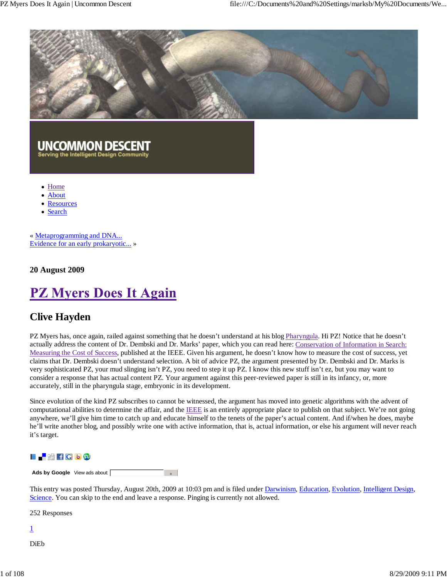

# UNCOMMON DESCENT

**Serving the Intelligent Design Community** 

- Home
- About
- **Resources**
- Search

« Metaprogramming and DNA... Evidence for an early prokaryotic... »

**20 August 2009**

# **PZ Myers Does It Again**

## **Clive Hayden**

PZ Myers has, once again, railed against something that he doesn't understand at his blog Pharyngula. Hi PZ! Notice that he doesn't actually address the content of Dr. Dembski and Dr. Marks' paper, which you can read here: Conservation of Information in Search: Measuring the Cost of Success, published at the IEEE. Given his argument, he doesn't know how to measure the cost of success, yet claims that Dr. Dembski doesn't understand selection. A bit of advice PZ, the argument presented by Dr. Dembski and Dr. Marks is very sophisticated PZ, your mud slinging isn't PZ, you need to step it up PZ. I know this new stuff isn't ez, but you may want to consider a response that has actual content PZ. Your argument against this peer-reviewed paper is still in its infancy, or, more accurately, still in the pharyngula stage, embryonic in its development.

Since evolution of the kind PZ subscribes to cannot be witnessed, the argument has moved into genetic algorithms with the advent of computational abilities to determine the affair, and the IEEE is an entirely appropriate place to publish on that subject. We're not going anywhere, we'll give him time to catch up and educate himself to the tenets of the paper's actual content. And if/when he does, maybe he'll write another blog, and possibly write one with active information, that is, actual information, or else his argument will never reach it's target.

## **LE₩fCD9**

Ads by Google View ads about:  $\sim$   $\mu$ 

This entry was posted Thursday, August 20th, 2009 at 10:03 pm and is filed under Darwinism, Education, Evolution, Intelligent Design, Science. You can skip to the end and leave a response. Pinging is currently not allowed.

252 Responses

1

DiEb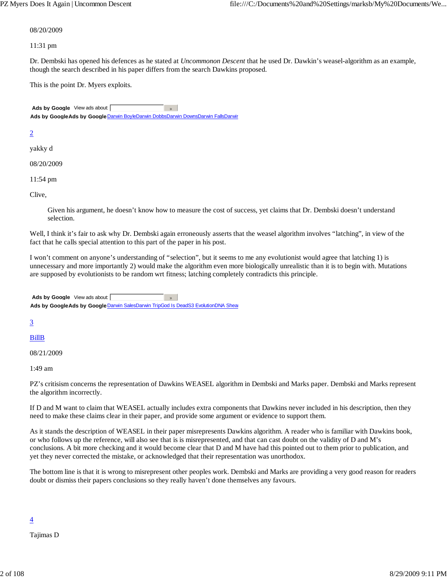#### 08/20/2009

11:31 pm

Dr. Dembski has opened his defences as he stated at *Uncommonon Descent* that he used Dr. Dawkin's weasel-algorithm as an example, though the search described in his paper differs from the search Dawkins proposed.

This is the point Dr. Myers exploits.

Ads by Google View ads about:  $\rightarrow$ Ads by GoogleAds by Google Darwin BoyleDarwin DobbsDarwin DownsDarwin FallsDarwin

#### 2

yakky d

08/20/2009

11:54 pm

Clive,

Given his argument, he doesn't know how to measure the cost of success, yet claims that Dr. Dembski doesn't understand selection.

Well, I think it's fair to ask why Dr. Dembski again erroneously asserts that the weasel algorithm involves "latching", in view of the fact that he calls special attention to this part of the paper in his post.

I won't comment on anyone's understanding of "selection", but it seems to me any evolutionist would agree that latching 1) is unnecessary and more importantly 2) would make the algorithm even more biologically unrealistic than it is to begin with. Mutations are supposed by evolutionists to be random wrt fitness; latching completely contradicts this principle.

Ads by Google View ads about:  $\sim$ Ads by GoogleAds by Google Darwin SalesDarwin TripGod Is DeadS3 EvolutionDNA Shear

3

BillB

08/21/2009

1:49 am

PZ's critisism concerns the representation of Dawkins WEASEL algorithm in Dembski and Marks paper. Dembski and Marks represent the algorithm incorrectly.

If D and M want to claim that WEASEL actually includes extra components that Dawkins never included in his description, then they need to make these claims clear in their paper, and provide some argument or evidence to support them.

As it stands the description of WEASEL in their paper misrepresents Dawkins algorithm. A reader who is familiar with Dawkins book, or who follows up the reference, will also see that is is misrepresented, and that can cast doubt on the validity of D and M's conclusions. A bit more checking and it would become clear that D and M have had this pointed out to them prior to publication, and yet they never corrected the mistake, or acknowledged that their representation was unorthodox.

The bottom line is that it is wrong to misrepresent other peoples work. Dembski and Marks are providing a very good reason for readers doubt or dismiss their papers conclusions so they really haven't done themselves any favours.

#### $\overline{4}$

Tajimas D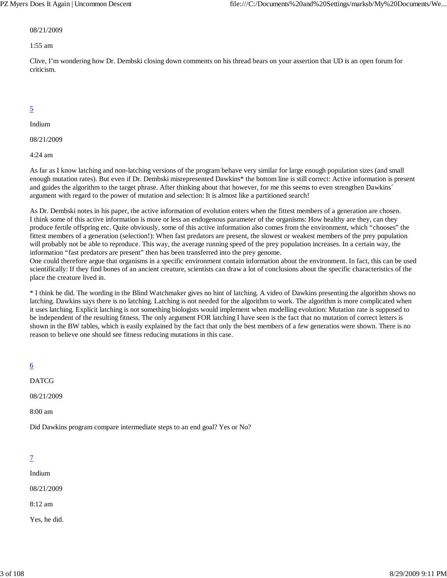#### 08/21/2009

#### 1:55 am

Clive, I'm wondering how Dr. Dembski closing down comments on his thread bears on your assertion that UD is an open forum for criticism.

## 5

Indium

08/21/2009

4:24 am

As far as I know latching and non-latching versions of the program behave very similar for large enough population sizes (and small enough mutation rates). But even if Dr. Dembski misrepresented Dawkins\* the bottom line is still correct: Active information is present and guides the algorithm to the target phrase. After thinking about that however, for me this seems to even strengthen Dawkins´ argument with regard to the power of mutation and selection: It is almost like a partitioned search!

As Dr. Dembski notes in his paper, the active information of evolution enters when the fittest members of a generation are chosen. I think some of this active information is more or less an endogenous parameter of the organisms: How healthy are they, can they produce fertile offspring etc. Quite obviously, some of this active information also comes from the environment, which "chooses" the fittest members of a generation (selection!): When fast predators are present, the slowest or weakest members of the prey population will probably not be able to reproduce. This way, the average running speed of the prey population increases. In a certain way, the information "fast predators are present" then has been transferred into the prey genome.

One could therefore argue that organisms in a specific environment contain information about the environment. In fact, this can be used scientifically: If they find bones of an ancient creature, scientists can draw a lot of conclusions about the specific characteristics of the place the creature lived in.

\* I think he did. The wording in the Blind Watchmaker gives no hint of latching. A video of Dawkins presenting the algorithm shows no latching. Dawkins says there is no latching. Latching is not needed for the algorithm to work. The algorithm is more complicated when it uses latching. Explicit latching is not something biologists would implement when modelling evolution: Mutation rate is supposed to be independent of the resulting fitness. The only argument FOR latching I have seen is the fact that no mutation of correct letters is shown in the BW tables, which is easily explained by the fact that only the best members of a few generatios were shown. There is no reason to believe one should see fitness reducing mutations in this case.

| $\underline{6}$                                                           |
|---------------------------------------------------------------------------|
| <b>DATCG</b>                                                              |
| 08/21/2009                                                                |
| $8:00 \text{ am}$                                                         |
| Did Dawkins program compare intermediate steps to an end goal? Yes or No? |

## 7

Indium

08/21/2009

8:12 am

Yes, he did.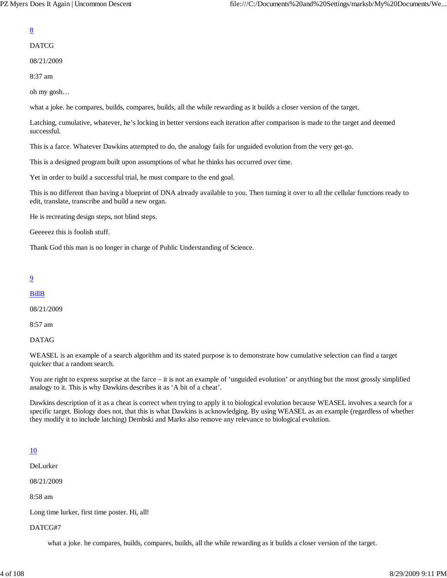## DATCG

08/21/2009

8:37 am

oh my gosh…

what a joke. he compares, builds, compares, builds, all the while rewarding as it builds a closer version of the target.

Latching, cumulative, whatever, he's locking in better versions each iteration after comparison is made to the target and deemed successful.

This is a farce. Whatever Dawkins attempted to do, the analogy fails for unguided evolution from the very get-go.

This is a designed program built upon assumptions of what he thinks has occurred over time.

Yet in order to build a successful trial, he must compare to the end goal.

This is no different than having a blueprint of DNA already available to you. Then turning it over to all the cellular functions ready to edit, translate, transcribe and build a new organ.

He is recreating design steps, not blind steps.

Geeeeez this is foolish stuff.

Thank God this man is no longer in charge of Public Understanding of Science.

## 9

## BillB

08/21/2009

8:57 am

DATAG

WEASEL is an example of a search algorithm and its stated purpose is to demonstrate how cumulative selection can find a target quicker that a random search.

You are right to express surprise at the farce – it is not an example of 'unguided evolution' or anything but the most grossly simplified analogy to it. This is why Dawkins describes it as 'A bit of a cheat'.

Dawkins description of it as a cheat is correct when trying to apply it to biological evolution because WEASEL involves a search for a specific target. Biology does not, that this is what Dawkins is acknowledging. By using WEASEL as an example (regardless of whether they modify it to include latching) Dembski and Marks also remove any relevance to biological evolution.

## 10

DeLurker

08/21/2009

8:58 am

Long time lurker, first time poster. Hi, all!

DATCG#7

what a joke. he compares, builds, compares, builds, all the while rewarding as it builds a closer version of the target.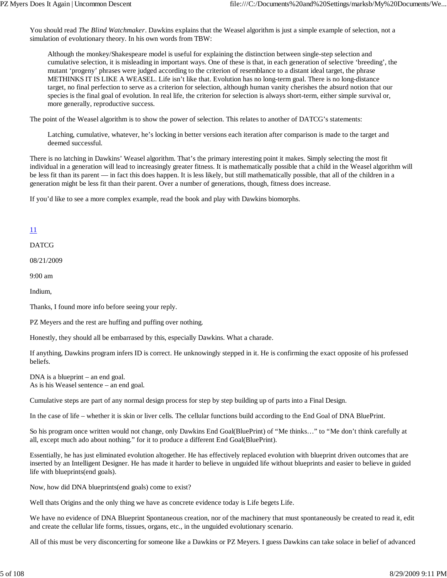You should read *The Blind Watchmaker*. Dawkins explains that the Weasel algorithm is just a simple example of selection, not a simulation of evolutionary theory. In his own words from TBW:

Although the monkey/Shakespeare model is useful for explaining the distinction between single-step selection and cumulative selection, it is misleading in important ways. One of these is that, in each generation of selective 'breeding', the mutant 'progeny' phrases were judged according to the criterion of resemblance to a distant ideal target, the phrase METHINKS IT IS LIKE A WEASEL. Life isn't like that. Evolution has no long-term goal. There is no long-distance target, no final perfection to serve as a criterion for selection, although human vanity cherishes the absurd notion that our species is the final goal of evolution. In real life, the criterion for selection is always short-term, either simple survival or, more generally, reproductive success.

The point of the Weasel algorithm is to show the power of selection. This relates to another of DATCG's statements:

Latching, cumulative, whatever, he's locking in better versions each iteration after comparison is made to the target and deemed successful.

There is no latching in Dawkins' Weasel algorithm. That's the primary interesting point it makes. Simply selecting the most fit individual in a generation will lead to increasingly greater fitness. It is mathematically possible that a child in the Weasel algorithm will be less fit than its parent — in fact this does happen. It is less likely, but still mathematically possible, that all of the children in a generation might be less fit than their parent. Over a number of generations, though, fitness does increase.

If you'd like to see a more complex example, read the book and play with Dawkins biomorphs.

## 11

DATCG

08/21/2009

9:00 am

Indium,

Thanks, I found more info before seeing your reply.

PZ Meyers and the rest are huffing and puffing over nothing.

Honestly, they should all be embarrased by this, especially Dawkins. What a charade.

If anything, Dawkins program infers ID is correct. He unknowingly stepped in it. He is confirming the exact opposite of his professed beliefs.

DNA is a blueprint – an end goal. As is his Weasel sentence – an end goal.

Cumulative steps are part of any normal design process for step by step building up of parts into a Final Design.

In the case of life – whether it is skin or liver cells. The cellular functions build according to the End Goal of DNA BluePrint.

So his program once written would not change, only Dawkins End Goal(BluePrint) of "Me thinks…" to "Me don't think carefully at all, except much ado about nothing." for it to produce a different End Goal(BluePrint).

Essentially, he has just eliminated evolution altogether. He has effectively replaced evolution with blueprint driven outcomes that are inserted by an Intelligent Designer. He has made it harder to believe in unguided life without blueprints and easier to believe in guided life with blueprints(end goals).

Now, how did DNA blueprints(end goals) come to exist?

Well thats Origins and the only thing we have as concrete evidence today is Life begets Life.

We have no evidence of DNA Blueprint Spontaneous creation, nor of the machinery that must spontaneously be created to read it, edit and create the cellular life forms, tissues, organs, etc., in the unguided evolutionary scenario.

All of this must be very disconcerting for someone like a Dawkins or PZ Meyers. I guess Dawkins can take solace in belief of advanced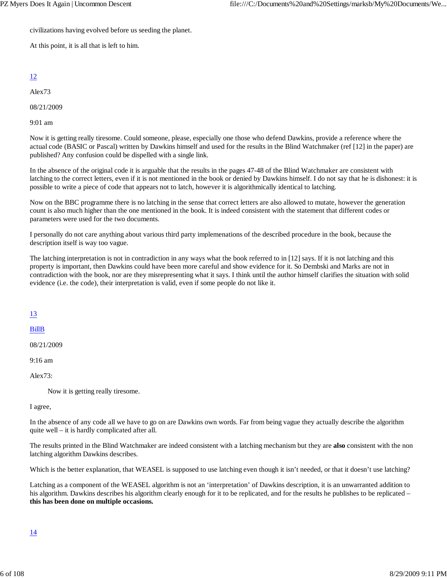civilizations having evolved before us seeding the planet.

At this point, it is all that is left to him.

## 12

Alex73

08/21/2009

9:01 am

Now it is getting really tiresome. Could someone, please, especially one those who defend Dawkins, provide a reference where the actual code (BASIC or Pascal) written by Dawkins himself and used for the results in the Blind Watchmaker (ref [12] in the paper) are published? Any confusion could be dispelled with a single link.

In the absence of the original code it is arguable that the results in the pages 47-48 of the Blind Watchmaker are consistent with latching to the correct letters, even if it is not mentioned in the book or denied by Dawkins himself. I do not say that he is dishonest: it is possible to write a piece of code that appears not to latch, however it is algorithmically identical to latching.

Now on the BBC programme there is no latching in the sense that correct letters are also allowed to mutate, however the generation count is also much higher than the one mentioned in the book. It is indeed consistent with the statement that different codes or parameters were used for the two documents.

I personally do not care anything about various third party implemenations of the described procedure in the book, because the description itself is way too vague.

The latching interpretation is not in contradiction in any ways what the book referred to in [12] says. If it is not latching and this property is important, then Dawkins could have been more careful and show evidence for it. So Dembski and Marks are not in contradiction with the book, nor are they misrepresenting what it says. I think until the author himself clarifies the situation with solid evidence (i.e. the code), their interpretation is valid, even if some people do not like it.

13

BillB

08/21/2009

9:16 am

Alex73:

Now it is getting really tiresome.

I agree,

In the absence of any code all we have to go on are Dawkins own words. Far from being vague they actually describe the algorithm quite well – it is hardly complicated after all.

The results printed in the Blind Watchmaker are indeed consistent with a latching mechanism but they are **also** consistent with the non latching algorithm Dawkins describes.

Which is the better explanation, that WEASEL is supposed to use latching even though it isn't needed, or that it doesn't use latching?

Latching as a component of the WEASEL algorithm is not an 'interpretation' of Dawkins description, it is an unwarranted addition to his algorithm. Dawkins describes his algorithm clearly enough for it to be replicated, and for the results he publishes to be replicated – **this has been done on multiple occasions.**

## 14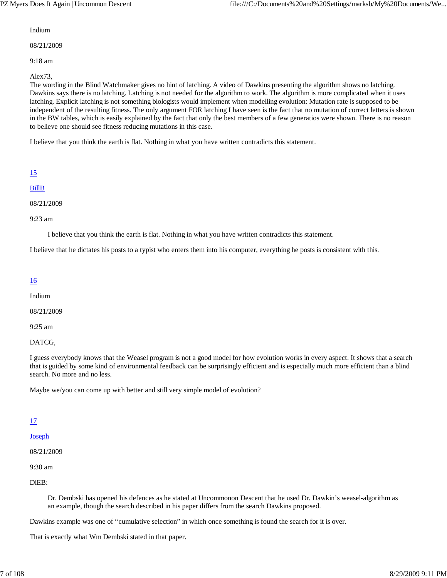#### Indium

08/21/2009

9:18 am

Alex73,

The wording in the Blind Watchmaker gives no hint of latching. A video of Dawkins presenting the algorithm shows no latching. Dawkins says there is no latching. Latching is not needed for the algorithm to work. The algorithm is more complicated when it uses latching. Explicit latching is not something biologists would implement when modelling evolution: Mutation rate is supposed to be independent of the resulting fitness. The only argument FOR latching I have seen is the fact that no mutation of correct letters is shown in the BW tables, which is easily explained by the fact that only the best members of a few generatios were shown. There is no reason to believe one should see fitness reducing mutations in this case.

I believe that you think the earth is flat. Nothing in what you have written contradicts this statement.

| ۰        |
|----------|
| ٠        |
| ۰,<br>., |
|          |

## BillB

08/21/2009

9:23 am

I believe that you think the earth is flat. Nothing in what you have written contradicts this statement.

I believe that he dictates his posts to a typist who enters them into his computer, everything he posts is consistent with this.

#### 16

Indium

08/21/2009

9:25 am

DATCG,

I guess everybody knows that the Weasel program is not a good model for how evolution works in every aspect. It shows that a search that is guided by some kind of environmental feedback can be surprisingly efficient and is especially much more efficient than a blind search. No more and no less.

Maybe we/you can come up with better and still very simple model of evolution?

## 17

## Joseph

08/21/2009

9:30 am

DiEB:

Dr. Dembski has opened his defences as he stated at Uncommonon Descent that he used Dr. Dawkin's weasel-algorithm as an example, though the search described in his paper differs from the search Dawkins proposed.

Dawkins example was one of "cumulative selection" in which once something is found the search for it is over.

That is exactly what Wm Dembski stated in that paper.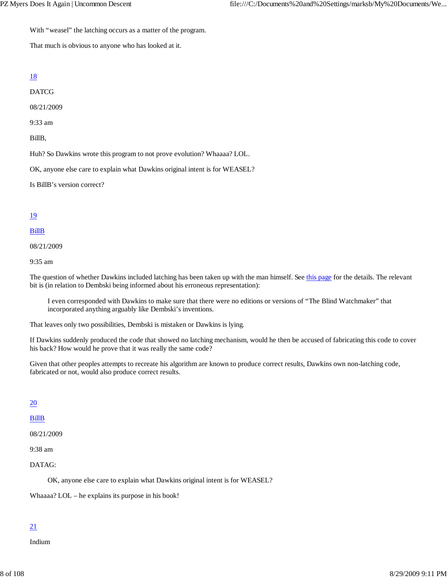With "weasel" the latching occurs as a matter of the program.

That much is obvious to anyone who has looked at it.

#### 18

DATCG

08/21/2009

9:33 am

BillB,

Huh? So Dawkins wrote this program to not prove evolution? Whaaaa? LOL.

OK, anyone else care to explain what Dawkins original intent is for WEASEL?

Is BillB's version correct?

#### 19

#### BillB

08/21/2009

9:35 am

The question of whether Dawkins included latching has been taken up with the man himself. See this page for the details. The relevant bit is (in relation to Dembski being informed about his erroneous representation):

I even corresponded with Dawkins to make sure that there were no editions or versions of "The Blind Watchmaker" that incorporated anything arguably like Dembski's inventions.

That leaves only two possibilities, Dembski is mistaken or Dawkins is lying.

If Dawkins suddenly produced the code that showed no latching mechanism, would he then be accused of fabricating this code to cover his back? How would he prove that it was really the same code?

Given that other peoples attempts to recreate his algorithm are known to produce correct results, Dawkins own non-latching code, fabricated or not, would also produce correct results.

#### 20

#### BillB

08/21/2009

9:38 am

#### DATAG:

OK, anyone else care to explain what Dawkins original intent is for WEASEL?

Whaaaa? LOL – he explains its purpose in his book!

## 21

Indium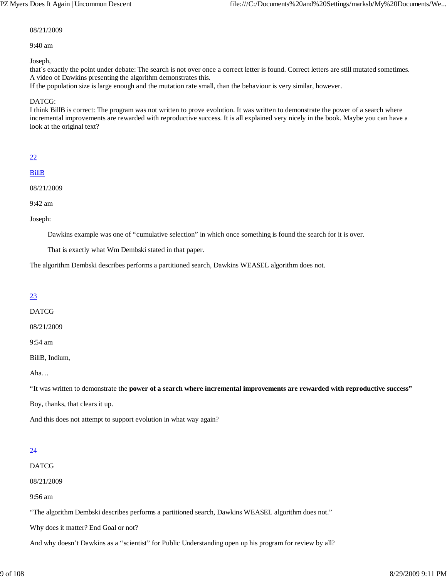#### 08/21/2009

#### 9:40 am

Joseph,

that´s exactly the point under debate: The search is not over once a correct letter is found. Correct letters are still mutated sometimes. A video of Dawkins presenting the algorithm demonstrates this.

If the population size is large enough and the mutation rate small, than the behaviour is very similar, however.

DATCG:

I think BillB is correct: The program was not written to prove evolution. It was written to demonstrate the power of a search where incremental improvements are rewarded with reproductive success. It is all explained very nicely in the book. Maybe you can have a look at the original text?

#### 22

BillB

08/21/2009

9:42 am

Joseph:

Dawkins example was one of "cumulative selection" in which once something is found the search for it is over.

That is exactly what Wm Dembski stated in that paper.

The algorithm Dembski describes performs a partitioned search, Dawkins WEASEL algorithm does not.

## 23

DATCG

08/21/2009

9:54 am

BillB, Indium,

Aha…

"It was written to demonstrate the **power of a search where incremental improvements are rewarded with reproductive success"**

Boy, thanks, that clears it up.

And this does not attempt to support evolution in what way again?

## 24

DATCG

08/21/2009

9:56 am

"The algorithm Dembski describes performs a partitioned search, Dawkins WEASEL algorithm does not."

Why does it matter? End Goal or not?

And why doesn't Dawkins as a "scientist" for Public Understanding open up his program for review by all?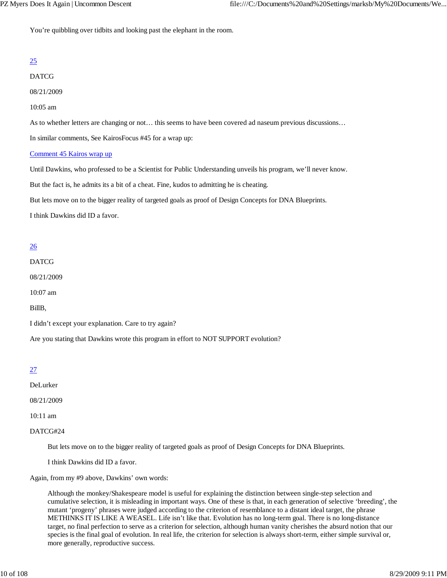You're quibbling over tidbits and looking past the elephant in the room.

## 25

DATCG

08/21/2009

#### 10:05 am

As to whether letters are changing or not… this seems to have been covered ad naseum previous discussions…

In similar comments, See KairosFocus #45 for a wrap up:

#### Comment 45 Kairos wrap up

Until Dawkins, who professed to be a Scientist for Public Understanding unveils his program, we'll never know.

But the fact is, he admits its a bit of a cheat. Fine, kudos to admitting he is cheating.

But lets move on to the bigger reality of targeted goals as proof of Design Concepts for DNA Blueprints.

I think Dawkins did ID a favor.

## 26

DATCG

08/21/2009

10:07 am

BillB,

I didn't except your explanation. Care to try again?

Are you stating that Dawkins wrote this program in effort to NOT SUPPORT evolution?

## 27

DeLurker

08/21/2009

10:11 am

DATCG#24

But lets move on to the bigger reality of targeted goals as proof of Design Concepts for DNA Blueprints.

I think Dawkins did ID a favor.

Again, from my #9 above, Dawkins' own words:

Although the monkey/Shakespeare model is useful for explaining the distinction between single-step selection and cumulative selection, it is misleading in important ways. One of these is that, in each generation of selective 'breeding', the mutant 'progeny' phrases were judged according to the criterion of resemblance to a distant ideal target, the phrase METHINKS IT IS LIKE A WEASEL. Life isn't like that. Evolution has no long-term goal. There is no long-distance target, no final perfection to serve as a criterion for selection, although human vanity cherishes the absurd notion that our species is the final goal of evolution. In real life, the criterion for selection is always short-term, either simple survival or, more generally, reproductive success.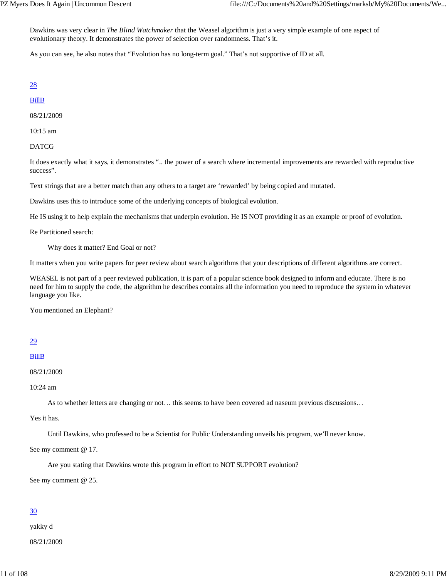Dawkins was very clear in *The Blind Watchmaker* that the Weasel algorithm is just a very simple example of one aspect of evolutionary theory. It demonstrates the power of selection over randomness. That's it.

As you can see, he also notes that "Evolution has no long-term goal." That's not supportive of ID at all.

#### 28

#### BillB

08/21/2009

10:15 am

DATCG

It does exactly what it says, it demonstrates ".. the power of a search where incremental improvements are rewarded with reproductive success".

Text strings that are a better match than any others to a target are 'rewarded' by being copied and mutated.

Dawkins uses this to introduce some of the underlying concepts of biological evolution.

He IS using it to help explain the mechanisms that underpin evolution. He IS NOT providing it as an example or proof of evolution.

Re Partitioned search:

Why does it matter? End Goal or not?

It matters when you write papers for peer review about search algorithms that your descriptions of different algorithms are correct.

WEASEL is not part of a peer reviewed publication, it is part of a popular science book designed to inform and educate. There is no need for him to supply the code, the algorithm he describes contains all the information you need to reproduce the system in whatever language you like.

You mentioned an Elephant?

## 29

#### BillB

```
08/21/2009
```
10:24 am

As to whether letters are changing or not… this seems to have been covered ad naseum previous discussions…

Yes it has.

Until Dawkins, who professed to be a Scientist for Public Understanding unveils his program, we'll never know.

See my comment @ 17.

Are you stating that Dawkins wrote this program in effort to NOT SUPPORT evolution?

See my comment @ 25.

## 30

yakky d 08/21/2009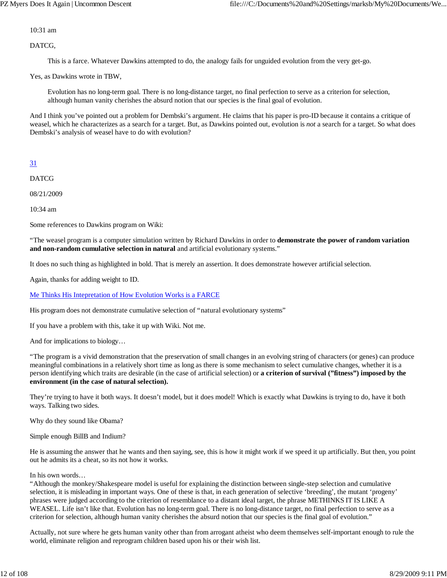10:31 am

DATCG,

This is a farce. Whatever Dawkins attempted to do, the analogy fails for unguided evolution from the very get-go.

Yes, as Dawkins wrote in TBW,

Evolution has no long-term goal. There is no long-distance target, no final perfection to serve as a criterion for selection, although human vanity cherishes the absurd notion that our species is the final goal of evolution.

And I think you've pointed out a problem for Dembski's argument. He claims that his paper is pro-ID because it contains a critique of weasel, which he characterizes as a search for a target. But, as Dawkins pointed out, evolution is *not* a search for a target. So what does Dembski's analysis of weasel have to do with evolution?

## 31

DATCG

08/21/2009

10:34 am

Some references to Dawkins program on Wiki:

"The weasel program is a computer simulation written by Richard Dawkins in order to **demonstrate the power of random variation and non-random cumulative selection in natural** and artificial evolutionary systems."

It does no such thing as highlighted in bold. That is merely an assertion. It does demonstrate however artificial selection.

Again, thanks for adding weight to ID.

Me Thinks His Intepretation of How Evolution Works is a FARCE

His program does not demonstrate cumulative selection of "natural evolutionary systems"

If you have a problem with this, take it up with Wiki. Not me.

And for implications to biology…

"The program is a vivid demonstration that the preservation of small changes in an evolving string of characters (or genes) can produce meaningful combinations in a relatively short time as long as there is some mechanism to select cumulative changes, whether it is a person identifying which traits are desirable (in the case of artificial selection) or **a criterion of survival ("fitness") imposed by the environment (in the case of natural selection).**

They're trying to have it both ways. It doesn't model, but it does model! Which is exactly what Dawkins is trying to do, have it both ways. Talking two sides.

Why do they sound like Obama?

Simple enough BillB and Indium?

He is assuming the answer that he wants and then saying, see, this is how it might work if we speed it up artificially. But then, you point out he admits its a cheat, so its not how it works.

#### In his own words…

"Although the monkey/Shakespeare model is useful for explaining the distinction between single-step selection and cumulative selection, it is misleading in important ways. One of these is that, in each generation of selective 'breeding', the mutant 'progeny' phrases were judged according to the criterion of resemblance to a distant ideal target, the phrase METHINKS IT IS LIKE A WEASEL. Life isn't like that. Evolution has no long-term goal. There is no long-distance target, no final perfection to serve as a criterion for selection, although human vanity cherishes the absurd notion that our species is the final goal of evolution."

Actually, not sure where he gets human vanity other than from arrogant atheist who deem themselves self-important enough to rule the world, eliminate religion and reprogram children based upon his or their wish list.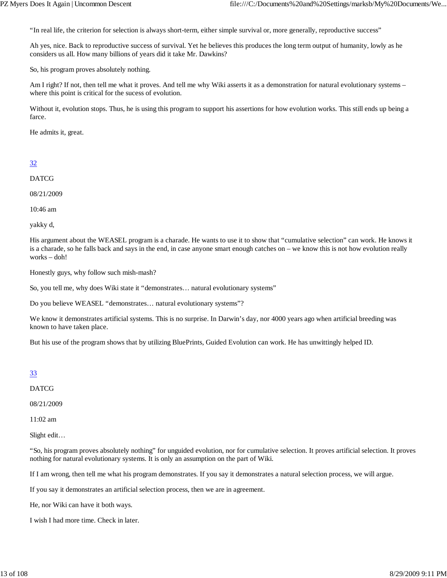"In real life, the criterion for selection is always short-term, either simple survival or, more generally, reproductive success"

Ah yes, nice. Back to reproductive success of survival. Yet he believes this produces the long term output of humanity, lowly as he considers us all. How many billions of years did it take Mr. Dawkins?

So, his program proves absolutely nothing.

Am I right? If not, then tell me what it proves. And tell me why Wiki asserts it as a demonstration for natural evolutionary systems – where this point is critical for the sucess of evolution.

Without it, evolution stops. Thus, he is using this program to support his assertions for how evolution works. This still ends up being a farce.

He admits it, great.

## 32

DATCG

08/21/2009

10:46 am

yakky d,

His argument about the WEASEL program is a charade. He wants to use it to show that "cumulative selection" can work. He knows it is a charade, so he falls back and says in the end, in case anyone smart enough catches on – we know this is not how evolution really works – doh!

Honestly guys, why follow such mish-mash?

So, you tell me, why does Wiki state it "demonstrates… natural evolutionary systems"

Do you believe WEASEL "demonstrates… natural evolutionary systems"?

We know it demonstrates artificial systems. This is no surprise. In Darwin's day, nor 4000 years ago when artificial breeding was known to have taken place.

But his use of the program shows that by utilizing BluePrints, Guided Evolution can work. He has unwittingly helped ID.

## 33

DATCG

08/21/2009

11:02 am

Slight edit…

"So, his program proves absolutely nothing" for unguided evolution, nor for cumulative selection. It proves artificial selection. It proves nothing for natural evolutionary systems. It is only an assumption on the part of Wiki.

If I am wrong, then tell me what his program demonstrates. If you say it demonstrates a natural selection process, we will argue.

If you say it demonstrates an artificial selection process, then we are in agreement.

He, nor Wiki can have it both ways.

I wish I had more time. Check in later.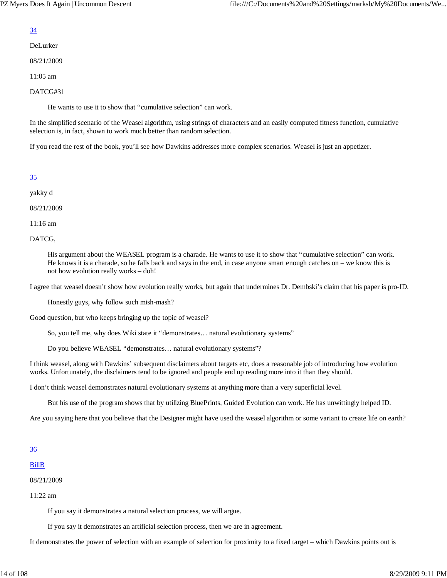#### 34

#### DeLurker

08/21/2009

11:05 am

#### DATCG#31

He wants to use it to show that "cumulative selection" can work.

In the simplified scenario of the Weasel algorithm, using strings of characters and an easily computed fitness function, cumulative selection is, in fact, shown to work much better than random selection.

If you read the rest of the book, you'll see how Dawkins addresses more complex scenarios. Weasel is just an appetizer.

## 35

yakky d

08/21/2009

11:16 am

DATCG,

His argument about the WEASEL program is a charade. He wants to use it to show that "cumulative selection" can work. He knows it is a charade, so he falls back and says in the end, in case anyone smart enough catches on – we know this is not how evolution really works – doh!

I agree that weasel doesn't show how evolution really works, but again that undermines Dr. Dembski's claim that his paper is pro-ID.

Honestly guys, why follow such mish-mash?

Good question, but who keeps bringing up the topic of weasel?

So, you tell me, why does Wiki state it "demonstrates… natural evolutionary systems"

Do you believe WEASEL "demonstrates… natural evolutionary systems"?

I think weasel, along with Dawkins' subsequent disclaimers about targets etc, does a reasonable job of introducing how evolution works. Unfortunately, the disclaimers tend to be ignored and people end up reading more into it than they should.

I don't think weasel demonstrates natural evolutionary systems at anything more than a very superficial level.

But his use of the program shows that by utilizing BluePrints, Guided Evolution can work. He has unwittingly helped ID.

Are you saying here that you believe that the Designer might have used the weasel algorithm or some variant to create life on earth?

## 36

#### BillB

08/21/2009

11:22 am

If you say it demonstrates a natural selection process, we will argue.

If you say it demonstrates an artificial selection process, then we are in agreement.

It demonstrates the power of selection with an example of selection for proximity to a fixed target – which Dawkins points out is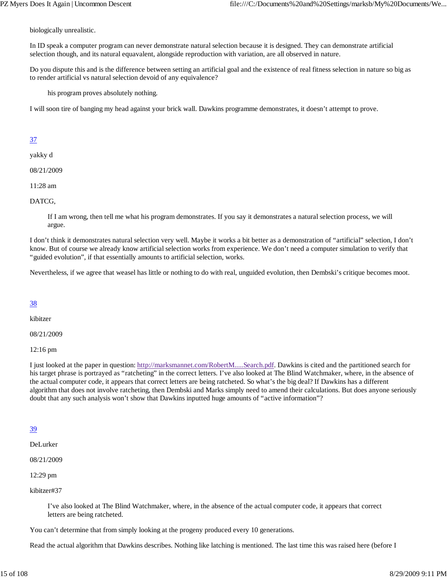biologically unrealistic.

In ID speak a computer program can never demonstrate natural selection because it is designed. They can demonstrate artificial selection though, and its natural equavalent, alongside reproduction with variation, are all observed in nature.

Do you dispute this and is the difference between setting an artificial goal and the existence of real fitness selection in nature so big as to render artificial vs natural selection devoid of any equivalence?

his program proves absolutely nothing.

I will soon tire of banging my head against your brick wall. Dawkins programme demonstrates, it doesn't attempt to prove.

## 37

yakky d

08/21/2009

11:28 am

DATCG,

If I am wrong, then tell me what his program demonstrates. If you say it demonstrates a natural selection process, we will argue.

I don't think it demonstrates natural selection very well. Maybe it works a bit better as a demonstration of "artificial" selection, I don't know. But of course we already know artificial selection works from experience. We don't need a computer simulation to verify that "guided evolution", if that essentially amounts to artificial selection, works.

Nevertheless, if we agree that weasel has little or nothing to do with real, unguided evolution, then Dembski's critique becomes moot.

## 38

kibitzer

08/21/2009

12:16 pm

I just looked at the paper in question: http://marksmannet.com/RobertM.....Search.pdf. Dawkins is cited and the partitioned search for his target phrase is portrayed as "ratcheting" in the correct letters. I've also looked at The Blind Watchmaker, where, in the absence of the actual computer code, it appears that correct letters are being ratcheted. So what's the big deal? If Dawkins has a different algorithm that does not involve ratcheting, then Dembski and Marks simply need to amend their calculations. But does anyone seriously doubt that any such analysis won't show that Dawkins inputted huge amounts of "active information"?

## 39

DeLurker

08/21/2009

12:29 pm

kibitzer#37

I've also looked at The Blind Watchmaker, where, in the absence of the actual computer code, it appears that correct letters are being ratcheted.

You can't determine that from simply looking at the progeny produced every 10 generations.

Read the actual algorithm that Dawkins describes. Nothing like latching is mentioned. The last time this was raised here (before I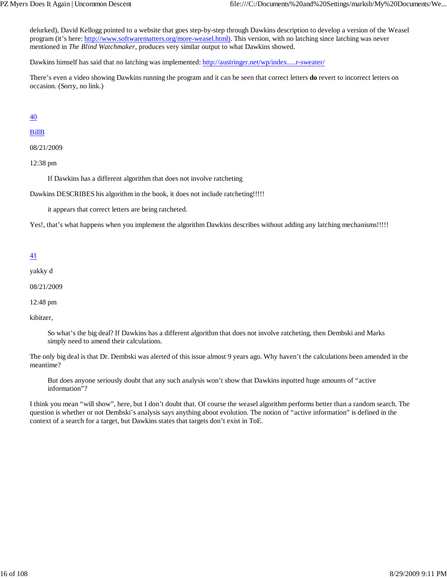delurked), David Kellogg pointed to a website that goes step-by-step through Dawkins description to develop a version of the Weasel program (it's here: http://www.softwarematters.org/more-weasel.html). This version, with no latching since latching was never mentioned in *The Blind Watchmaker*, produces very similar output to what Dawkins showed.

Dawkins himself has said that no latching was implemented: http://austringer.net/wp/index.....r-sweater/

There's even a video showing Dawkins running the program and it can be seen that correct letters **do** revert to incorrect letters on occasion. (Sorry, no link.)

40

#### BillB

08/21/2009

12:38 pm

If Dawkins has a different algorithm that does not involve ratcheting

Dawkins DESCRIBES his algorithm in the book, it does not include ratcheting!!!!!

it appears that correct letters are being ratcheted.

Yes!, that's what happens when you implement the algorithm Dawkins describes without adding any latching mechanisms!!!!!

#### 41

yakky d

08/21/2009

12:48 pm

kibitzer,

So what's the big deal? If Dawkins has a different algorithm that does not involve ratcheting, then Dembski and Marks simply need to amend their calculations.

The only big deal is that Dr. Dembski was alerted of this issue almost 9 years ago. Why haven't the calculations been amended in the meantime?

But does anyone seriously doubt that any such analysis won't show that Dawkins inputted huge amounts of "active information"?

I think you mean "will show", here, but I don't doubt that. Of course the weasel algorithm performs better than a random search. The question is whether or not Dembski's analysis says anything about evolution. The notion of "active information" is defined in the context of a search for a target, but Dawkins states that targets don't exist in ToE.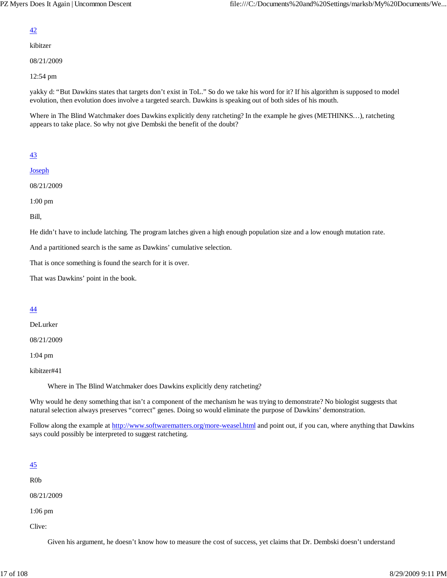#### 42

kibitzer

08/21/2009

12:54 pm

yakky d: "But Dawkins states that targets don't exist in ToL." So do we take his word for it? If his algorithm is supposed to model evolution, then evolution does involve a targeted search. Dawkins is speaking out of both sides of his mouth.

Where in The Blind Watchmaker does Dawkins explicitly deny ratcheting? In the example he gives (METHINKS...), ratcheting appears to take place. So why not give Dembski the benefit of the doubt?

## 43

**Joseph** 

08/21/2009

1:00 pm

Bill,

He didn't have to include latching. The program latches given a high enough population size and a low enough mutation rate.

And a partitioned search is the same as Dawkins' cumulative selection.

That is once something is found the search for it is over.

That was Dawkins' point in the book.

## 44

DeLurker

08/21/2009

1:04 pm

kibitzer#41

Where in The Blind Watchmaker does Dawkins explicitly deny ratcheting?

Why would he deny something that isn't a component of the mechanism he was trying to demonstrate? No biologist suggests that natural selection always preserves "correct" genes. Doing so would eliminate the purpose of Dawkins' demonstration.

Follow along the example at http://www.softwarematters.org/more-weasel.html and point out, if you can, where anything that Dawkins says could possibly be interpreted to suggest ratcheting.

#### 45

R0b

08/21/2009

1:06 pm

Clive:

Given his argument, he doesn't know how to measure the cost of success, yet claims that Dr. Dembski doesn't understand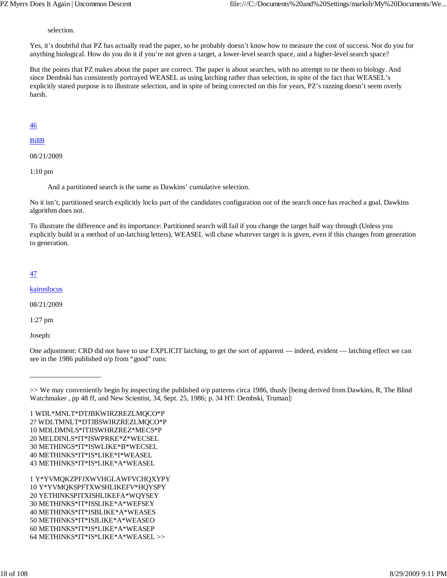selection.

Yes, it's doubtful that PZ has actually read the paper, so he probably doesn't know how to measure the cost of success. Nor do you for anything biological. How do you do it if you're not given a target, a lower-level search space, and a higher-level search space?

But the points that PZ makes about the paper are correct. The paper is about searches, with no attempt to tie them to biology. And since Dembski has consistently portrayed WEASEL as using latching rather than selection, in spite of the fact that WEASEL's explicitly stated purpose is to illustrate selection, and in spite of being corrected on this for years, PZ's razzing doesn't seem overly harsh.

#### 46

#### BillB

08/21/2009

1:10 pm

And a partitioned search is the same as Dawkins' cumulative selection.

No it isn't, partitioned search explicitly locks part of the candidates configuration out of the search once has reached a goal. Dawkins algorithm does not.

To illustrate the difference and its importance: Partitioned search will fail if you change the target half way through (Unless you explicitly build in a method of un-latching letters), WEASEL will chase whatever target is is given, even if this changes from generation to generation.

## 47

kairosfocus

08/21/2009

1:27 pm

Joseph:

\_\_\_\_\_\_\_\_\_\_\_\_\_\_\_\_\_\_\_\_

One adjustment: CRD did not have to use EXPLICIT latching, to get the sort of apparent — indeed, evident — latching effect we can see in the 1986 published o/p from "good" runs:

1 WDL\*MNLT\*DTJBKWIRZREZLMQCO\*P 2? WDLTMNLT\*DTJBSWIRZREZLMQCO\*P 10 MDLDMNLS\*ITJISWHRZREZ\*MECS\*P 20 MELDINLS\*IT\*ISWPRKE\*Z\*WECSEL 30 METHINGS\*IT\*ISWLIKE\*B\*WECSEL 40 METHINKS\*IT\*IS\*LIKE\*I\*WEASEL 43 METHINKS\*IT\*IS\*LIKE\*A\*WEASEL

1 Y\*YVMQKZPFJXWVHGLAWFVCHQXYPY 10 Y\*YVMQKSPFTXWSHLIKEFV\*HQYSPY 20 YETHINKSPITXISHLIKEFA\*WQYSEY 30 METHINKS\*IT\*ISSLIKE\*A\*WEFSEY 40 METHINKS\*IT\*ISBLIKE\*A\*WEASES 50 METHINKS\*IT\*ISJLIKE\*A\*WEASEO 60 METHINKS\*IT\*IS\*LIKE\*A\*WEASEP 64 METHINKS\*IT\*IS\*LIKE\*A\*WEASEL >>

<sup>&</sup>gt;> We may conveniently begin by inspecting the published o/p patterns circa 1986, thusly [being derived from Dawkins, R, The Blind Watchmaker , pp 48 ff, and New Scientist, 34, Sept. 25, 1986; p. 34 HT: Dembski, Truman]: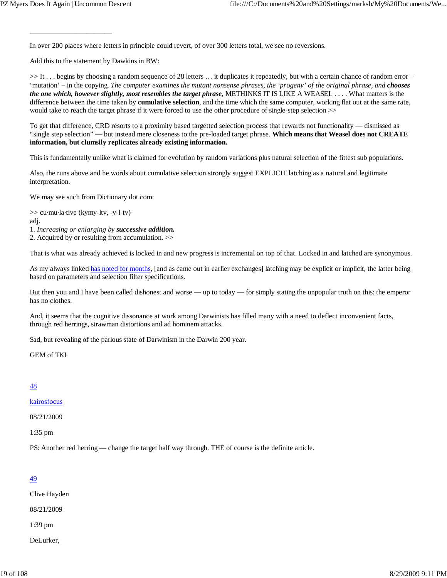In over 200 places where letters in principle could revert, of over 300 letters total, we see no reversions.

Add this to the statement by Dawkins in BW:

\_\_\_\_\_\_\_\_\_\_\_\_\_\_\_\_\_\_\_\_\_\_\_

>> It . . . begins by choosing a random sequence of 28 letters ... it duplicates it repeatedly, but with a certain chance of random error – 'mutation' – in the copying. *The computer examines the mutant nonsense phrases, the 'progeny' of the original phrase, and chooses the one which, however slightly, most resembles the target phrase,* METHINKS IT IS LIKE A WEASEL . . . . What matters is the difference between the time taken by **cumulative selection**, and the time which the same computer, working flat out at the same rate, would take to reach the target phrase if it were forced to use the other procedure of single-step selection >>

To get that difference, CRD resorts to a proximity based targetted selection process that rewards not functionality — dismissed as "single step selection" — but instead mere closeness to the pre-loaded target phrase. **Which means that Weasel does not CREATE information, but clumsily replicates already existing information.**

This is fundamentally unlike what is claimed for evolution by random variations plus natural selection of the fittest sub populations.

Also, the runs above and he words about cumulative selection strongly suggest EXPLICIT latching as a natural and legitimate interpretation.

We may see such from Dictionary dot com:

>> cu·mu·la·tive (kymy-ltv, -y-l-tv)

adj.

1. *Increasing or enlarging by successive addition.*

2. Acquired by or resulting from accumulation. >>

That is what was already achieved is locked in and new progress is incremental on top of that. Locked in and latched are synonymous.

As my always linked has noted for months, [and as came out in earlier exchanges] latching may be explicit or implicit, the latter being based on parameters and selection filter specifications.

But then you and I have been called dishonest and worse — up to today — for simply stating the unpopular truth on this: the emperor has no clothes.

And, it seems that the cognitive dissonance at work among Darwinists has filled many with a need to deflect inconvenient facts, through red herrings, strawman distortions and ad hominem attacks.

Sad, but revealing of the parlous state of Darwinism in the Darwin 200 year.

GEM of TKI

#### 48

kairosfocus

08/21/2009

1:35 pm

PS: Another red herring — change the target half way through. THE of course is the definite article.

#### 49

Clive Hayden

08/21/2009

1:39 pm

DeLurker,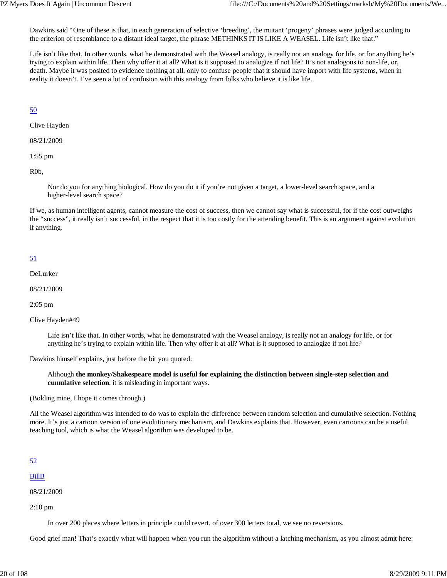Dawkins said "One of these is that, in each generation of selective 'breeding', the mutant 'progeny' phrases were judged according to the criterion of resemblance to a distant ideal target, the phrase METHINKS IT IS LIKE A WEASEL. Life isn't like that."

Life isn't like that. In other words, what he demonstrated with the Weasel analogy, is really not an analogy for life, or for anything he's trying to explain within life. Then why offer it at all? What is it supposed to analogize if not life? It's not analogous to non-life, or, death. Maybe it was posited to evidence nothing at all, only to confuse people that it should have import with life systems, when in reality it doesn't. I've seen a lot of confusion with this analogy from folks who believe it is like life.

## 50

Clive Hayden

08/21/2009

1:55 pm

R0b,

Nor do you for anything biological. How do you do it if you're not given a target, a lower-level search space, and a higher-level search space?

If we, as human intelligent agents, cannot measure the cost of success, then we cannot say what is successful, for if the cost outweighs the "success", it really isn't successful, in the respect that it is too costly for the attending benefit. This is an argument against evolution if anything.

## 51

DeLurker

08/21/2009

2:05 pm

Clive Hayden#49

Life isn't like that. In other words, what he demonstrated with the Weasel analogy, is really not an analogy for life, or for anything he's trying to explain within life. Then why offer it at all? What is it supposed to analogize if not life?

Dawkins himself explains, just before the bit you quoted:

Although **the monkey/Shakespeare model is useful for explaining the distinction between single-step selection and cumulative selection**, it is misleading in important ways.

(Bolding mine, I hope it comes through.)

All the Weasel algorithm was intended to do was to explain the difference between random selection and cumulative selection. Nothing more. It's just a cartoon version of one evolutionary mechanism, and Dawkins explains that. However, even cartoons can be a useful teaching tool, which is what the Weasel algorithm was developed to be.

#### 52

BillB

08/21/2009

2:10 pm

In over 200 places where letters in principle could revert, of over 300 letters total, we see no reversions.

Good grief man! That's exactly what will happen when you run the algorithm without a latching mechanism, as you almost admit here: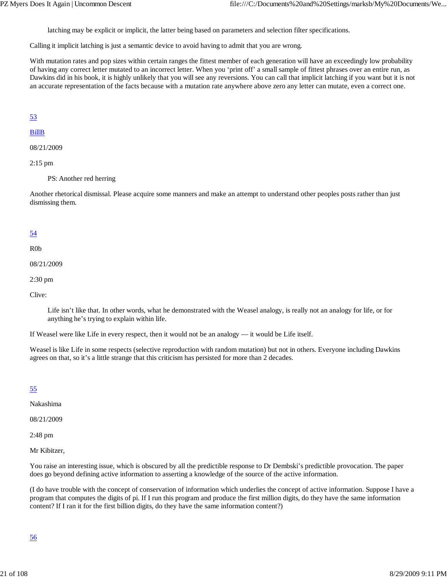latching may be explicit or implicit, the latter being based on parameters and selection filter specifications.

Calling it implicit latching is just a semantic device to avoid having to admit that you are wrong.

With mutation rates and pop sizes within certain ranges the fittest member of each generation will have an exceedingly low probability of having any correct letter mutated to an incorrect letter. When you 'print off' a small sample of fittest phrases over an entire run, as Dawkins did in his book, it is highly unlikely that you will see any reversions. You can call that implicit latching if you want but it is not an accurate representation of the facts because with a mutation rate anywhere above zero any letter can mutate, even a correct one.

#### 53

#### BillB

08/21/2009

#### 2:15 pm

PS: Another red herring

Another rhetorical dismissal. Please acquire some manners and make an attempt to understand other peoples posts rather than just dismissing them.

#### 54

#### R0b

08/21/2009

#### 2:30 pm

Clive:

Life isn't like that. In other words, what he demonstrated with the Weasel analogy, is really not an analogy for life, or for anything he's trying to explain within life.

If Weasel were like Life in every respect, then it would not be an analogy — it would be Life itself.

Weasel is like Life in some respects (selective reproduction with random mutation) but not in others. Everyone including Dawkins agrees on that, so it's a little strange that this criticism has persisted for more than 2 decades.

#### 55

Nakashima

08/21/2009

2:48 pm

Mr Kibitzer,

You raise an interesting issue, which is obscured by all the predictible response to Dr Dembski's predictible provocation. The paper does go beyond defining active information to asserting a knowledge of the source of the active information.

(I do have trouble with the concept of conservation of information which underlies the concept of active information. Suppose I have a program that computes the digits of pi. If I run this program and produce the first million digits, do they have the same information content? If I ran it for the first billion digits, do they have the same information content?)

#### 56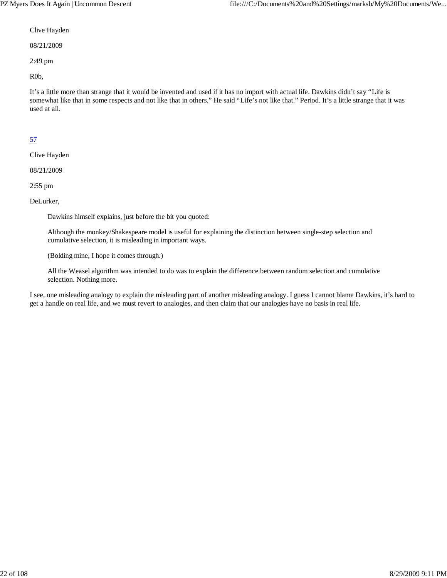#### Clive Hayden

08/21/2009

2:49 pm

R0b,

It's a little more than strange that it would be invented and used if it has no import with actual life. Dawkins didn't say "Life is somewhat like that in some respects and not like that in others." He said "Life's not like that." Period. It's a little strange that it was used at all.

## 57

Clive Hayden

08/21/2009

2:55 pm

DeLurker,

Dawkins himself explains, just before the bit you quoted:

Although the monkey/Shakespeare model is useful for explaining the distinction between single-step selection and cumulative selection, it is misleading in important ways.

(Bolding mine, I hope it comes through.)

All the Weasel algorithm was intended to do was to explain the difference between random selection and cumulative selection. Nothing more.

I see, one misleading analogy to explain the misleading part of another misleading analogy. I guess I cannot blame Dawkins, it's hard to get a handle on real life, and we must revert to analogies, and then claim that our analogies have no basis in real life.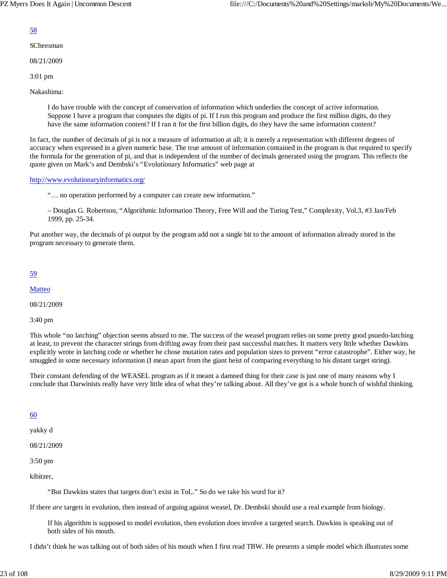#### 58

SCheesman

08/21/2009

3:01 pm

Nakashima:

I do have trouble with the concept of conservation of information which underlies the concept of active information. Suppose I have a program that computes the digits of pi. If I run this program and produce the first million digits, do they have the same information content? If I ran it for the first billion digits, do they have the same information content?

In fact, the number of decimals of pi is not a measure of information at all; it is merely a representation with different degrees of accuracy when expressed in a given numeric base. The true amount of information contained in the program is that required to specify the formula for the generation of pi, and that is independent of the number of decimals generated using the program. This reflects the quote given on Mark's and Dembski's "Evolutionary Informatics" web page at

#### http://www.evolutionaryinformatics.org/

"… no operation performed by a computer can create new information."

– Douglas G. Robertson, "Algorithmic Information Theory, Free Will and the Turing Test," Complexity, Vol.3, #3 Jan/Feb 1999, pp. 25-34.

Put another way, the decimals of pi output by the program add not a single bit to the amount of information already stored in the program necessary to generate them.

#### 59

**Matteo** 

08/21/2009

3:40 pm

This whole "no latching" objection seems absurd to me. The success of the weasel program relies on some pretty good psuedo-latching at least, to prevent the character strings from drifting away from their past successful matches. It matters very little whether Dawkins explicitly wrote in latching code or whether he chose mutation rates and population sizes to prevent "error catastrophe". Either way, he smuggled in some necessary information (I mean apart from the giant heist of comparing everything to his distant target string).

Their constant defending of the WEASEL program as if it meant a damned thing for their case is just one of many reasons why I conclude that Darwinists really have very little idea of what they're talking about. All they've got is a whole bunch of wishful thinking.

## 60

yakky d

08/21/2009

3:50 pm

kibitzer,

"But Dawkins states that targets don't exist in ToL." So do we take his word for it?

If there *are* targets in evolution, then instead of arguing against weasel, Dr. Dembski should use a real example from biology.

If his algorithm is supposed to model evolution, then evolution does involve a targeted search. Dawkins is speaking out of both sides of his mouth.

I didn't think he was talking out of both sides of his mouth when I first read TBW. He presents a simple model which illustrates some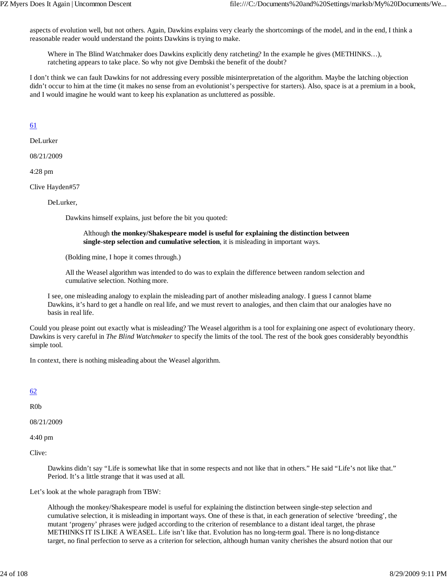aspects of evolution well, but not others. Again, Dawkins explains very clearly the shortcomings of the model, and in the end, I think a reasonable reader would understand the points Dawkins is trying to make.

Where in The Blind Watchmaker does Dawkins explicitly deny ratcheting? In the example he gives (METHINKS...), ratcheting appears to take place. So why not give Dembski the benefit of the doubt?

I don't think we can fault Dawkins for not addressing every possible misinterpretation of the algorithm. Maybe the latching objection didn't occur to him at the time (it makes no sense from an evolutionist's perspective for starters). Also, space is at a premium in a book, and I would imagine he would want to keep his explanation as uncluttered as possible.

#### 61

DeLurker

08/21/2009

4:28 pm

Clive Hayden#57

DeLurker,

Dawkins himself explains, just before the bit you quoted:

#### Although **the monkey/Shakespeare model is useful for explaining the distinction between single-step selection and cumulative selection**, it is misleading in important ways.

(Bolding mine, I hope it comes through.)

All the Weasel algorithm was intended to do was to explain the difference between random selection and cumulative selection. Nothing more.

I see, one misleading analogy to explain the misleading part of another misleading analogy. I guess I cannot blame Dawkins, it's hard to get a handle on real life, and we must revert to analogies, and then claim that our analogies have no basis in real life.

Could you please point out exactly what is misleading? The Weasel algorithm is a tool for explaining one aspect of evolutionary theory. Dawkins is very careful in *The Blind Watchmaker* to specify the limits of the tool. The rest of the book goes considerably beyondthis simple tool.

In context, there is nothing misleading about the Weasel algorithm.

## 62

R0b

08/21/2009

4:40 pm

Clive:

Dawkins didn't say "Life is somewhat like that in some respects and not like that in others." He said "Life's not like that." Period. It's a little strange that it was used at all.

Let's look at the whole paragraph from TBW:

Although the monkey/Shakespeare model is useful for explaining the distinction between single-step selection and cumulative selection, it is misleading in important ways. One of these is that, in each generation of selective 'breeding', the mutant 'progeny' phrases were judged according to the criterion of resemblance to a distant ideal target, the phrase METHINKS IT IS LIKE A WEASEL. Life isn't like that. Evolution has no long-term goal. There is no long-distance target, no final perfection to serve as a criterion for selection, although human vanity cherishes the absurd notion that our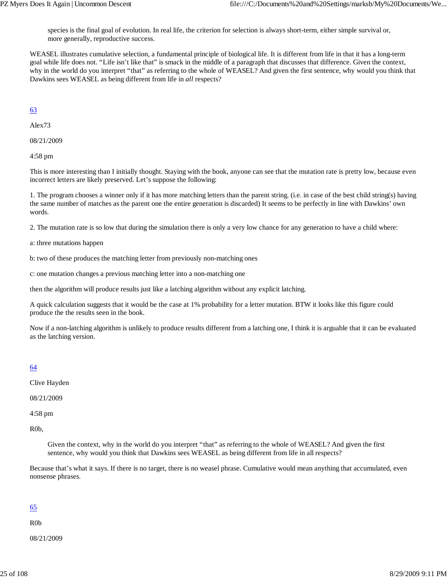species is the final goal of evolution. In real life, the criterion for selection is always short-term, either simple survival or, more generally, reproductive success.

WEASEL illustrates cumulative selection, a fundamental principle of biological life. It is different from life in that it has a long-term goal while life does not. "Life isn't like that" is smack in the middle of a paragraph that discusses that difference. Given the context, why in the world do you interpret "that" as referring to the whole of WEASEL? And given the first sentence, why would you think that Dawkins sees WEASEL as being different from life in *all* respects?

## 63

Alex73

08/21/2009

4:58 pm

This is more interesting than I initially thought. Staying with the book, anyone can see that the mutation rate is pretty low, because even incorrect letters are likely preserved. Let's suppose the following:

1. The program chooses a winner only if it has more matching letters than the parent string. (i.e. in case of the best child string(s) having the same number of matches as the parent one the entire generation is discarded) It seems to be perfectly in line with Dawkins' own words.

2. The mutation rate is so low that during the simulation there is only a very low chance for any generation to have a child where:

a: three mutations happen

b: two of these produces the matching letter from previously non-matching ones

c: one mutation changes a previous matching letter into a non-matching one

then the algorithm will produce results just like a latching algorithm without any explicit latching.

A quick calculation suggests that it would be the case at 1% probability for a letter mutation. BTW it looks like this figure could produce the the results seen in the book.

Now if a non-latching algorithm is unlikely to produce results different from a latching one, I think it is arguable that it can be evaluated as the latching version.

#### 64

Clive Hayden

08/21/2009

4:58 pm

R0b,

Given the context, why in the world do you interpret "that" as referring to the whole of WEASEL? And given the first sentence, why would you think that Dawkins sees WEASEL as being different from life in all respects?

Because that's what it says. If there is no target, there is no weasel phrase. Cumulative would mean anything that accumulated, even nonsense phrases.

#### 65

R0b

08/21/2009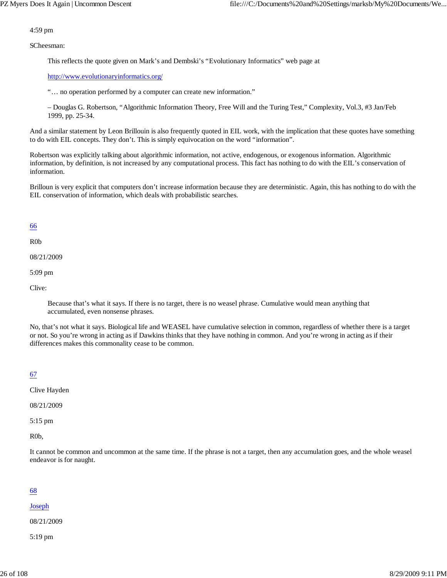#### 4:59 pm

SCheesman:

This reflects the quote given on Mark's and Dembski's "Evolutionary Informatics" web page at

http://www.evolutionaryinformatics.org/

"… no operation performed by a computer can create new information."

– Douglas G. Robertson, "Algorithmic Information Theory, Free Will and the Turing Test," Complexity, Vol.3, #3 Jan/Feb 1999, pp. 25-34.

And a similar statement by Leon Brillouin is also frequently quoted in EIL work, with the implication that these quotes have something to do with EIL concepts. They don't. This is simply equivocation on the word "information".

Robertson was explicitly talking about algorithmic information, not active, endogenous, or exogenous information. Algorithmic information, by definition, is not increased by any computational process. This fact has nothing to do with the EIL's conservation of information.

Brilloun is very explicit that computers don't increase information because they are deterministic. Again, this has nothing to do with the EIL conservation of information, which deals with probabilistic searches.

#### 66

R0b

08/21/2009

5:09 pm

Clive:

Because that's what it says. If there is no target, there is no weasel phrase. Cumulative would mean anything that accumulated, even nonsense phrases.

No, that's not what it says. Biological life and WEASEL have cumulative selection in common, regardless of whether there is a target or not. So you're wrong in acting as if Dawkins thinks that they have nothing in common. And you're wrong in acting as if their differences makes this commonality cease to be common.

## 67

Clive Hayden

08/21/2009

5:15 pm

R0b,

It cannot be common and uncommon at the same time. If the phrase is not a target, then any accumulation goes, and the whole weasel endeavor is for naught.

## 68

#### Joseph

08/21/2009

5:19 pm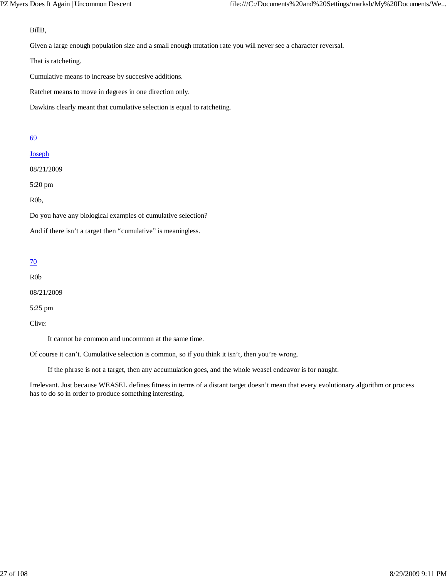#### BillB,

Given a large enough population size and a small enough mutation rate you will never see a character reversal.

That is ratcheting.

Cumulative means to increase by succesive additions.

Ratchet means to move in degrees in one direction only.

Dawkins clearly meant that cumulative selection is equal to ratcheting.

#### 69

#### Joseph

08/21/2009

5:20 pm

R0b,

Do you have any biological examples of cumulative selection?

And if there isn't a target then "cumulative" is meaningless.

#### 70

R0b

08/21/2009

5:25 pm

Clive:

It cannot be common and uncommon at the same time.

Of course it can't. Cumulative selection is common, so if you think it isn't, then you're wrong.

If the phrase is not a target, then any accumulation goes, and the whole weasel endeavor is for naught.

Irrelevant. Just because WEASEL defines fitness in terms of a distant target doesn't mean that every evolutionary algorithm or process has to do so in order to produce something interesting.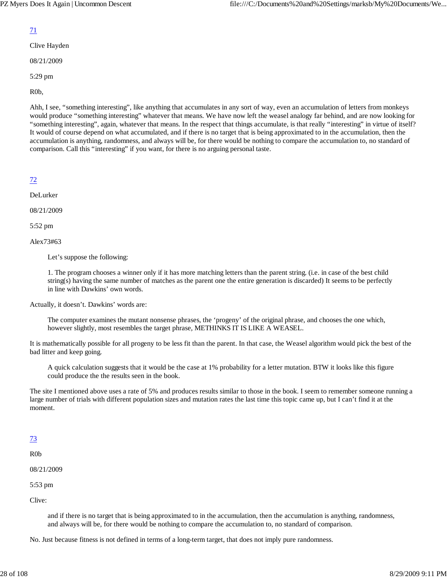#### 71

Clive Hayden

08/21/2009

5:29 pm

R0b,

Ahh, I see, "something interesting", like anything that accumulates in any sort of way, even an accumulation of letters from monkeys would produce "something interesting" whatever that means. We have now left the weasel analogy far behind, and are now looking for "something interesting", again, whatever that means. In the respect that things accumulate, is that really "interesting" in virtue of itself? It would of course depend on what accumulated, and if there is no target that is being approximated to in the accumulation, then the accumulation is anything, randomness, and always will be, for there would be nothing to compare the accumulation to, no standard of comparison. Call this "interesting" if you want, for there is no arguing personal taste.

72

DeLurker

08/21/2009

5:52 pm

Alex73#63

Let's suppose the following:

1. The program chooses a winner only if it has more matching letters than the parent string. (i.e. in case of the best child string(s) having the same number of matches as the parent one the entire generation is discarded) It seems to be perfectly in line with Dawkins' own words.

Actually, it doesn't. Dawkins' words are:

The computer examines the mutant nonsense phrases, the 'progeny' of the original phrase, and chooses the one which, however slightly, most resembles the target phrase, METHINKS IT IS LIKE A WEASEL.

It is mathematically possible for all progeny to be less fit than the parent. In that case, the Weasel algorithm would pick the best of the bad litter and keep going.

A quick calculation suggests that it would be the case at 1% probability for a letter mutation. BTW it looks like this figure could produce the the results seen in the book.

The site I mentioned above uses a rate of 5% and produces results similar to those in the book. I seem to remember someone running a large number of trials with different population sizes and mutation rates the last time this topic came up, but I can't find it at the moment.

## 73

R0b

08/21/2009

5:53 pm

Clive:

and if there is no target that is being approximated to in the accumulation, then the accumulation is anything, randomness, and always will be, for there would be nothing to compare the accumulation to, no standard of comparison.

No. Just because fitness is not defined in terms of a long-term target, that does not imply pure randomness.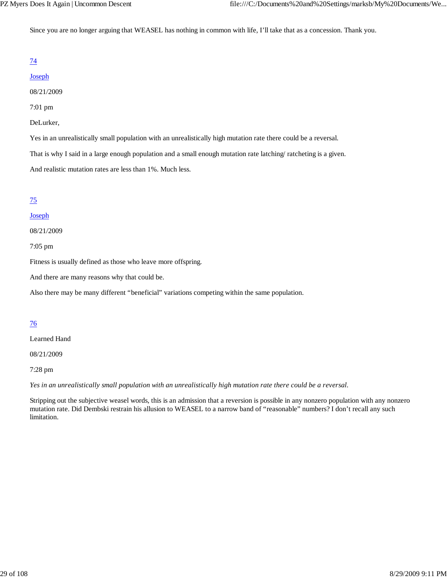Since you are no longer arguing that WEASEL has nothing in common with life, I'll take that as a concession. Thank you.

## 74

#### Joseph

08/21/2009

#### 7:01 pm

#### DeLurker,

Yes in an unrealistically small population with an unrealistically high mutation rate there could be a reversal.

That is why I said in a large enough population and a small enough mutation rate latching/ ratcheting is a given.

And realistic mutation rates are less than 1%. Much less.

#### 75

#### Joseph

08/21/2009

7:05 pm

Fitness is usually defined as those who leave more offspring.

And there are many reasons why that could be.

Also there may be many different "beneficial" variations competing within the same population.

## 76

Learned Hand

08/21/2009

7:28 pm

*Yes in an unrealistically small population with an unrealistically high mutation rate there could be a reversal.*

Stripping out the subjective weasel words, this is an admission that a reversion is possible in any nonzero population with any nonzero mutation rate. Did Dembski restrain his allusion to WEASEL to a narrow band of "reasonable" numbers? I don't recall any such limitation.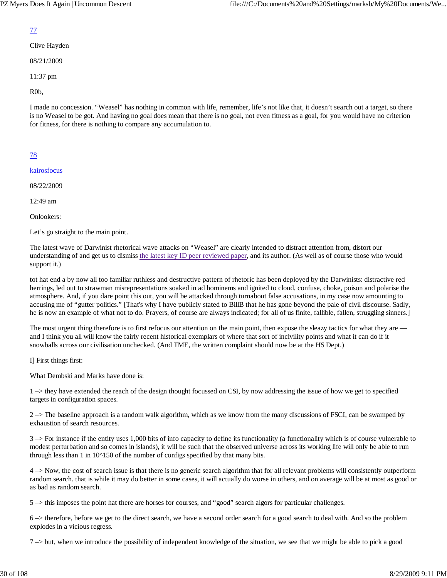#### 77

Clive Hayden

08/21/2009

11:37 pm

R0b,

I made no concession. "Weasel" has nothing in common with life, remember, life's not like that, it doesn't search out a target, so there is no Weasel to be got. And having no goal does mean that there is no goal, not even fitness as a goal, for you would have no criterion for fitness, for there is nothing to compare any accumulation to.

## 78

kairosfocus

08/22/2009

12:49 am

Onlookers:

Let's go straight to the main point.

The latest wave of Darwinist rhetorical wave attacks on "Weasel" are clearly intended to distract attention from, distort our understanding of and get us to dismiss the latest key ID peer reviewed paper, and its author. (As well as of course those who would support it.)

tot hat end a by now all too familiar ruthless and destructive pattern of rhetoric has been deployed by the Darwinists: distractive red herrings, led out to strawman misrepresentations soaked in ad hominems and ignited to cloud, confuse, choke, poison and polarise the atmosphere. And, if you dare point this out, you will be attacked through turnabout false accusations, in my case now amounting to accusing me of "gutter politics." [That's why I have publicly stated to BillB that he has gone beyond the pale of civil discourse. Sadly, he is now an example of what not to do. Prayers, of course are always indicated; for all of us finite, fallible, fallen, struggling sinners.]

The most urgent thing therefore is to first refocus our attention on the main point, then expose the sleazy tactics for what they are and I think you all will know the fairly recent historical exemplars of where that sort of incivility points and what it can do if it snowballs across our civilisation unchecked. (And TME, the written complaint should now be at the HS Dept.)

I] First things first:

What Dembski and Marks have done is:

1 –> they have extended the reach of the design thought focussed on CSI, by now addressing the issue of how we get to specified targets in configuration spaces.

 $2 \rightarrow$  The baseline approach is a random walk algorithm, which as we know from the many discussions of FSCI, can be swamped by exhaustion of search resources.

 $3 \rightarrow$  For instance if the entity uses 1,000 bits of info capacity to define its functionality (a functionality which is of course vulnerable to modest perturbation and so comes in islands), it will be such that the observed universe across its working life will only be able to run through less than 1 in 10^150 of the number of configs specified by that many bits.

4 –> Now, the cost of search issue is that there is no generic search algorithm that for all relevant problems will consistently outperform random search. that is while it may do better in some cases, it will actually do worse in others, and on average will be at most as good or as bad as random search.

5 –> this imposes the point hat there are horses for courses, and "good" search algors for particular challenges.

6 –> therefore, before we get to the direct search, we have a second order search for a good search to deal with. And so the problem explodes in a vicious regress.

 $7 \rightarrow$  but, when we introduce the possibility of independent knowledge of the situation, we see that we might be able to pick a good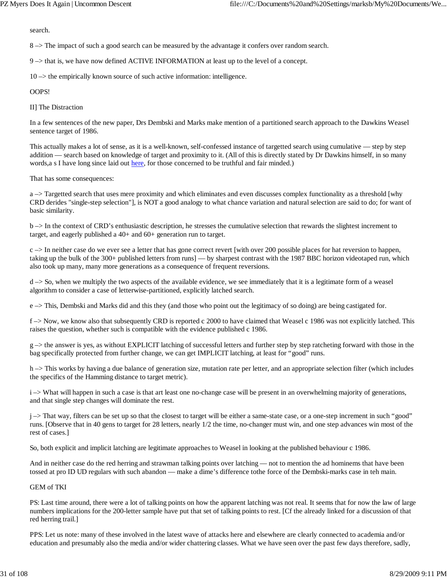search.

8 –> The impact of such a good search can be measured by the advantage it confers over random search.

9 –> that is, we have now defined ACTIVE INFORMATION at least up to the level of a concept.

10 –> the empirically known source of such active information: intelligence.

#### OOPS!

II] The Distraction

In a few sentences of the new paper, Drs Dembski and Marks make mention of a partitioned search approach to the Dawkins Weasel sentence target of 1986.

This actually makes a lot of sense, as it is a well-known, self-confessed instance of targetted search using cumulative — step by step addition — search based on knowledge of target and proximity to it. (All of this is directly stated by Dr Dawkins himself, in so many words, a s I have long since laid out here, for those concerned to be truthful and fair minded.)

That has some consequences:

a –> Targetted search that uses mere proximity and which eliminates and even discusses complex functionality as a threshold [why CRD derides "single-step selection"], is NOT a good analogy to what chance variation and natural selection are said to do; for want of basic similarity.

b –> In the context of CRD's enthusiastic description, he stresses the cumulative selection that rewards the slightest increment to target, and eagerly published a 40+ and 60+ generation run to target.

 $c \rightarrow$  In neither case do we ever see a letter that has gone correct revert [with over 200 possible places for hat reversion to happen, taking up the bulk of the 300+ published letters from runs] — by sharpest contrast with the 1987 BBC horizon videotaped run, which also took up many, many more generations as a consequence of frequent reversions.

 $d \rightarrow$  So, when we multiply the two aspects of the available evidence, we see immediately that it is a legitimate form of a weasel algorithm to consider a case of letterwise-partitioned, explicitly latched search.

e –> This, Dembski and Marks did and this they (and those who point out the legitimacy of so doing) are being castigated for.

f –> Now, we know also that subsequently CRD is reported c 2000 to have claimed that Weasel c 1986 was not explicitly latched. This raises the question, whether such is compatible with the evidence published c 1986.

g –> the answer is yes, as without EXPLICIT latching of successful letters and further step by step ratcheting forward with those in the bag specifically protected from further change, we can get IMPLICIT latching, at least for "good" runs.

h –> This works by having a due balance of generation size, mutation rate per letter, and an appropriate selection filter (which includes the specifics of the Hamming distance to target metric).

i –> What will happen in such a case is that art least one no-change case will be present in an overwhelming majority of generations, and that single step changes will dominate the rest.

j –> That way, filters can be set up so that the closest to target will be either a same-state case, or a one-step increment in such "good" runs. [Observe that in 40 gens to target for 28 letters, nearly 1/2 the time, no-changer must win, and one step advances win most of the rest of cases.]

So, both explicit and implicit latching are legitimate approaches to Weasel in looking at the published behaviour c 1986.

And in neither case do the red herring and strawman talking points over latching — not to mention the ad hominems that have been tossed at pro ID UD regulars with such abandon — make a dime's difference tothe force of the Dembski-marks case in teh main.

#### GEM of TKI

PS: Last time around, there were a lot of talking points on how the apparent latching was not real. It seems that for now the law of large numbers implications for the 200-letter sample have put that set of talking points to rest. [Cf the already linked for a discussion of that red herring trail.]

PPS: Let us note: many of these involved in the latest wave of attacks here and elsewhere are clearly connected to academia and/or education and presumably also the media and/or wider chattering classes. What we have seen over the past few days therefore, sadly,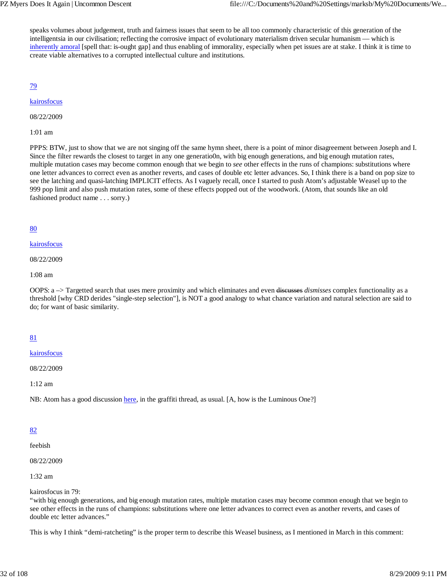speaks volumes about judgement, truth and fairness issues that seem to be all too commonly characteristic of this generation of the intelligentsia in our civilisation; reflecting the corrosive impact of evolutionary materialism driven secular humanism — which is inherently amoral [spell that: is-ought gap] and thus enabling of immorality, especially when pet issues are at stake. I think it is time to create viable alternatives to a corrupted intellectual culture and institutions.

79

#### kairosfocus

08/22/2009

1:01 am

PPPS: BTW, just to show that we are not singing off the same hymn sheet, there is a point of minor disagreement between Joseph and I. Since the filter rewards the closest to target in any one generatio0n, with big enough generations, and big enough mutation rates, multiple mutation cases may become common enough that we begin to *see* other effects in the runs of champions: substitutions where one letter advances to correct even as another reverts, and cases of double etc letter advances. So, I think there is a band on pop size to see the latching and quasi-latching IMPLICIT effects. As I vaguely recall, once I started to push Atom's adjustable Weasel up to the 999 pop limit and also push mutation rates, some of these effects popped out of the woodwork. (Atom, that sounds like an old fashioned product name . . . sorry.)

#### 80

#### kairosfocus

08/22/2009

1:08 am

OOPS: a –> Targetted search that uses mere proximity and which eliminates and even discusses *dismisses* complex functionality as a threshold [why CRD derides "single-step selection"], is NOT a good analogy to what chance variation and natural selection are said to do; for want of basic similarity.

## 81

#### kairosfocus

08/22/2009

1:12 am

NB: Atom has a good discussion here, in the graffiti thread, as usual. [A, how is the Luminous One?]

## 82

feebish

08/22/2009

1:32 am

kairosfocus in 79:

"with big enough generations, and big enough mutation rates, multiple mutation cases may become common enough that we begin to see other effects in the runs of champions: substitutions where one letter advances to correct even as another reverts, and cases of double etc letter advances."

This is why I think "demi-ratcheting" is the proper term to describe this Weasel business, as I mentioned in March in this comment: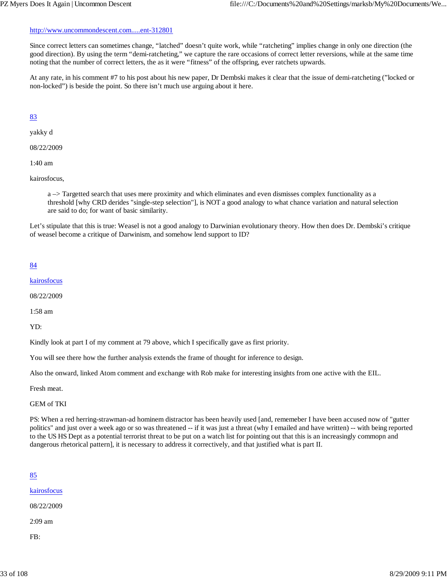Since correct letters can sometimes change, "latched" doesn't quite work, while "ratcheting" implies change in only one direction (the good direction). By using the term "demi-ratcheting," we capture the rare occasions of correct letter reversions, while at the same time noting that the number of correct letters, the as it were "fitness" of the offspring, ever ratchets upwards.

At any rate, in his comment #7 to his post about his new paper, Dr Dembski makes it clear that the issue of demi-ratcheting ("locked or non-locked") is beside the point. So there isn't much use arguing about it here.

## 83

yakky d

08/22/2009

1:40 am

kairosfocus,

a –> Targetted search that uses mere proximity and which eliminates and even dismisses complex functionality as a threshold [why CRD derides "single-step selection"], is NOT a good analogy to what chance variation and natural selection are said to do; for want of basic similarity.

Let's stipulate that this is true: Weasel is not a good analogy to Darwinian evolutionary theory. How then does Dr. Dembski's critique of weasel become a critique of Darwinism, and somehow lend support to ID?

## 84

kairosfocus

08/22/2009

1:58 am

YD:

Kindly look at part I of my comment at 79 above, which I specifically gave as first priority.

You will see there how the further analysis extends the frame of thought for inference to design.

Also the onward, linked Atom comment and exchange with Rob make for interesting insights from one active with the EIL.

Fresh meat.

GEM of TKI

PS: When a red herring-strawman-ad hominem distractor has been heavily used [and, rememeber I have been accused now of "gutter politics" and just over a week ago or so was threatened -- if it was just a threat (why I emailed and have written) -- with being reported to the US HS Dept as a potential terrorist threat to be put on a watch list for pointing out that this is an increasingly commopn and dangerous rhetorical pattern], it is necessary to address it correctively, and that justified what is part II.

## 85

kairosfocus

08/22/2009

2:09 am

FB: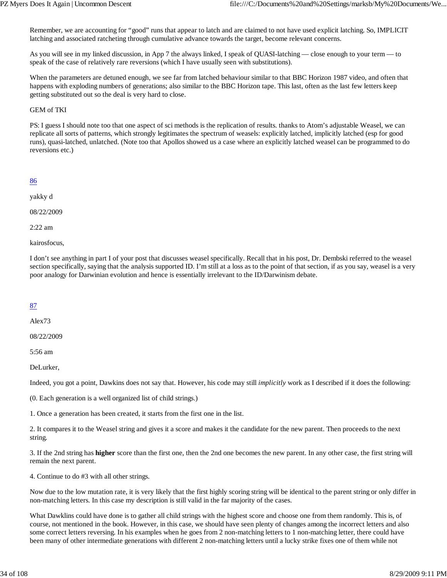Remember, we are accounting for "good" runs that appear to latch and are claimed to not have used explicit latching. So, IMPLICIT latching and associated ratcheting through cumulative advance towards the target, become relevant concerns.

As you will see in my linked discussion, in App 7 the always linked, I speak of QUASI-latching — close enough to your term — to speak of the case of relatively rare reversions (which I have usually seen with substitutions).

When the parameters are detuned enough, we see far from latched behaviour similar to that BBC Horizon 1987 video, and often that happens with exploding numbers of generations; also similar to the BBC Horizon tape. This last, often as the last few letters keep getting substituted out so the deal is very hard to close.

#### GEM of TKI

PS: I guess I should note too that one aspect of sci methods is the replication of results. thanks to Atom's adjustable Weasel, we can replicate all sorts of patterns, which strongly legitimates the spectrum of weasels: explicitly latched, implicitly latched (esp for good runs), quasi-latched, unlatched. (Note too that Apollos showed us a case where an explicitly latched weasel can be programmed to do reversions etc.)

#### 86

yakky d

08/22/2009

2:22 am

kairosfocus,

I don't see anything in part I of your post that discusses weasel specifically. Recall that in his post, Dr. Dembski referred to the weasel section specifically, saying that the analysis supported ID. I'm still at a loss as to the point of that section, if as you say, weasel is a very poor analogy for Darwinian evolution and hence is essentially irrelevant to the ID/Darwinism debate.

#### 87

Alex73

08/22/2009

5:56 am

DeLurker,

Indeed, you got a point, Dawkins does not say that. However, his code may still *implicitly* work as I described if it does the following:

(0. Each generation is a well organized list of child strings.)

1. Once a generation has been created, it starts from the first one in the list.

2. It compares it to the Weasel string and gives it a score and makes it the candidate for the new parent. Then proceeds to the next string.

3. If the 2nd string has **higher** score than the first one, then the 2nd one becomes the new parent. In any other case, the first string will remain the next parent.

4. Continue to do #3 with all other strings.

Now due to the low mutation rate, it is very likely that the first highly scoring string will be identical to the parent string or only differ in non-matching letters. In this case my description is still valid in the far majority of the cases.

What Dawklins could have done is to gather all child strings with the highest score and choose one from them randomly. This is, of course, not mentioned in the book. However, in this case, we should have seen plenty of changes among the incorrect letters and also some correct letters reversing. In his examples when he goes from 2 non-matching letters to 1 non-matching letter, there could have been many of other intermediate generations with different 2 non-matching letters until a lucky strike fixes one of them while not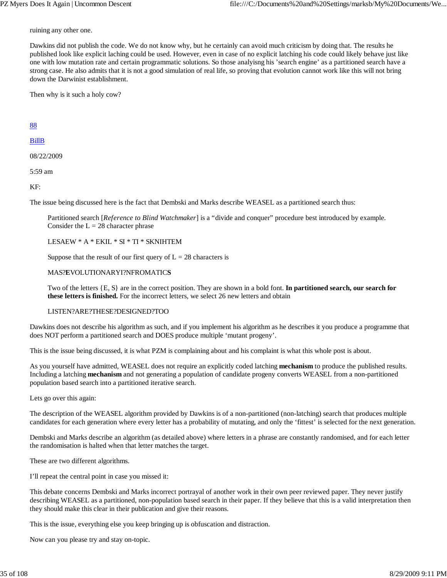ruining any other one.

Dawkins did not publish the code. We do not know why, but he certainly can avoid much criticism by doing that. The results he published look like explicit laching could be used. However, even in case of no explicit latching his code could likely behave just like one with low mutation rate and certain programmatic solutions. So those analyisng his 'search engine' as a partitioned search have a strong case. He also admits that it is not a good simulation of real life, so proving that evolution cannot work like this will not bring down the Darwinist establishment.

Then why is it such a holy cow?

88

#### BillB

08/22/2009

5:59 am

KF:

The issue being discussed here is the fact that Dembski and Marks describe WEASEL as a partitioned search thus:

Partitioned search [*Reference to Blind Watchmaker*] is a "divide and conquer" procedure best introduced by example. Consider the  $L = 28$  character phrase

LESAEW \* A \* EKIL \* SI \* TI \* SKNIHTEM

Suppose that the result of our first query of  $L = 28$  characters is

#### MAS?**E**VOLUTIONARYI?NFROMATIC**S**

Two of the letters {E, S} are in the correct position. They are shown in a bold font. **In partitioned search, our search for these letters is finished.** For the incorrect letters, we select 26 new letters and obtain

#### LISTEN?ARE?THESE?DESIGNED?TOO

Dawkins does not describe his algorithm as such, and if you implement his algorithm as he describes it you produce a programme that does NOT perform a partitioned search and DOES produce multiple 'mutant progeny'.

This is the issue being discussed, it is what PZM is complaining about and his complaint is what this whole post is about.

As you yourself have admitted, WEASEL does not require an explicitly coded latching **mechanism** to produce the published results. Including a latching **mechanism** and not generating a population of candidate progeny converts WEASEL from a non-partitioned population based search into a partitioned iterative search.

Lets go over this again:

The description of the WEASEL algorithm provided by Dawkins is of a non-partitioned (non-latching) search that produces multiple candidates for each generation where every letter has a probability of mutating, and only the 'fittest' is selected for the next generation.

Dembski and Marks describe an algorithm (as detailed above) where letters in a phrase are constantly randomised, and for each letter the randomisation is halted when that letter matches the target.

These are two different algorithms.

I'll repeat the central point in case you missed it:

This debate concerns Dembski and Marks incorrect portrayal of another work in their own peer reviewed paper. They never justify describing WEASEL as a partitioned, non-population based search in their paper. If they believe that this is a valid interpretation then they should make this clear in their publication and give their reasons.

This is the issue, everything else you keep bringing up is obfuscation and distraction.

Now can you please try and stay on-topic.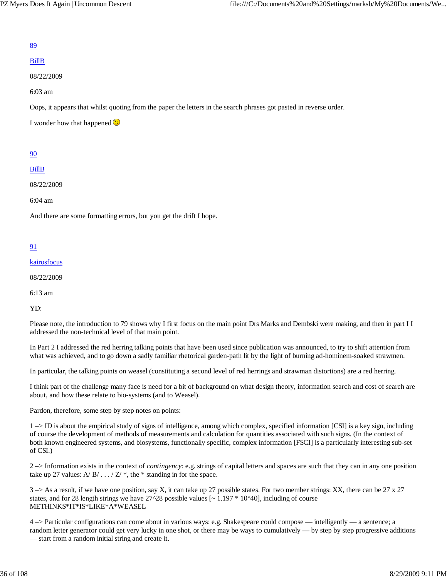#### 89

#### BillB

08/22/2009

6:03 am

Oops, it appears that whilst quoting from the paper the letters in the search phrases got pasted in reverse order.

I wonder how that happened  $\bigcirc$ 

#### 90

#### BillB

08/22/2009

6:04 am

And there are some formatting errors, but you get the drift I hope.

## 91

kairosfocus

08/22/2009

6:13 am

YD:

Please note, the introduction to 79 shows why I first focus on the main point Drs Marks and Dembski were making, and then in part I I addressed the non-technical level of that main point.

In Part 2 I addressed the red herring talking points that have been used since publication was announced, to try to shift attention from what was achieved, and to go down a sadly familiar rhetorical garden-path lit by the light of burning ad-hominem-soaked strawmen.

In particular, the talking points on weasel (constituting a second level of red herrings and strawman distortions) are a red herring.

I think part of the challenge many face is need for a bit of background on what design theory, information search and cost of search are about, and how these relate to bio-systems (and to Weasel).

Pardon, therefore, some step by step notes on points:

1 –> ID is about the empirical study of signs of intelligence, among which complex, specified information [CSI] is a key sign, including of course the development of methods of measurements and calculation for quantities associated with such signs. (In the context of both known engineered systems, and biosystems, functionally specific, complex information [FSCI] is a particularly interesting sub-set of CSI.)

2 –> Information exists in the context of *contingency*: e.g. strings of capital letters and spaces are such that they can in any one position take up 27 values: A/ $B / \ldots / Z'$ , the \* standing in for the space.

3 –> As a result, if we have one position, say X, it can take up 27 possible states. For two member strings: XX, there can be 27 x 27 states, and for 28 length strings we have  $27^{\prime}28$  possible values [ $\sim 1.197 * 10^{\prime}40$ ], including of course METHINKS\*IT\*IS\*LIKE\*A\*WEASEL

4 –> Particular configurations can come about in various ways: e.g. Shakespeare could compose — intelligently — a sentence; a random letter generator could get very lucky in one shot, or there may be ways to cumulatively — by step by step progressive additions — start from a random initial string and create it.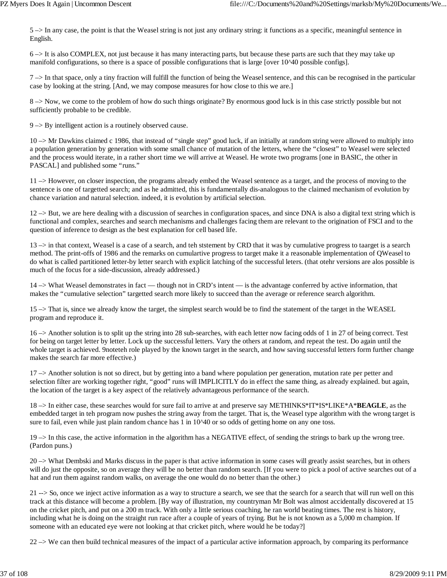5 –> In any case, the point is that the Weasel string is not just any ordinary string: it functions as a specific, meaningful sentence in English.

6 –> It is also COMPLEX, not just because it has many interacting parts, but because these parts are such that they may take up manifold configurations, so there is a space of possible configurations that is large [over 10^40 possible configs].

 $7 \rightarrow$  In that space, only a tiny fraction will fulfill the function of being the Weasel sentence, and this can be recognised in the particular case by looking at the string. [And, we may compose measures for how close to this we are.]

8 –> Now, we come to the problem of how do such things originate? By enormous good luck is in this case strictly possible but not sufficiently probable to be credible.

9 –> By intelligent action is a routinely observed cause.

10 –> Mr Dawkins claimed c 1986, that instead of "single step" good luck, if an initially at random string were allowed to multiply into a population generation by generation with some small chance of mutation of the letters, where the "closest" to Weasel were selected and the process would iterate, in a rather short time we will arrive at Weasel. He wrote two programs [one in BASIC, the other in PASCAL] and published some "runs."

11 –> However, on closer inspection, the programs already embed the Weasel sentence as a target, and the process of moving to the sentence is one of targetted search; and as he admitted, this is fundamentally dis-analogous to the claimed mechanism of evolution by chance variation and natural selection. indeed, it is evolution by artificial selection.

12 –> But, we are here dealing with a discussion of searches in configuration spaces, and since DNA is also a digital text string which is functional and complex, searches and search mechanisms and challenges facing them are relevant to the origination of FSCI and to the question of inference to design as the best explanation for cell based life.

13 –> in that context, Weasel is a case of a search, and teh ststement by CRD that it was by cumulative progress to taarget is a search method. The print-offs of 1986 and the remarks on cumulartive progress to target make it a reasonable implementation of QWeasel to do what is called partitioned letter-by letter search with explicit latching of the successful leters. (that otehr versions are alos possible is much of the focus for a side-discussion, already addressed.)

14 –> What Weasel demonstrates in fact — though not in CRD's intent — is the advantage conferred by active information, that makes the "cumulative selection" targetted search more likely to succeed than the average or reference search algorithm.

15 –> That is, since we already know the target, the simplest search would be to find the statement of the target in the WEASEL program and reproduce it.

16 –> Another solution is to split up the string into 28 sub-searches, with each letter now facing odds of 1 in 27 of being correct. Test for being on target letter by letter. Lock up the successful letters. Vary the others at random, and repeat the test. Do again until the whole target is achieved. 9noteteh role played by the known target in the search, and how saving successful letters form further change makes the search far more effective.)

17 –> Another solution is not so direct, but by getting into a band where population per generation, mutation rate per petter and selection filter are working together right, "good" runs will IMPLICITLY do in effect the same thing, as already explained. but again, the location of the target is a key aspect of the relatively advantageous performance of the search.

18 –> In either case, these searches would for sure fail to arrive at and preserve say METHINKS\*IT\*IS\*LIKE\*A\***BEAGLE**, as the embedded target in teh program now pushes the string away from the target. That is, the Weasel type algorithm with the wrong target is sure to fail, even while just plain random chance has 1 in 10^40 or so odds of getting home on any one toss.

19 –> In this case, the active information in the algorithm has a NEGATIVE effect, of sending the strings to bark up the wrong tree. (Pardon puns.)

20 –> What Dembski and Marks discuss in the paper is that active information in some cases will greatly assist searches, but in others will do just the opposite, so on average they will be no better than random search. [If you were to pick a pool of active searches out of a hat and run them against random walks, on average the one would do no better than the other.)

21 --> So, once we inject active information as a way to structure a search, we see that the search for a search that will run well on this track at this distance will become a problem. [By way of illustration, my countryman Mr Bolt was almost accidentally discovered at 15 on the cricket pitch, and put on a 200 m track. With only a little serious coaching, he ran world beating times. The rest is history, including what he is doing on the straight run race after a couple of years of trying. But he is not known as a 5,000 m champion. If someone with an educated eye were not looking at that cricket pitch, where would he be today?]

 $22 \rightarrow We$  can then build technical measures of the impact of a particular active information approach, by comparing its performance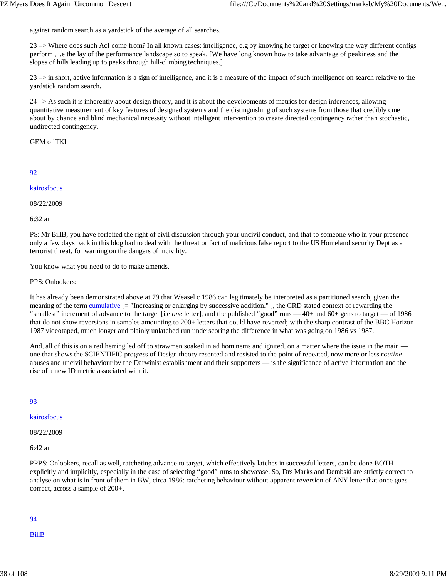against random search as a yardstick of the average of all searches.

23 –> Where does such AcI come from? In all known cases: intelligence, e.g by knowing he target or knowing the way different configs perform , i.e the lay of the performance landscape so to speak. [We have long known how to take advantage of peakiness and the slopes of hills leading up to peaks through hill-climbing techniques.]

 $23 \rightarrow$  in short, active information is a sign of intelligence, and it is a measure of the impact of such intelligence on search relative to the yardstick random search.

 $24 \rightarrow$  As such it is inherently about design theory, and it is about the developments of metrics for design inferences, allowing quantitative measurement of key features of designed systems and the distinguishing of such systems from those that credibly cme about by chance and blind mechanical necessity without intelligent intervention to create directed contingency rather than stochastic, undirected contingency.

GEM of TKI

## 92

## kairosfocus

08/22/2009

6:32 am

PS: Mr BillB, you have forfeited the right of civil discussion through your uncivil conduct, and that to someone who in your presence only a few days back in this blog had to deal with the threat or fact of malicious false report to the US Homeland security Dept as a terrorist threat, for warning on the dangers of incivility.

You know what you need to do to make amends.

PPS: Onlookers:

It has already been demonstrated above at 79 that Weasel c 1986 can legitimately be interpreted as a partitioned search, given the meaning of the term cumulative [= "Increasing or enlarging by successive addition." ], the CRD stated context of rewarding the "smallest" increment of advance to the target [i.e *one* letter], and the published "good" runs — 40+ and 60+ gens to target — of 1986 that do not show reversions in samples amounting to 200+ letters that could have reverted; with the sharp contrast of the BBC Horizon 1987 videotaped, much longer and plainly unlatched run underscoring the difference in what was going on 1986 vs 1987.

And, all of this is on a red herring led off to strawmen soaked in ad hominems and ignited, on a matter where the issue in the main one that shows the SCIENTIFIC progress of Design theory resented and resisted to the point of repeated, now more or less *routine* abuses and uncivil behaviour by the Darwinist establishment and their supporters — is the significance of active information and the rise of a new ID metric associated with it.

## 93

kairosfocus

08/22/2009

6:42 am

PPPS: Onlookers, recall as well, ratcheting advance to target, which effectively latches in successful letters, can be done BOTH explicitly and implicitly, especially in the case of selecting "good" runs to showcase. So, Drs Marks and Dembski are strictly correct to analyse on what is in front of them in BW, circa 1986: ratcheting behaviour without apparent reversion of ANY letter that once goes correct, across a sample of 200+.

# 94

BillB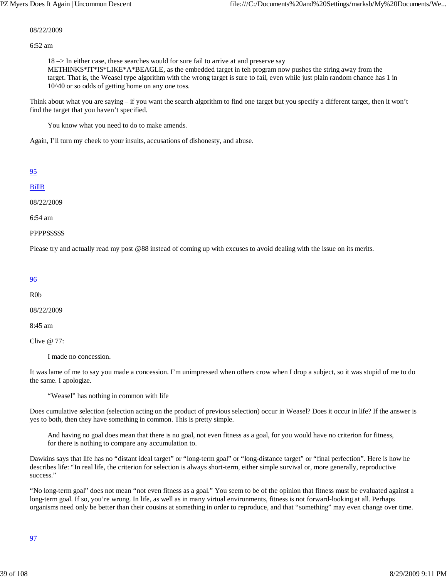#### 08/22/2009

6:52 am

18 –> In either case, these searches would for sure fail to arrive at and preserve say

METHINKS\*IT\*IS\*LIKE\*A\*BEAGLE, as the embedded target in teh program now pushes the string away from the target. That is, the Weasel type algorithm with the wrong target is sure to fail, even while just plain random chance has 1 in 10^40 or so odds of getting home on any one toss.

Think about what you are saying – if you want the search algorithm to find one target but you specify a different target, then it won't find the target that you haven't specified.

You know what you need to do to make amends.

Again, I'll turn my cheek to your insults, accusations of dishonesty, and abuse.

| I | I |
|---|---|
|   |   |

### BillB

08/22/2009

6:54 am

**PPPPSSSSSS** 

Please try and actually read my post @88 instead of coming up with excuses to avoid dealing with the issue on its merits.

#### 96

R0b

08/22/2009

8:45 am

Clive @ 77:

I made no concession.

It was lame of me to say you made a concession. I'm unimpressed when others crow when I drop a subject, so it was stupid of me to do the same. I apologize.

"Weasel" has nothing in common with life

Does cumulative selection (selection acting on the product of previous selection) occur in Weasel? Does it occur in life? If the answer is yes to both, then they have something in common. This is pretty simple.

And having no goal does mean that there is no goal, not even fitness as a goal, for you would have no criterion for fitness, for there is nothing to compare any accumulation to.

Dawkins says that life has no "distant ideal target" or "long-term goal" or "long-distance target" or "final perfection". Here is how he describes life: "In real life, the criterion for selection is always short-term, either simple survival or, more generally, reproductive success."

"No long-term goal" does not mean "not even fitness as a goal." You seem to be of the opinion that fitness must be evaluated against a long-term goal. If so, you're wrong. In life, as well as in many virtual environments, fitness is not forward-looking at all. Perhaps organisms need only be better than their cousins at something in order to reproduce, and that "something" may even change over time.

### 97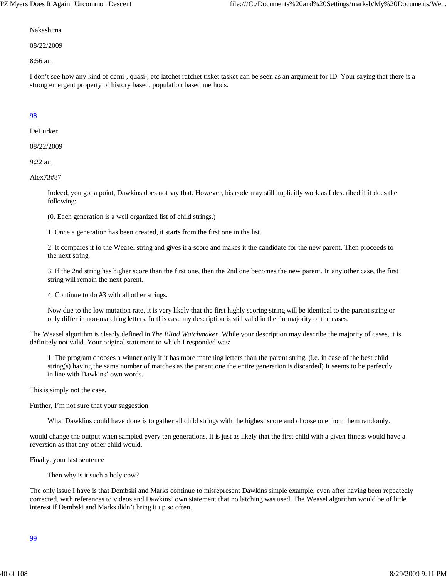#### Nakashima

08/22/2009

8:56 am

I don't see how any kind of demi-, quasi-, etc latchet ratchet tisket tasket can be seen as an argument for ID. Your saying that there is a strong emergent property of history based, population based methods.

## 98

DeLurker

08/22/2009

9:22 am

Alex73#87

Indeed, you got a point, Dawkins does not say that. However, his code may still implicitly work as I described if it does the following:

(0. Each generation is a well organized list of child strings.)

1. Once a generation has been created, it starts from the first one in the list.

2. It compares it to the Weasel string and gives it a score and makes it the candidate for the new parent. Then proceeds to the next string.

3. If the 2nd string has higher score than the first one, then the 2nd one becomes the new parent. In any other case, the first string will remain the next parent.

4. Continue to do #3 with all other strings.

Now due to the low mutation rate, it is very likely that the first highly scoring string will be identical to the parent string or only differ in non-matching letters. In this case my description is still valid in the far majority of the cases.

The Weasel algorithm is clearly defined in *The Blind Watchmaker*. While your description may describe the majority of cases, it is definitely not valid. Your original statement to which I responded was:

1. The program chooses a winner only if it has more matching letters than the parent string. (i.e. in case of the best child string(s) having the same number of matches as the parent one the entire generation is discarded) It seems to be perfectly in line with Dawkins' own words.

This is simply not the case.

Further, I'm not sure that your suggestion

What Dawklins could have done is to gather all child strings with the highest score and choose one from them randomly.

would change the output when sampled every ten generations. It is just as likely that the first child with a given fitness would have a reversion as that any other child would.

Finally, your last sentence

Then why is it such a holy cow?

The only issue I have is that Dembski and Marks continue to misrepresent Dawkins simple example, even after having been repeatedly corrected, with references to videos and Dawkins' own statement that no latching was used. The Weasel algorithm would be of little interest if Dembski and Marks didn't bring it up so often.

99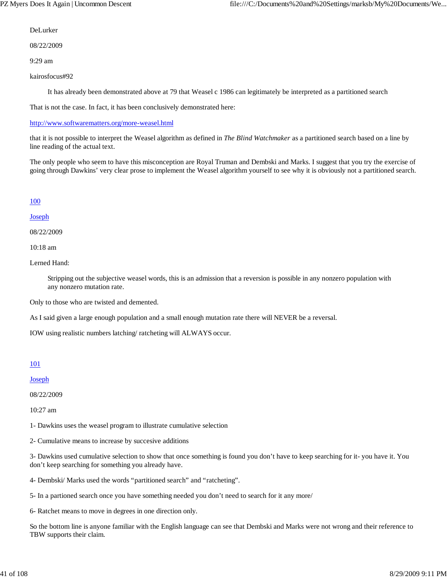DeLurker

08/22/2009

9:29 am

kairosfocus#92

It has already been demonstrated above at 79 that Weasel c 1986 can legitimately be interpreted as a partitioned search

That is not the case. In fact, it has been conclusively demonstrated here:

### http://www.softwarematters.org/more-weasel.html

that it is not possible to interpret the Weasel algorithm as defined in *The Blind Watchmaker* as a partitioned search based on a line by line reading of the actual text.

The only people who seem to have this misconception are Royal Truman and Dembski and Marks. I suggest that you try the exercise of going through Dawkins' very clear prose to implement the Weasel algorithm yourself to see why it is obviously not a partitioned search.

## 100

## Joseph

08/22/2009

10:18 am

Lerned Hand:

Stripping out the subjective weasel words, this is an admission that a reversion is possible in any nonzero population with any nonzero mutation rate.

Only to those who are twisted and demented.

As I said given a large enough population and a small enough mutation rate there will NEVER be a reversal.

IOW using realistic numbers latching/ ratcheting will ALWAYS occur.

## 101

Joseph

08/22/2009

10:27 am

1- Dawkins uses the weasel program to illustrate cumulative selection

2- Cumulative means to increase by succesive additions

3- Dawkins used cumulative selection to show that once something is found you don't have to keep searching for it- you have it. You don't keep searching for something you already have.

4- Dembski/ Marks used the words "partitioned search" and "ratcheting".

5- In a partioned search once you have something needed you don't need to search for it any more/

6- Ratchet means to move in degrees in one direction only.

So the bottom line is anyone familiar with the English language can see that Dembski and Marks were not wrong and their reference to TBW supports their claim.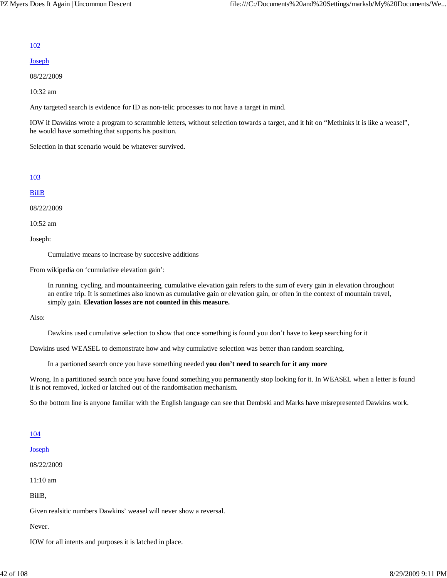### 102

#### Joseph

08/22/2009

10:32 am

Any targeted search is evidence for ID as non-telic processes to not have a target in mind.

IOW if Dawkins wrote a program to scrammble letters, without selection towards a target, and it hit on "Methinks it is like a weasel", he would have something that supports his position.

Selection in that scenario would be whatever survived.

#### 103

BillB

08/22/2009

10:52 am

Joseph:

Cumulative means to increase by succesive additions

From wikipedia on 'cumulative elevation gain':

In running, cycling, and mountaineering, cumulative elevation gain refers to the sum of every gain in elevation throughout an entire trip. It is sometimes also known as cumulative gain or elevation gain, or often in the context of mountain travel, simply gain. **Elevation losses are not counted in this measure.**

Also:

Dawkins used cumulative selection to show that once something is found you don't have to keep searching for it

Dawkins used WEASEL to demonstrate how and why cumulative selection was better than random searching.

In a partioned search once you have something needed **you don't need to search for it any more**

Wrong. In a partitioned search once you have found something you permanently stop looking for it. In WEASEL when a letter is found it is not removed, locked or latched out of the randomisation mechanism.

So the bottom line is anyone familiar with the English language can see that Dembski and Marks have misrepresented Dawkins work.

#### 104

Joseph

08/22/2009

11:10 am

BillB,

Given realsitic numbers Dawkins' weasel will never show a reversal.

Never.

IOW for all intents and purposes it is latched in place.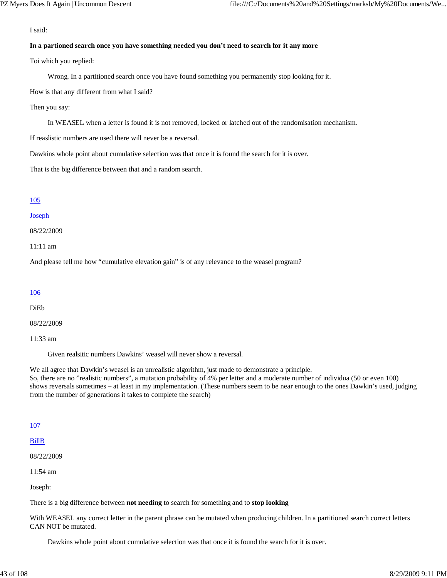I said:

#### **In a partioned search once you have something needed you don't need to search for it any more**

Toi which you replied:

Wrong. In a partitioned search once you have found something you permanently stop looking for it.

How is that any different from what I said?

Then you say:

In WEASEL when a letter is found it is not removed, locked or latched out of the randomisation mechanism.

If reaslistic numbers are used there will never be a reversal.

Dawkins whole point about cumulative selection was that once it is found the search for it is over.

That is the big difference between that and a random search.

### 105

#### Joseph

08/22/2009

11:11 am

And please tell me how "cumulative elevation gain" is of any relevance to the weasel program?

#### 106

DiEb

08/22/2009

11:33 am

Given realsitic numbers Dawkins' weasel will never show a reversal.

We all agree that Dawkin's weasel is an unrealistic algorithm, just made to demonstrate a principle.

So, there are no "realistic numbers", a mutation probability of 4% per letter and a moderate number of individua (50 or even 100) shows reversals sometimes – at least in my implementation. (These numbers seem to be near enough to the ones Dawkin's used, judging from the number of generations it takes to complete the search)

### 107

### BillB

08/22/2009

11:54 am

Joseph:

There is a big difference between **not needing** to search for something and to **stop looking**

With WEASEL any correct letter in the parent phrase can be mutated when producing children. In a partitioned search correct letters CAN NOT be mutated.

Dawkins whole point about cumulative selection was that once it is found the search for it is over.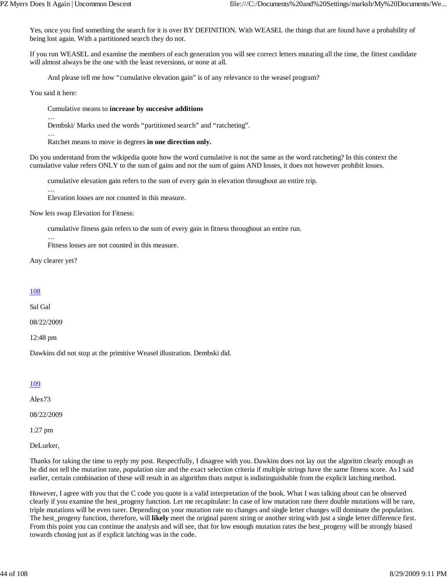Yes, once you find something the search for it is over BY DEFINITION. With WEASEL the things that are found have a probability of being lost again. With a partitioned search they do not.

If you run WEASEL and examine the members of each generation you will see correct letters mutating all the time, the fittest candidate will almost always be the one with the least reversions, or none at all.

And please tell me how "cumulative elevation gain" is of any relevance to the weasel program?

You said it here:

#### Cumulative means to **increase by succesive additions**

… Dembski/ Marks used the words "partitioned search" and "ratcheting".

…

…

Ratchet means to move in degrees **in one direction only.**

Do you understand from the wikipedia quote how the word cumulative is not the same as the word ratcheting? In this context the cumulative value refers ONLY to the sum of gains and not the sum of gains AND losses, it does not however prohibit losses.

cumulative elevation gain refers to the sum of every gain in elevation throughout an entire trip.

Elevation losses are not counted in this measure.

Now lets swap Elevation for Fitness:

cumulative fitness gain refers to the sum of every gain in fitness throughout an entire run.

Fitness losses are not counted in this measure.

Any clearer yet?

…

### 108

Sal Gal

08/22/2009

12:48 pm

Dawkins did not stop at the primitive Weasel illustration. Dembski did.

#### 109

Alex73

08/22/2009

1:27 pm

DeLurker,

Thanks for taking the time to reply my post. Respectfully, I disagree with you. Dawkins does not lay out the algoritm clearly enough as he did not tell the mutation rate, population size and the exact selection criteria if multiple strings have the same fitness score. As I said earlier, certain combination of these will result in an algorithm thats output is indistinguishable from the explicit latching method.

However, I agree with you that the C code you quote is a valid interpretation of the book. What I was talking about can be observed clearly if you examine the best\_progeny function. Let me recapitulate: In case of low mutation rate there double mutations will be rare, triple mutations will be even rarer. Depending on your mutation rate no changes and single letter changes will dominate the population. The best\_progeny function, therefore, will **likely** meet the original parent string or another string with just a single letter difference first. From this point you can continue the analysis and will see, that for low enough mutation rates the best\_progeny will be strongly biased towards chosing just as if explicit latching was in the code.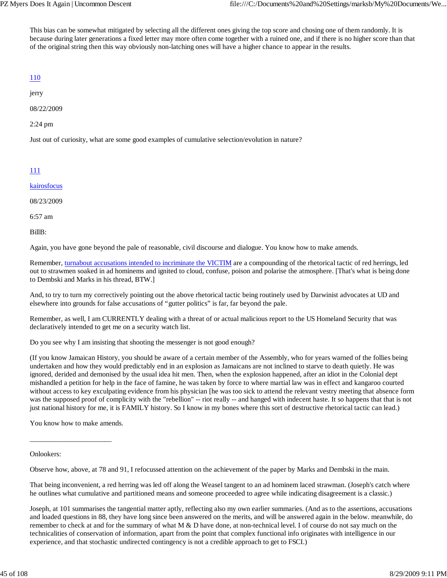This bias can be somewhat mitigated by selecting all the different ones giving the top score and chosing one of them randomly. It is because during later generations a fixed letter may more often come together with a ruined one, and if there is no higher score than that of the original string then this way obviously non-latching ones will have a higher chance to appear in the results.

# 110

jerry

08/22/2009

2:24 pm

Just out of curiosity, what are some good examples of cumulative selection/evolution in nature?

# 111

kairosfocus

08/23/2009

6:57 am

BillB:

Again, you have gone beyond the pale of reasonable, civil discourse and dialogue. You know how to make amends.

Remember, turnabout accusations intended to incriminate the VICTIM are a compounding of the rhetorical tactic of red herrings, led out to strawmen soaked in ad hominems and ignited to cloud, confuse, poison and polarise the atmosphere. [That's what is being done to Dembski and Marks in his thread, BTW.]

And, to try to turn my correctively pointing out the above rhetorical tactic being routinely used by Darwinist advocates at UD and elsewhere into grounds for false accusations of "gutter politics" is far, far beyond the pale.

Remember, as well, I am CURRENTLY dealing with a threat of or actual malicious report to the US Homeland Security that was declaratively intended to get me on a security watch list.

Do you see why I am insisting that shooting the messenger is not good enough?

(If you know Jamaican History, you should be aware of a certain member of the Assembly, who for years warned of the follies being undertaken and how they would predictably end in an explosion as Jamaicans are not inclined to starve to death quietly. He was ignored, derided and demonised by the usual idea hit men. Then, when the explosion happened, after an idiot in the Colonial dept mishandled a petition for help in the face of famine, he was taken by force to where martial law was in effect and kangaroo courted without access to key exculpating evidence from his physician [he was too sick to attend the relevant vestry meeting that absence form was the supposed proof of complicity with the "rebellion" -- riot really -- and hanged with indecent haste. It so happens that that is not just national history for me, it is FAMILY history. So I know in my bones where this sort of destructive rhetorical tactic can lead.)

You know how to make amends.

\_\_\_\_\_\_\_\_\_\_\_\_\_\_\_\_\_\_\_\_\_\_\_

### Onlookers:

Observe how, above, at 78 and 91, I refocussed attention on the achievement of the paper by Marks and Dembski in the main.

That being inconvenient, a red herring was led off along the Weasel tangent to an ad hominem laced strawman. (Joseph's catch where he outlines what cumulative and partitioned means and someone proceeded to agree while indicating disagreement is a classic.)

Joseph, at 101 summarises the tangential matter aptly, reflecting also my own earlier summaries. (And as to the assertions, accusations and loaded questions in 88, they have long since been answered on the merits, and will be answered again in the below. meanwhile, do remember to check at and for the summary of what M & D have done, at non-technical level. I of course do not say much on the technicalities of conservation of information, apart from the point that complex functional info originates with intelligence in our experience, and that stochastic undirected contingency is not a credible approach to get to FSCI.)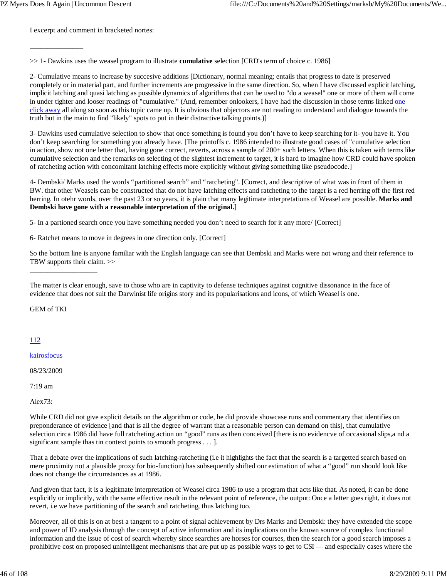I excerpt and comment in bracketed nortes:

\_\_\_\_\_\_\_\_\_\_\_\_\_\_\_

>> 1- Dawkins uses the weasel program to illustrate **cumulative** selection [CRD's term of choice c. 1986]

2- Cumulative means to increase by succesive additions [Dictionary, normal meaning; entails that progress to date is preserved completely or in material part, and further increments are progressive in the same direction. So, when I have discussed explicit latching, implicit latching and quasi latching as possible dynamics of algorithms that can be used to "do a weasel" one or more of them will come in under tighter and looser readings of "cumulative." (And, remember onlookers, I have had the discussion in those terms linked one click away all along so soon as this topic came up. It is obvious that objectors are not reading to understand and dialogue towards the truth but in the main to find "likely" spots to put in their distractive talking points.)]

3- Dawkins used cumulative selection to show that once something is found you don't have to keep searching for it- you have it. You don't keep searching for something you already have. [The printoffs c. 1986 intended to illustrate good cases of "cumulative selection in action, show not one letter that, having gone correct, reverts, across a sample of 200+ such letters. When this is taken with terms like cumulative selection and the remarks on selecting of the slightest increment to target, it is hard to imagine how CRD could have spoken of ratcheting action with concomitant latching effects more explicitly without giving something like pseudocode.]

4- Dembski/ Marks used the words "partitioned search" and "ratcheting". [Correct, and descriptive of what was in front of them in BW. that other Weasels can be constructed that do not have latching effects and ratcheting to the target is a red herring off the first red herring. In otehr words, over the past 23 or so years, it is plain that many legitimate interpretations of Weasel are possible. **Marks and Dembski have gone with a reasonable interpretation of the original.**]

5- In a partioned search once you have something needed you don't need to search for it any more/ [Correct]

6- Ratchet means to move in degrees in one direction only. [Correct]

So the bottom line is anyone familiar with the English language can see that Dembski and Marks were not wrong and their reference to TBW supports their claim. >>

GEM of TKI

\_\_\_\_\_\_\_\_\_\_\_\_\_\_\_\_\_\_\_

## 112

kairosfocus

08/23/2009

7:19 am

 $Alev73$ 

While CRD did not give explicit details on the algorithm or code, he did provide showcase runs and commentary that identifies on preponderance of evidence [and that is all the degree of warrant that a reasonable person can demand on this], that cumulative selection circa 1986 did have full ratcheting action on "good" runs as then conceived [there is no evidencve of occasional slips,a nd a significant sample thas tin context points to smooth progress . . . ].

That a debate over the implications of such latching-ratcheting (i.e it highlights the fact that the search is a targetted search based on mere proximity not a plausible proxy for bio-function) has subsequently shifted our estimation of what a "good" run should look like does not change the circumstances as at 1986.

And given that fact, it is a legitimate interpretation of Weasel circa 1986 to use a program that acts like that. As noted, it can be done explicitly or implicitly, with the same effective result in the relevant point of reference, the output: Once a letter goes right, it does not revert, i.e we have partitioning of the search and ratcheting, thus latching too.

Moreover, all of this is on at best a tangent to a point of signal achievement by Drs Marks and Dembski: they have extended the scope and power of ID analysis through the concept of active information and its implications on the known source of complex functional information and the issue of cost of search whereby since searches are horses for courses, then the search for a good search imposes a prohibitive cost on proposed unintelligent mechanisms that are put up as possible ways to get to CSI — and especially cases where the

The matter is clear enough, save to those who are in captivity to defense techniques against cognitive dissonance in the face of evidence that does not suit the Darwinist life origins story and its popularisations and icons, of which Weasel is one.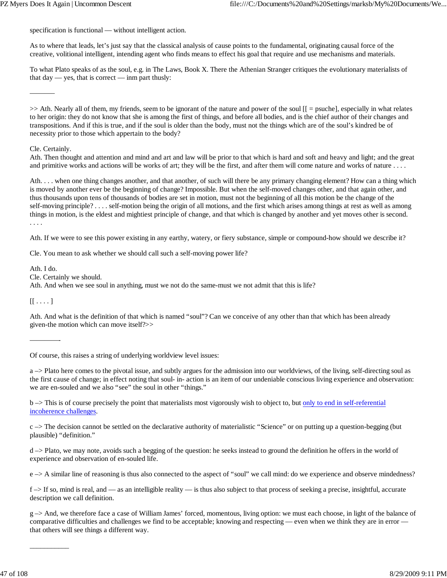specification is functional — without intelligent action.

As to where that leads, let's just say that the classical analysis of cause points to the fundamental, originating causal force of the creative, volitional intelligent, intending agent who finds means to effect his goal that require and use mechanisms and materials.

To what Plato speaks of as the soul, e.g. in The Laws, Book X. There the Athenian Stranger critiques the evolutionary materialists of that  $day - yes$ , that is correct  $-\lim$  part thusly:

>> Ath. Nearly all of them, my friends, seem to be ignorant of the nature and power of the soul [[ = psuche], especially in what relates to her origin: they do not know that she is among the first of things, and before all bodies, and is the chief author of their changes and transpositions. And if this is true, and if the soul is older than the body, must not the things which are of the soul's kindred be of necessity prior to those which appertain to the body?

### Cle. Certainly.

———–

Ath. Then thought and attention and mind and art and law will be prior to that which is hard and soft and heavy and light; and the great and primitive works and actions will be works of art; they will be the first, and after them will come nature and works of nature ....

Ath. . . . when one thing changes another, and that another, of such will there be any primary changing element? How can a thing which is moved by another ever be the beginning of change? Impossible. But when the self-moved changes other, and that again other, and thus thousands upon tens of thousands of bodies are set in motion, must not the beginning of all this motion be the change of the self-moving principle? . . . . self-motion being the origin of all motions, and the first which arises among things at rest as well as among things in motion, is the eldest and mightiest principle of change, and that which is changed by another and yet moves other is second. . . . .

Ath. If we were to see this power existing in any earthy, watery, or fiery substance, simple or compound-how should we describe it?

Cle. You mean to ask whether we should call such a self-moving power life?

Ath. I do.

Cle. Certainly we should.

Ath. And when we see soul in anything, must we not do the same-must we not admit that this is life?

 $[[ \dots ]]$ 

————-

Ath. And what is the definition of that which is named "soul"? Can we conceive of any other than that which has been already given-the motion which can move itself?>>

Of course, this raises a string of underlying worldview level issues:

a –> Plato here comes to the pivotal issue, and subtly argues for the admission into our worldviews, of the living, self-directing soul as the first cause of change; in effect noting that soul- in- action is an item of our undeniable conscious living experience and observation: we are en-souled and we also "see" the soul in other "things."

b -> This is of course precisely the point that materialists most vigorously wish to object to, but only to end in self-referential incoherence challenges.

 $c \rightarrow$  The decision cannot be settled on the declarative authority of materialistic "Science" or on putting up a question-begging (but plausible) "definition."

d –> Plato, we may note, avoids such a begging of the question: he seeks instead to ground the definition he offers in the world of experience and observation of en-souled life.

e –> A similar line of reasoning is thus also connected to the aspect of "soul" we call mind: do we experience and observe mindedness?

f –> If so, mind is real, and — as an intelligible reality — is thus also subject to that process of seeking a precise, insightful, accurate description we call definition.

g –> And, we therefore face a case of William James' forced, momentous, living option: we must each choose, in light of the balance of comparative difficulties and challenges we find to be acceptable; knowing and respecting — even when we think they are in error that others will see things a different way.

 $\overline{\phantom{a}}$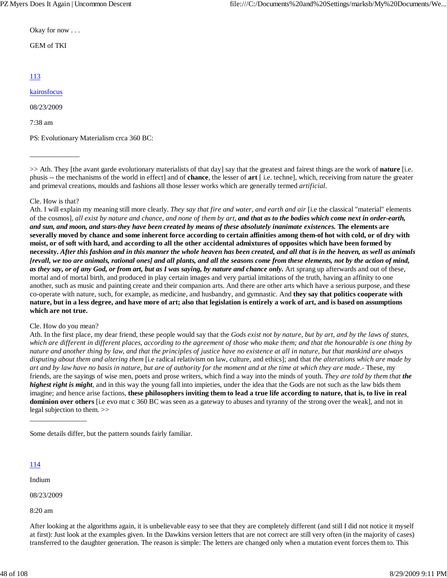Okay for now . . .

### GEM of TKI

# 113

### kairosfocus

08/23/2009

7:38 am

PS: Evolutionary Materialism crca 360 BC:

>> Ath. They [the avant garde evolutionary materialists of that day] say that the greatest and fairest things are the work of **nature** [i.e. phusis -- the mechanisms of the world in effect] and of **chance**, the lesser of **art** [ i.e. techne], which, receiving from nature the greater and primeval creations, moulds and fashions all those lesser works which are generally termed *artificial.*

### Cle. How is that?

\_\_\_\_\_\_\_\_\_\_\_\_\_\_

Ath. I will explain my meaning still more clearly. *They say that fire and water, and earth and air* [i.e the classical "material" elements of the cosmos], *all exist by nature and chance, and none of them by art, and that as to the bodies which come next in order-earth, and sun, and moon, and stars-they have been created by means of these absolutely inanimate existences.* **The elements are severally moved by chance and some inherent force according to certain affinities among them-of hot with cold, or of dry with moist, or of soft with hard, and according to all the other accidental admixtures of opposites which have been formed by necessity.** *After this fashion and in this manner the whole heaven has been created, and all that is in the heaven, as well as animals [revall, we too are animals, rational ones] and all plants, and all the seasons come from these elements, not by the action of mind, as they say, or of any God, or from art, but as I was saying, by nature and chance only.* Art sprang up afterwards and out of these, mortal and of mortal birth, and produced in play certain images and very partial imitations of the truth, having an affinity to one another, such as music and painting create and their companion arts. And there are other arts which have a serious purpose, and these co-operate with nature, such, for example, as medicine, and husbandry, and gymnastic. And **they say that politics cooperate with nature, but in a less degree, and have more of art; also that legislation is entirely a work of art, and is based on assumptions which are not true.**

#### Cle. How do you mean?

\_\_\_\_\_\_\_\_\_\_\_\_\_\_\_\_

Ath. In the first place, my dear friend, these people would say that the *Gods exist not by nature, but by art, and by the laws of states, which are different in different places, according to the agreement of those who make them; and that the honourable is one thing by nature and another thing by law, and that the principles of justice have no existence at all in nature, but that mankind are always disputing about them and altering them* [i.e radical relativism on law, culture, and ethics]; and that *the alterations which are made by art and by law have no basis in nature, but are of authority for the moment and at the time at which they are made.*- These, my friends, are the sayings of wise men, poets and prose writers, which find a way into the minds of youth. *They are told by them that the highest right is might*, and in this way the young fall into impieties, under the idea that the Gods are not such as the law bids them imagine; and hence arise factions, **these philosophers inviting them to lead a true life according to nature, that is, to live in real dominion over others** [i.e evo mat c 360 BC was seen as a gateway to abuses and tyranny of the strong over the weak], and not in legal subjection to them. >>

Some details differ, but the pattern sounds fairly familiar.

#### 114

Indium

08/23/2009

8:20 am

After looking at the algorithms again, it is unbelievable easy to see that they are completely different (and still I did not notice it myself at first): Just look at the examples given. In the Dawkins version letters that are not correct are still very often (in the majority of cases) transferred to the daughter generation. The reason is simple: The letters are changed only when a mutation event forces them to. This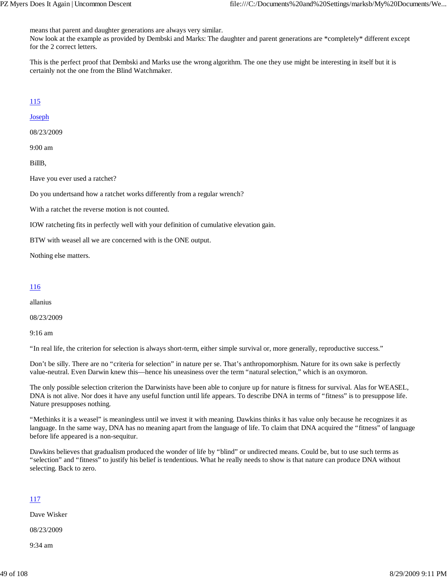means that parent and daughter generations are always very similar.

Now look at the example as provided by Dembski and Marks: The daughter and parent generations are \*completely\* different except for the 2 correct letters.

This is the perfect proof that Dembski and Marks use the wrong algorithm. The one they use might be interesting in itself but it is certainly not the one from the Blind Watchmaker.

## 115

Joseph

08/23/2009

9:00 am

BillB,

Have you ever used a ratchet?

Do you undertsand how a ratchet works differently from a regular wrench?

With a ratchet the reverse motion is not counted.

IOW ratcheting fits in perfectly well with your definition of cumulative elevation gain.

BTW with weasel all we are concerned with is the ONE output.

Nothing else matters.

### 116

allanius

08/23/2009

9:16 am

"In real life, the criterion for selection is always short-term, either simple survival or, more generally, reproductive success."

Don't be silly. There are no "criteria for selection" in nature per se. That's anthropomorphism. Nature for its own sake is perfectly value-neutral. Even Darwin knew this—hence his uneasiness over the term "natural selection," which is an oxymoron.

The only possible selection criterion the Darwinists have been able to conjure up for nature is fitness for survival. Alas for WEASEL, DNA is not alive. Nor does it have any useful function until life appears. To describe DNA in terms of "fitness" is to presuppose life. Nature presupposes nothing.

"Methinks it is a weasel" is meaningless until we invest it with meaning. Dawkins thinks it has value only because he recognizes it as language. In the same way, DNA has no meaning apart from the language of life. To claim that DNA acquired the "fitness" of language before life appeared is a non-sequitur.

Dawkins believes that gradualism produced the wonder of life by "blind" or undirected means. Could be, but to use such terms as "selection" and "fitness" to justify his belief is tendentious. What he really needs to show is that nature can produce DNA without selecting. Back to zero.

## 117

Dave Wisker

08/23/2009

9:34 am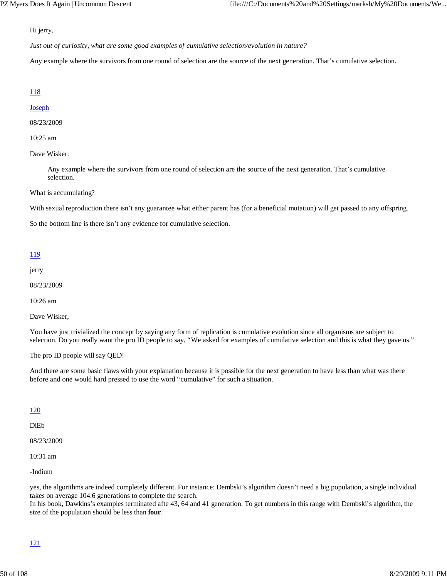Hi jerry,

*Just out of curiosity, what are some good examples of cumulative selection/evolution in nature?*

Any example where the survivors from one round of selection are the source of the next generation. That's cumulative selection.

### 118

#### **Joseph**

#### 08/23/2009

#### 10:25 am

#### Dave Wisker:

Any example where the survivors from one round of selection are the source of the next generation. That's cumulative selection.

#### What is accumulating?

With sexual reproduction there isn't any guarantee what either parent has (for a beneficial mutation) will get passed to any offspring.

So the bottom line is there isn't any evidence for cumulative selection.

#### 119

jerry

08/23/2009

10:26 am

Dave Wisker,

You have just trivialized the concept by saying any form of replication is cumulative evolution since all organisms are subject to selection. Do you really want the pro ID people to say, "We asked for examples of cumulative selection and this is what they gave us."

The pro ID people will say QED!

And there are some basic flaws with your explanation because it is possible for the next generation to have less than what was there before and one would hard pressed to use the word "cumulative" for such a situation.

## 120

DiEb

08/23/2009

10:31 am

-Indium

yes, the algorithms are indeed completely different. For instance: Dembski's algorithm doesn't need a big population, a single individual takes on average 104.6 generations to complete the search.

In his book, Dawkins's examples terminated afte 43, 64 and 41 generation. To get numbers in this range with Dembski's algorithm, the size of the population should be less than **four**.

## 121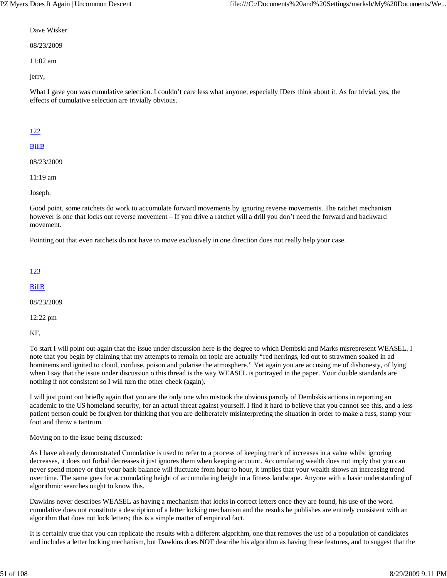#### Dave Wisker

08/23/2009

11:02 am

jerry,

What I gave you was cumulative selection. I couldn't care less what anyone, especially IDers think about it. As for trivial, yes, the effects of cumulative selection are trivially obvious.

## 122

## BillB

08/23/2009

11:19 am

Joseph:

Good point, some ratchets do work to accumulate forward movements by ignoring reverse movements. The ratchet mechanism however is one that locks out reverse movement – If you drive a ratchet will a drill you don't need the forward and backward movement.

Pointing out that even ratchets do not have to move exclusively in one direction does not really help your case.

## 123

BillB

08/23/2009

12:22 pm

KF,

To start I will point out again that the issue under discussion here is the degree to which Dembski and Marks misrepresent WEASEL. I note that you begin by claiming that my attempts to remain on topic are actually "red herrings, led out to strawmen soaked in ad hominems and ignited to cloud, confuse, poison and polarise the atmosphere." Yet again you are accusing me of dishonesty, of lying when I say that the issue under discussion o this thread is the way WEASEL is portrayed in the paper. Your double standards are nothing if not consistent so I will turn the other cheek (again).

I will just point out briefly again that you are the only one who mistook the obvious parody of Dembskis actions in reporting an academic to the US homeland security, for an actual threat against yourself. I find it hard to believe that you cannot see this, and a less patient person could be forgiven for thinking that you are deliberately misinterpreting the situation in order to make a fuss, stamp your foot and throw a tantrum.

Moving on to the issue being discussed:

As I have already demonstrated Cumulative is used to refer to a process of keeping track of increases in a value whilst ignoring decreases, it does not forbid decreases it just ignores them when keeping account. Accumulating wealth does not imply that you can never spend money or that your bank balance will fluctuate from hour to hour, it implies that your wealth shows an increasing trend over time. The same goes for accumulating height of accumulating height in a fitness landscape. Anyone with a basic understanding of algorithmic searches ought to know this.

Dawkins never describes WEASEL as having a mechanism that locks in correct letters once they are found, his use of the word cumulative does not constitute a description of a letter locking mechanism and the results he publishes are entirely consistent with an algorithm that does not lock letters; this is a simple matter of empirical fact.

It is certainly true that you can replicate the results with a different algorithm, one that removes the use of a population of candidates and includes a letter locking mechanism, but Dawkins does NOT describe his algorithm as having these features, and to suggest that the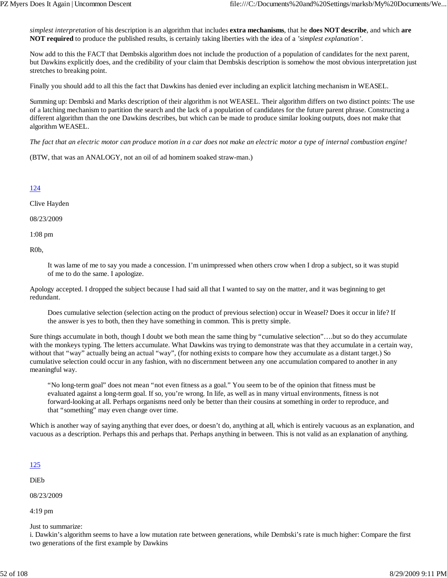*simplest interpretation* of his description is an algorithm that includes **extra mechanisms**, that he **does NOT describe**, and which **are NOT required** to produce the published results, is certainly taking liberties with the idea of a *'simplest explanation'*.

Now add to this the FACT that Dembskis algorithm does not include the production of a population of candidates for the next parent, but Dawkins explicitly does, and the credibility of your claim that Dembskis description is somehow the most obvious interpretation just stretches to breaking point.

Finally you should add to all this the fact that Dawkins has denied ever including an explicit latching mechanism in WEASEL.

Summing up: Dembski and Marks description of their algorithm is not WEASEL. Their algorithm differs on two distinct points: The use of a latching mechanism to partition the search and the lack of a population of candidates for the future parent phrase. Constructing a different algorithm than the one Dawkins describes, but which can be made to produce similar looking outputs, does not make that algorithm WEASEL.

*The fact that an electric motor can produce motion in a car does not make an electric motor a type of internal combustion engine!*

(BTW, that was an ANALOGY, not an oil of ad hominem soaked straw-man.)

124

Clive Hayden

08/23/2009

1:08 pm

R0b,

It was lame of me to say you made a concession. I'm unimpressed when others crow when I drop a subject, so it was stupid of me to do the same. I apologize.

Apology accepted. I dropped the subject because I had said all that I wanted to say on the matter, and it was beginning to get redundant.

Does cumulative selection (selection acting on the product of previous selection) occur in Weasel? Does it occur in life? If the answer is yes to both, then they have something in common. This is pretty simple.

Sure things accumulate in both, though I doubt we both mean the same thing by "cumulative selection"….but so do they accumulate with the monkeys typing. The letters accumulate. What Dawkins was trying to demonstrate was that they accumulate in a certain way, without that "way" actually being an actual "way", (for nothing exists to compare how they accumulate as a distant target.) So cumulative selection could occur in any fashion, with no discernment between any one accumulation compared to another in any meaningful way.

"No long-term goal" does not mean "not even fitness as a goal." You seem to be of the opinion that fitness must be evaluated against a long-term goal. If so, you're wrong. In life, as well as in many virtual environments, fitness is not forward-looking at all. Perhaps organisms need only be better than their cousins at something in order to reproduce, and that "something" may even change over time.

Which is another way of saying anything that ever does, or doesn't do, anything at all, which is entirely vacuous as an explanation, and vacuous as a description. Perhaps this and perhaps that. Perhaps anything in between. This is not valid as an explanation of anything.

125

DiEb

08/23/2009

4:19 pm

Just to summarize:

i. Dawkin's algorithm seems to have a low mutation rate between generations, while Dembski's rate is much higher: Compare the first two generations of the first example by Dawkins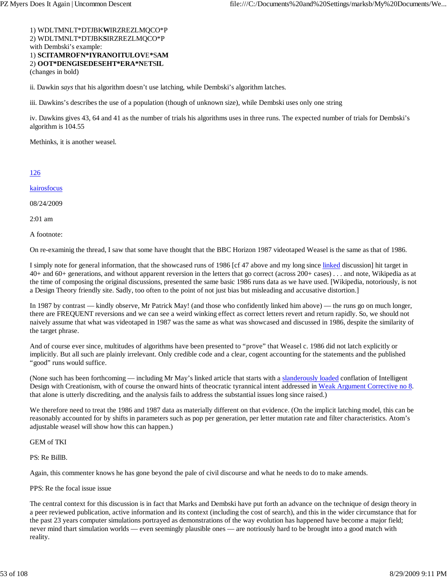# 1) WDLTMNLT\*DTJBK**W**IRZREZLMQCO\*P 2) WDLTMNLT\*DTJBK**S**IRZREZLMQCO\*P with Dembski's example: 1) **SCITAMROFN\*IYRANOITULOV**E**\***S**AM** 2) **OOT\*DENGISEDESEHT\*ERA\*N**E**T**S**IL**

(changes in bold)

ii. Dawkin *says* that his algorithm doesn't use latching, while Dembski's algorithm latches.

iii. Dawkins's describes the use of a population (though of unknown size), while Dembski uses only one string

iv. Dawkins gives 43, 64 and 41 as the number of trials his algorithms uses in three runs. The expected number of trials for Dembski's algorithm is 104.55

Methinks, it is another weasel.

### 126

kairosfocus

08/24/2009

2:01 am

A footnote:

On re-examinig the thread, I saw that some have thought that the BBC Horizon 1987 videotaped Weasel is the same as that of 1986.

I simply note for general information, that the showcased runs of 1986 [cf 47 above and my long since linked discussion] hit target in 40+ and 60+ generations, and without apparent reversion in the letters that go correct (across 200+ cases) . . . and note, Wikipedia as at the time of composing the original discussions, presented the same basic 1986 runs data as we have used. [Wikipedia, notoriously, is not a Design Theory friendly site. Sadly, too often to the point of not just bias but misleading and accusative distortion.]

In 1987 by contrast — kindly observe, Mr Patrick May! (and those who confidently linked him above) — the runs go on much longer, there are FREQUENT reversions and we can see a weird winking effect as correct letters revert and return rapidly. So, we should not naively assume that what was videotaped in 1987 was the same as what was showcased and discussed in 1986, despite the similarity of the target phrase.

And of course ever since, multitudes of algorithms have been presented to "prove" that Weasel c. 1986 did not latch explicitly or implicitly. But all such are plainly irrelevant. Only credible code and a clear, cogent accounting for the statements and the published "good" runs would suffice.

(None such has been forthcoming — including Mr May's linked article that starts with a slanderously loaded conflation of Intelligent Design with Creationism, with of course the onward hints of theocratic tyrannical intent addressed in Weak Argument Corrective no 8. that alone is utterly discrediting, and the analysis fails to address the substantial issues long since raised.)

We therefore need to treat the 1986 and 1987 data as materially different on that evidence. (On the implicit latching model, this can be reasonably accounted for by shifts in parameters such as pop per generation, per letter mutation rate and filter characteristics. Atom's adjustable weasel will show how this can happen.)

#### GEM of TKI

PS: Re BillB.

Again, this commenter knows he has gone beyond the pale of civil discourse and what he needs to do to make amends.

#### PPS: Re the focal issue issue

The central context for this discussion is in fact that Marks and Dembski have put forth an advance on the technique of design theory in a peer reviewed publication, active information and its context (including the cost of search), and this in the wider circumstance that for the past 23 years computer simulations portrayed as demonstrations of the way evolution has happened have become a major field; never mind thart simulation worlds — even seemingly plausible ones — are notriously hard to be brought into a good match with reality.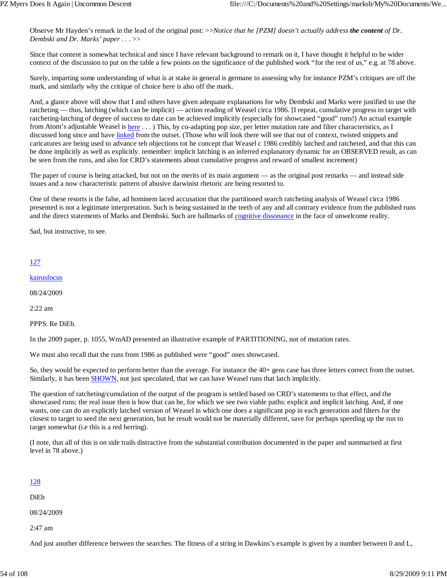Observe Mr Hayden's remark in the lead of the original post: >>*Notice that he [PZM] doesn't actually address the content of Dr. Dembski and Dr. Marks' paper . . .* >>

Since that content is somewhat technical and since I have relevant background to remark on it, I have thought it helpful to he wider context of the discussion to put on the table a few points on the significance of the published work "for the rest of us," e.g. at 78 above.

Surely, imparting some understanding of what is at stake in general is germane to assessing why for instance PZM's critiques are off the mark, and similarly why the critique of choice here is also off the mark.

And, a glance above will show that I and others have given adequate explanations for why Dembski and Marks were justified to use the ratcheting — thus, latching (which can be implicit) — action reading of Weasel circa 1986. [I repeat, cumulative progress to target with ratcheting-latching of degree of success to date can be achieved implicitly (especially for showcased "good" runs!) An actual example from Atom's adjustable Weasel is here ...) This, by co-adapting pop size, per letter mutation rate and filter characteristics, as I discussed long since and have linked from the outset. (Those who will look there will see that out of context, twisted snippets and caricatures are being used to advance teh objections tot he concept that Weasel c 1986 credibly latched and ratcheted, and that this can be done implicitly as well as explicitly. remember: implicit latching is an inferred explanatory dynamic for an OBSERVED result, as can be seen from the runs, and also for CRD's statements about cumulative progress and reward of smallest increment)

The paper of course is being attacked, but not on the merits of its main argument — as the original post remarks — and instead side issues and a now characteristic pattern of abusive darwinist rhetoric are being resorted to.

One of these resorts is the false, ad hominem laced accusation that the partitioned search ratcheting analysis of Weasel circa 1986 presented is not a legitimate interpretation. Such is being sustained in the teeth of any and all contrary evidence from the published runs and the direct statements of Marks and Dembski. Such are hallmarks of cognitive dissonance in the face of unwelcome reality.

Sad, but instructive, to see.

## 127

kairosfocus

08/24/2009

2:22 am

PPPS: Re DiEb.

In the 2009 paper, p. 1055, WmAD presented an illustrative example of PARTITIONING, not of mutation rates.

We must also recall that the runs from 1986 as published were "good" ones showcased.

So, they would be expected to perform better than the average. For instance the 40+ gens case has three letters correct from the outset. Similarly, it has been SHOWN, not just speculated, that we can have Weasel runs that latch implicitly.

The question of ratcheting/cumulation of the output of the program is settled based on CRD's statements to that effect, and the showcased runs; the real issue then is how that can be, for which we see two viable paths: explicit and implicit latching. And, if one wants, one can do an explicitly latched version of Weasel in which one does a significant pop in each generation and filters for the closest to target to seed the next generation, but he result would not be materially different, save for perhaps speeding up the run to target somewhat (i.e this is a red herring).

(I note, that all of this is on side trails distractive from the substantial contribution documented in the paper and summarised at first level in 78 above.)

|--|

DiEb

08/24/2009

2:47 am

And just another difference between the searches: The fitness of a string in Dawkins's example is given by a number between 0 and L,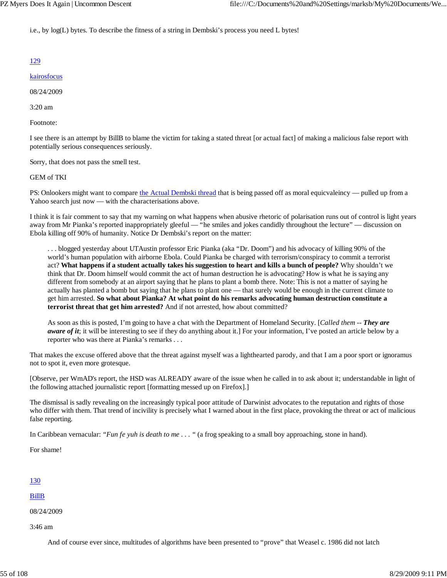i.e., by log(L) bytes. To describe the fitness of a string in Dembski's process you need L bytes!

## 129

#### kairosfocus

08/24/2009

3:20 am

Footnote:

I see there is an attempt by BillB to blame the victim for taking a stated threat [or actual fact] of making a malicious false report with potentially serious consequences seriously.

Sorry, that does not pass the smell test.

### GEM of TKI

PS: Onlookers might want to compare the Actual Dembski thread that is being passed off as moral equicvaleincy — pulled up from a Yahoo search just now — with the characterisations above.

I think it is fair comment to say that my warning on what happens when abusive rhetoric of polarisation runs out of control is light years away from Mr Pianka's reported inappropriately gleeful — "he smiles and jokes candidly throughout the lecture" — discussion on Ebola killing off 90% of humanity. Notice Dr Dembski's report on the matter:

. . . blogged yesterday about UTAustin professor Eric Pianka (aka "Dr. Doom") and his advocacy of killing 90% of the world's human population with airborne Ebola. Could Pianka be charged with terrorism/conspiracy to commit a terrorist act? **What happens if a student actually takes his suggestion to heart and kills a bunch of people?** Why shouldn't we think that Dr. Doom himself would commit the act of human destruction he is advocating? How is what he is saying any different from somebody at an airport saying that he plans to plant a bomb there. Note: This is not a matter of saying he actually has planted a bomb but saying that he plans to plant one — that surely would be enough in the current climate to get him arrested. **So what about Pianka? At what point do his remarks advocating human destruction constitute a terrorist threat that get him arrested?** And if not arrested, how about committed?

As soon as this is posted, I'm going to have a chat with the Department of Homeland Security. [*Called them -- They are aware of it*; it will be interesting to see if they do anything about it.] For your information, I've posted an article below by a reporter who was there at Pianka's remarks . . .

That makes the excuse offered above that the threat against myself was a lighthearted parody, and that I am a poor sport or ignoramus not to spot it, even more grotesque.

[Observe, per WmAD's report, the HSD was ALREADY aware of the issue when he called in to ask about it; understandable in light of the following attached journalistic report [formatting messed up on Firefox].]

The dismissal is sadly revealing on the increasingly typical poor attitude of Darwinist advocates to the reputation and rights of those who differ with them. That trend of incivility is precisely what I warned about in the first place, provoking the threat or act of malicious false reporting.

In Caribbean vernacular: *"Fun fe yuh is death to me ...* " (a frog speaking to a small boy approaching, stone in hand).

For shame!

#### 130

BillB

08/24/2009

3:46 am

And of course ever since, multitudes of algorithms have been presented to "prove" that Weasel c. 1986 did not latch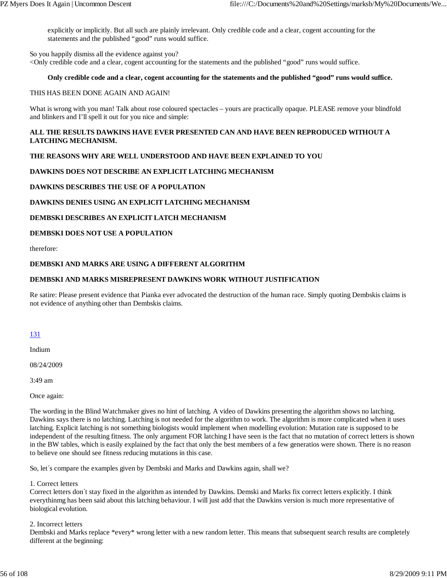explicitly or implicitly. But all such are plainly irrelevant. Only credible code and a clear, cogent accounting for the statements and the published "good" runs would suffice.

So you happily dismiss all the evidence against you? <Only credible code and a clear, cogent accounting for the statements and the published "good" runs would suffice.

### **Only credible code and a clear, cogent accounting for the statements and the published "good" runs would suffice.**

### THIS HAS BEEN DONE AGAIN AND AGAIN!

What is wrong with you man! Talk about rose coloured spectacles – yours are practically opaque. PLEASE remove your blindfold and blinkers and I'll spell it out for you nice and simple:

## **ALL THE RESULTS DAWKINS HAVE EVER PRESENTED CAN AND HAVE BEEN REPRODUCED WITHOUT A LATCHING MECHANISM.**

## **THE REASONS WHY ARE WELL UNDERSTOOD AND HAVE BEEN EXPLAINED TO YOU**

## **DAWKINS DOES NOT DESCRIBE AN EXPLICIT LATCHING MECHANISM**

## **DAWKINS DESCRIBES THE USE OF A POPULATION**

## **DAWKINS DENIES USING AN EXPLICIT LATCHING MECHANISM**

## **DEMBSKI DESCRIBES AN EXPLICIT LATCH MECHANISM**

## **DEMBSKI DOES NOT USE A POPULATION**

therefore:

### **DEMBSKI AND MARKS ARE USING A DIFFERENT ALGORITHM**

## **DEMBSKI AND MARKS MISREPRESENT DAWKINS WORK WITHOUT JUSTIFICATION**

Re satire: Please present evidence that Pianka ever advocated the destruction of the human race. Simply quoting Dembskis claims is not evidence of anything other than Dembskis claims.

## 131

Indium

08/24/2009

3:49 am

Once again:

The wording in the Blind Watchmaker gives no hint of latching. A video of Dawkins presenting the algorithm shows no latching. Dawkins says there is no latching. Latching is not needed for the algorithm to work. The algorithm is more complicated when it uses latching. Explicit latching is not something biologists would implement when modelling evolution: Mutation rate is supposed to be independent of the resulting fitness. The only argument FOR latching I have seen is the fact that no mutation of correct letters is shown in the BW tables, which is easily explained by the fact that only the best members of a few generatios were shown. There is no reason to believe one should see fitness reducing mutations in this case.

So, let´s compare the examples given by Dembski and Marks and Dawkins again, shall we?

1. Correct letters

Correct letters don´t stay fixed in the algorithm as intended by Dawkins. Demski and Marks fix correct letters explicitly. I think everythinmg has been said about this latching behaviour. I will just add that the Dawkins version is much more representative of biological evolution.

#### 2. Incorrect letters

Dembski and Marks replace \*every\* wrong letter with a new random letter. This means that subsequent search results are completely different at the beginning: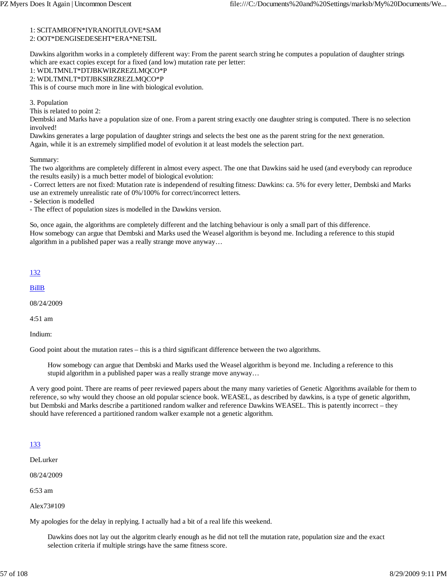#### 1: SCITAMROFN\*IYRANOITULOVE\*SAM 2: OOT\*DENGISEDESEHT\*ERA\*NETSIL

Dawkins algorithm works in a completely different way: From the parent search string he computes a population of daughter strings which are exact copies except for a fixed (and low) mutation rate per letter:

### 1: WDLTMNLT\*DTJBKWIRZREZLMQCO\*P 2: WDLTMNLT\*DTJBKSIRZREZLMQCO\*P

This is of course much more in line with biological evolution.

3. Population

This is related to point 2:

Dembski and Marks have a population size of one. From a parent string exactly one daughter string is computed. There is no selection involved!

Dawkins generates a large population of daughter strings and selects the best one as the parent string for the next generation. Again, while it is an extremely simplified model of evolution it at least models the selection part.

Summary:

The two algorithms are completely different in almost every aspect. The one that Dawkins said he used (and everybody can reproduce the results easily) is a much better model of biological evolution:

- Correct letters are not fixed: Mutation rate is independend of resulting fitness: Dawkins: ca. 5% for every letter, Dembski and Marks use an extremely unrealistic rate of 0%/100% for correct/incorrect letters.

- Selection is modelled

- The effect of population sizes is modelled in the Dawkins version.

So, once again, the algorithms are completely different and the latching behaviour is only a small part of this difference. How somebogy can argue that Dembski and Marks used the Weasel algorithm is beyond me. Including a reference to this stupid algorithm in a published paper was a really strange move anyway…

#### 132

BillB

08/24/2009

4:51 am

Indium:

Good point about the mutation rates – this is a third significant difference between the two algorithms.

How somebogy can argue that Dembski and Marks used the Weasel algorithm is beyond me. Including a reference to this stupid algorithm in a published paper was a really strange move anyway…

A very good point. There are reams of peer reviewed papers about the many many varieties of Genetic Algorithms available for them to reference, so why would they choose an old popular science book. WEASEL, as described by dawkins, is a type of genetic algorithm, but Dembski and Marks describe a partitioned random walker and reference Dawkins WEASEL. This is patently incorrect – they should have referenced a partitioned random walker example not a genetic algorithm.

## 133

DeLurker

08/24/2009

6:53 am

Alex73#109

My apologies for the delay in replying. I actually had a bit of a real life this weekend.

Dawkins does not lay out the algoritm clearly enough as he did not tell the mutation rate, population size and the exact selection criteria if multiple strings have the same fitness score.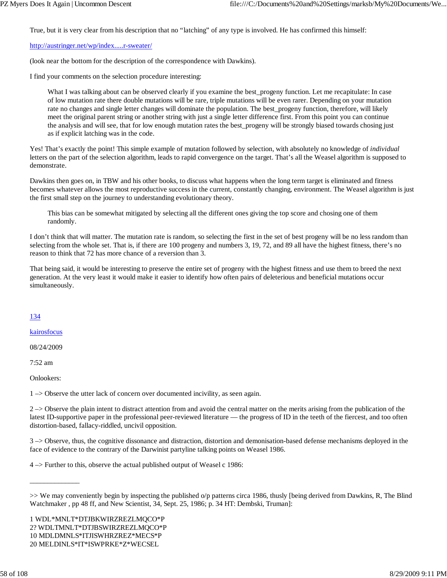True, but it is very clear from his description that no "latching" of any type is involved. He has confirmed this himself:

#### http://austringer.net/wp/index.....r-sweater/

(look near the bottom for the description of the correspondence with Dawkins).

I find your comments on the selection procedure interesting:

What I was talking about can be observed clearly if you examine the best\_progeny function. Let me recapitulate: In case of low mutation rate there double mutations will be rare, triple mutations will be even rarer. Depending on your mutation rate no changes and single letter changes will dominate the population. The best\_progeny function, therefore, will likely meet the original parent string or another string with just a single letter difference first. From this point you can continue the analysis and will see, that for low enough mutation rates the best\_progeny will be strongly biased towards chosing just as if explicit latching was in the code.

Yes! That's exactly the point! This simple example of mutation followed by selection, with absolutely no knowledge of *individual* letters on the part of the selection algorithm, leads to rapid convergence on the target. That's all the Weasel algorithm is supposed to demonstrate.

Dawkins then goes on, in TBW and his other books, to discuss what happens when the long term target is eliminated and fitness becomes whatever allows the most reproductive success in the current, constantly changing, environment. The Weasel algorithm is just the first small step on the journey to understanding evolutionary theory.

This bias can be somewhat mitigated by selecting all the different ones giving the top score and chosing one of them randomly.

I don't think that will matter. The mutation rate is random, so selecting the first in the set of best progeny will be no less random than selecting from the whole set. That is, if there are 100 progeny and numbers 3, 19, 72, and 89 all have the highest fitness, there's no reason to think that 72 has more chance of a reversion than 3.

That being said, it would be interesting to preserve the entire set of progeny with the highest fitness and use them to breed the next generation. At the very least it would make it easier to identify how often pairs of deleterious and beneficial mutations occur simultaneously.

### 134

kairosfocus

08/24/2009

7:52 am

Onlookers:

\_\_\_\_\_\_\_\_\_\_\_\_\_\_

1 –> Observe the utter lack of concern over documented incivility, as seen again.

 $2 \rightarrow$  Observe the plain intent to distract attention from and avoid the central matter on the merits arising from the publication of the latest ID-supportive paper in the professional peer-reviewed literature — the progress of ID in the teeth of the fiercest, and too often distortion-based, fallacy-riddled, uncivil opposition.

3 –> Observe, thus, the cognitive dissonance and distraction, distortion and demonisation-based defense mechanisms deployed in the face of evidence to the contrary of the Darwinist partyline talking points on Weasel 1986.

4 –> Further to this, observe the actual published output of Weasel c 1986:

1 WDL\*MNLT\*DTJBKWIRZREZLMQCO\*P 2? WDLTMNLT\*DTJBSWIRZREZLMQCO\*P 10 MDLDMNLS\*ITJISWHRZREZ\*MECS\*P 20 MELDINLS\*IT\*ISWPRKE\*Z\*WECSEL

<sup>&</sup>gt;> We may conveniently begin by inspecting the published o/p patterns circa 1986, thusly [being derived from Dawkins, R, The Blind Watchmaker , pp 48 ff, and New Scientist, 34, Sept. 25, 1986; p. 34 HT: Dembski, Truman]: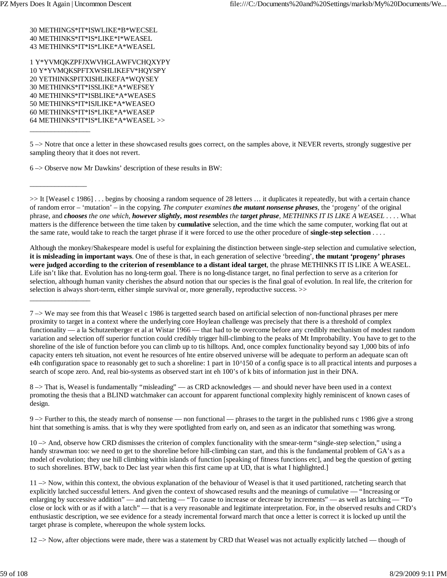30 METHINGS\*IT\*ISWLIKE\*B\*WECSEL 40 METHINKS\*IT\*IS\*LIKE\*I\*WEASEL 43 METHINKS\*IT\*IS\*LIKE\*A\*WEASEL

1 Y\*YVMQKZPFJXWVHGLAWFVCHQXYPY 10 Y\*YVMQKSPFTXWSHLIKEFV\*HQYSPY 20 YETHINKSPITXISHLIKEFA\*WQYSEY 30 METHINKS\*IT\*ISSLIKE\*A\*WEFSEY 40 METHINKS\*IT\*ISBLIKE\*A\*WEASES 50 METHINKS\*IT\*ISJLIKE\*A\*WEASEO 60 METHINKS\*IT\*IS\*LIKE\*A\*WEASEP 64 METHINKS\*IT\*IS\*LIKE\*A\*WEASEL >>

\_\_\_\_\_\_\_\_\_\_\_\_\_\_\_\_\_

 $\overline{\phantom{a}}$  ,  $\overline{\phantom{a}}$  ,  $\overline{\phantom{a}}$  ,  $\overline{\phantom{a}}$  ,  $\overline{\phantom{a}}$  ,  $\overline{\phantom{a}}$  ,  $\overline{\phantom{a}}$  ,  $\overline{\phantom{a}}$  ,  $\overline{\phantom{a}}$  ,  $\overline{\phantom{a}}$  ,  $\overline{\phantom{a}}$  ,  $\overline{\phantom{a}}$  ,  $\overline{\phantom{a}}$  ,  $\overline{\phantom{a}}$  ,  $\overline{\phantom{a}}$  ,  $\overline{\phantom{a}}$ 

\_\_\_\_\_\_\_\_\_\_\_\_\_\_\_\_\_

6 –> Observe now Mr Dawkins' description of these results in BW:

>> It [Weasel c 1986] . . . begins by choosing a random sequence of 28 letters … it duplicates it repeatedly, but with a certain chance of random error – 'mutation' – in the copying. *The computer examines the mutant nonsense phrases*, the 'progeny' of the original phrase, and *chooses the one which, however slightly, most resembles the target phrase, METHINKS IT IS LIKE A WEASEL* . . . . What matters is the difference between the time taken by **cumulative** selection, and the time which the same computer, working flat out at the same rate, would take to reach the target phrase if it were forced to use the other procedure of **single-step selection** . . . .

Although the monkey/Shakespeare model is useful for explaining the distinction between single-step selection and cumulative selection, **it is misleading in important ways**. One of these is that, in each generation of selective 'breeding', **the mutant 'progeny' phrases were judged according to the criterion of resemblance to a distant ideal target**, the phrase METHINKS IT IS LIKE A WEASEL. Life isn't like that. Evolution has no long-term goal. There is no long-distance target, no final perfection to serve as a criterion for selection, although human vanity cherishes the absurd notion that our species is the final goal of evolution. In real life, the criterion for selection is always short-term, either simple survival or, more generally, reproductive success. >>

7 –> We may see from this that Weasel c 1986 is targetted search based on artificial selection of non-functional phrases per mere proximity to target in a context where the underlying core Hoylean challenge was precisely that there is a threshold of complex functionality — a la Schutzenberger et al at Wistar 1966 — that had to be overcome before any credibly mechanism of modest random variation and selection off superior function could credibly trigger hill-climbing to the peaks of Mt Improbability. You have to get to the shoreline of the isle of function before you can climb up to tis hilltops. And, once complex functionality beyond say 1,000 bits of info capacity enters teh situation, not event he resources of hte entire observed universe will be adequate to perform an adequate scan oft e4h configuration space to reasonably get to such a shoreline: 1 part in  $10^{\text{A}}150$  of a config space is to all practical intents and purposes a search of scope zero. And, real bio-systems as observed start int eh 100's of k bits of information just in their DNA.

8 –> That is, Weasel is fundamentally "misleading" — as CRD acknowledges — and should never have been used in a context promoting the thesis that a BLIND watchmaker can account for apparent functional complexity highly reminiscent of known cases of design.

9 –> Further to this, the steady march of nonsense — non functional — phrases to the target in the published runs c 1986 give a strong hint that something is amiss. that is why they were spotlighted from early on, and seen as an indicator that something was wrong.

10 –> And, observe how CRD dismisses the criterion of complex functionality with the smear-term "single-step selection," using a handy strawman too: we need to get to the shoreline before hill-climbing can start, and this is the fundamental problem of GA's as a model of evolution; they use hill climbing within islands of function [speaking of fitness functions etc], and beg the question of getting to such shorelines. BTW, back to Dec last year when this first came up at UD, that is what I highlighted.]

12 –> Now, after objections were made, there was a statement by CRD that Weasel was not actually explicitly latched — though of

<sup>5 –&</sup>gt; Notre that once a letter in these showcased results goes correct, on the samples above, it NEVER reverts, strongly suggestive per sampling theory that it does not revert.

<sup>11 –&</sup>gt; Now, within this context, the obvious explanation of the behaviour of Weasel is that it used partitioned, ratcheting search that explicitly latched successful letters. And given the context of showcased results and the meanings of cumulative — "Increasing or enlarging by successive addition" — and ratcheting — "To cause to increase or decrease by increments" — as well as latching — "To close or lock with or as if with a latch" — that is a very reasonable and legitimate interpretation. For, in the observed results and CRD's enthusiastic description, we see evidence for a steady incremental forward march that once a letter is correct it is locked up until the target phrase is complete, whereupon the whole system locks.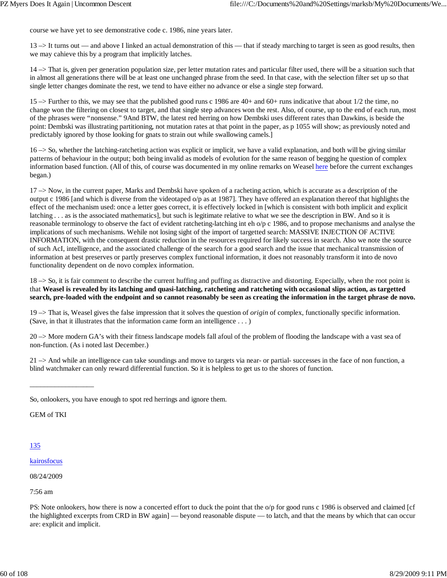course we have yet to see demonstrative code c. 1986, nine years later.

13 –> It turns out — and above I linked an actual demonstration of this — that if steady marching to target is seen as good results, then we may cahieve this by a program that implicitly latches.

14 –> That is, given per generation population size, per letter mutation rates and particular filter used, there will be a situation such that in almost all generations there will be at least one unchanged phrase from the seed. In that case, with the selection filter set up so that single letter changes dominate the rest, we tend to have either no advance or else a single step forward.

15 –> Further to this, we may see that the published good runs c 1986 are 40+ and 60+ runs indicative that about 1/2 the time, no change won the filtering on closest to target, and that single step advances won the rest. Also, of course, up to the end of each run, most of the phrases were "nonsense." 9And BTW, the latest red herring on how Dembski uses different rates than Dawkins, is beside the point: Dembski was illustrating partitioning, not mutation rates at that point in the paper, as p 1055 will show; as previously noted and predictably ignored by those looking for gnats to strain out while swallowing camels.]

16 –> So, whether the latching-ratcheting action was explicit or implicit, we have a valid explanation, and both will be giving similar patterns of behaviour in the output; both being invalid as models of evolution for the same reason of begging he question of complex information based function. (All of this, of course was documented in my online remarks on Weasel here before the current exchanges began.)

 $17 \rightarrow$  Now, in the current paper, Marks and Dembski have spoken of a racheting action, which is accurate as a description of the output c 1986 [and which is diverse from the videotaped o/p as at 1987]. They have offered an explanation thereof that highlights the effect of the mechanism used: once a letter goes correct, it is effectively locked in [which is consistent with both implicit and explicit latching . . . as is the associated mathematics], but such is legitimate relative to what we see the description in BW. And so it is reasonable terminology to observe the fact of evident ratcheting-latching int eh o/p c 1986, and to propose mechanisms and analyse the implications of such mechanisms. Wehile not losing sight of the import of targetted search: MASSIVE INJECTION OF ACTIVE INFORMATION, with the consequent drastic reduction in the resources required for likely success in search. Also we note the source of such AcI, intelligence, and the associated challenge of the search for a good search and the issue that mechanical transmission of information at best preserves or partly preserves complex functional information, it does not reasonably transform it into de novo functionality dependent on de novo complex information.

18 –> So, it is fair comment to describe the current huffing and puffing as distractive and distorting. Especially, when the root point is that **Weasel is revealed by its latching and quasi-latching, ratcheting and ratcheting with occasional slips action, as targetted search, pre-loaded with the endpoint and so cannot reasonably be seen as creating the information in the target phrase de novo.**

19 –> That is, Weasel gives the false impression that it solves the question of *origin* of complex, functionally specific information. (Save, in that it illustrates that the information came form an intelligence . . . )

20 –> More modern GA's with their fitness landscape models fall afoul of the problem of flooding the landscape with a vast sea of non-function. (As i noted last December.)

 $21 \rightarrow$  And while an intelligence can take soundings and move to targets via near- or partial- successes in the face of non function, a blind watchmaker can only reward differential function. So it is helpless to get us to the shores of function.

GEM of TKI

\_\_\_\_\_\_\_\_\_\_\_\_\_\_\_\_\_\_

- 135
- kairosfocus

08/24/2009

7:56 am

PS: Note onlookers, how there is now a concerted effort to duck the point that the o/p for good runs c 1986 is observed and claimed [cf the highlighted excerpts from CRD in BW again] — beyond reasonable dispute — to latch, and that the means by which that can occur are: explicit and implicit.

So, onlookers, you have enough to spot red herrings and ignore them.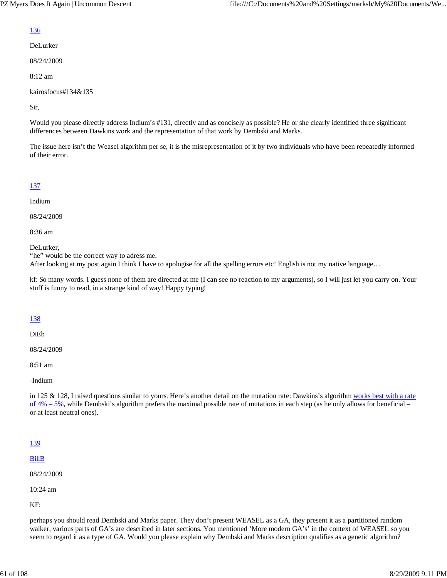# 136

DeLurker

08/24/2009

8:12 am

kairosfocus#134&135

Sir,

Would you please directly address Indium's #131, directly and as concisely as possible? He or she clearly identified three significant differences between Dawkins work and the representation of that work by Dembski and Marks.

The issue here isn't the Weasel algorithm per se, it is the misrepresentation of it by two individuals who have been repeatedly informed of their error.

## 137

Indium

08/24/2009

8:36 am

DeLurker,

"he" would be the correct way to adress me.

After looking at my post again I think I have to apologise for all the spelling errors etc! English is not my native language…

kf: So many words. I guess none of them are directed at me (I can see no reaction to my arguments), so I will just let you carry on. Your stuff is funny to read, in a strange kind of way! Happy typing!

### 138

DiEb

08/24/2009

8:51 am

-Indium

in 125 & 128, I raised questions similar to yours. Here's another detail on the mutation rate: Dawkins's algorithm works best with a rate of 4% – 5%, while Dembski's algorithm prefers the maximal possible rate of mutations in each step (as he only allows for beneficial – or at least neutral ones).

## 139

BillB

08/24/2009

10:24 am

KF:

perhaps you should read Dembski and Marks paper. They don't present WEASEL as a GA, they present it as a partitioned random walker, various parts of GA's are described in later sections. You mentioned 'More modern GA's' in the context of WEASEL so you seem to regard it as a type of GA. Would you please explain why Dembski and Marks description qualifies as a genetic algorithm?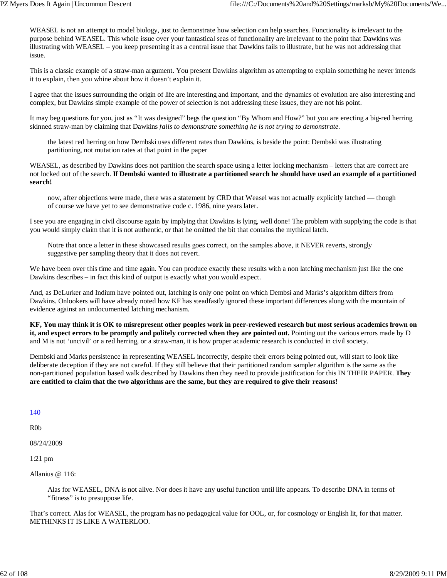WEASEL is not an attempt to model biology, just to demonstrate how selection can help searches. Functionality is irrelevant to the purpose behind WEASEL. This whole issue over your fantastical seas of functionality are irrelevant to the point that Dawkins was illustrating with WEASEL – you keep presenting it as a central issue that Dawkins fails to illustrate, but he was not addressing that issue.

This is a classic example of a straw-man argument. You present Dawkins algorithm as attempting to explain something he never intends it to explain, then you whine about how it doesn't explain it.

I agree that the issues surrounding the origin of life are interesting and important, and the dynamics of evolution are also interesting and complex, but Dawkins simple example of the power of selection is not addressing these issues, they are not his point.

It may beg questions for you, just as "It was designed" begs the question "By Whom and How?" but you are erecting a big-red herring skinned straw-man by claiming that Dawkins *fails to demonstrate something he is not trying to demonstrate.*

the latest red herring on how Dembski uses different rates than Dawkins, is beside the point: Dembski was illustrating partitioning, not mutation rates at that point in the paper

WEASEL, as described by Dawkins does not partition the search space using a letter locking mechanism – letters that are correct are not locked out of the search. **If Dembski wanted to illustrate a partitioned search he should have used an example of a partitioned search!**

now, after objections were made, there was a statement by CRD that Weasel was not actually explicitly latched — though of course we have yet to see demonstrative code c. 1986, nine years later.

I see you are engaging in civil discourse again by implying that Dawkins is lying, well done! The problem with supplying the code is that you would simply claim that it is not authentic, or that he omitted the bit that contains the mythical latch.

Notre that once a letter in these showcased results goes correct, on the samples above, it NEVER reverts, strongly suggestive per sampling theory that it does not revert.

We have been over this time and time again. You can produce exactly these results with a non latching mechanism just like the one Dawkins describes – in fact this kind of output is exactly what you would expect.

And, as DeLurker and Indium have pointed out, latching is only one point on which Dembsi and Marks's algorithm differs from Dawkins. Onlookers will have already noted how KF has steadfastly ignored these important differences along with the mountain of evidence against an undocumented latching mechanism.

**KF, You may think it is OK to misrepresent other peoples work in peer-reviewed research but most serious academics frown on it, and expect errors to be promptly and politely corrected when they are pointed out.** Pointing out the various errors made by D and M is not 'uncivil' or a red herring, or a straw-man, it is how proper academic research is conducted in civil society.

Dembski and Marks persistence in representing WEASEL incorrectly, despite their errors being pointed out, will start to look like deliberate deception if they are not careful. If they still believe that their partitioned random sampler algorithm is the same as the non-partitioned population based walk described by Dawkins then they need to provide justification for this IN THEIR PAPER. **They are entitled to claim that the two algorithms are the same, but they are required to give their reasons!**

#### 140

R0b

08/24/2009

1:21 pm

Allanius @ 116:

Alas for WEASEL, DNA is not alive. Nor does it have any useful function until life appears. To describe DNA in terms of "fitness" is to presuppose life.

That's correct. Alas for WEASEL, the program has no pedagogical value for OOL, or, for cosmology or English lit, for that matter. METHINKS IT IS LIKE A WATERLOO.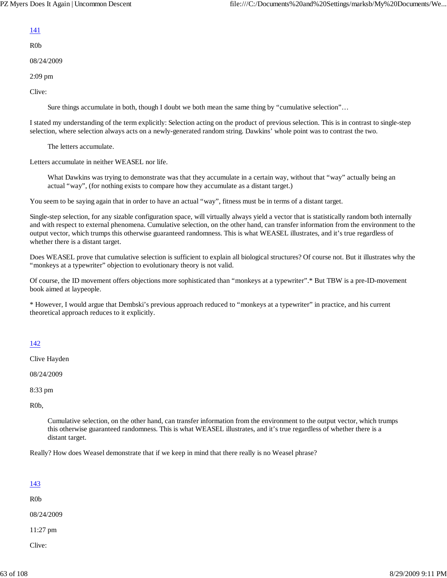### 141

R0b

08/24/2009

2:09 pm

Clive:

Sure things accumulate in both, though I doubt we both mean the same thing by "cumulative selection"…

I stated my understanding of the term explicitly: Selection acting on the product of previous selection. This is in contrast to single-step selection, where selection always acts on a newly-generated random string. Dawkins' whole point was to contrast the two.

The letters accumulate.

Letters accumulate in neither WEASEL nor life.

What Dawkins was trying to demonstrate was that they accumulate in a certain way, without that "way" actually being an actual "way", (for nothing exists to compare how they accumulate as a distant target.)

You seem to be saying again that in order to have an actual "way", fitness must be in terms of a distant target.

Single-step selection, for any sizable configuration space, will virtually always yield a vector that is statistically random both internally and with respect to external phenomena. Cumulative selection, on the other hand, can transfer information from the environment to the output vector, which trumps this otherwise guaranteed randomness. This is what WEASEL illustrates, and it's true regardless of whether there is a distant target.

Does WEASEL prove that cumulative selection is sufficient to explain all biological structures? Of course not. But it illustrates why the "monkeys at a typewriter" objection to evolutionary theory is not valid.

Of course, the ID movement offers objections more sophisticated than "monkeys at a typewriter".\* But TBW is a pre-ID-movement book aimed at laypeople.

\* However, I would argue that Dembski's previous approach reduced to "monkeys at a typewriter" in practice, and his current theoretical approach reduces to it explicitly.

## 142

Clive Hayden

08/24/2009

8:33 pm

R0b,

Cumulative selection, on the other hand, can transfer information from the environment to the output vector, which trumps this otherwise guaranteed randomness. This is what WEASEL illustrates, and it's true regardless of whether there is a distant target.

Really? How does Weasel demonstrate that if we keep in mind that there really is no Weasel phrase?

| <u>143</u> |  |  |
|------------|--|--|
| R0b        |  |  |
| 08/24/2009 |  |  |
| 11:27 pm   |  |  |
| Clive:     |  |  |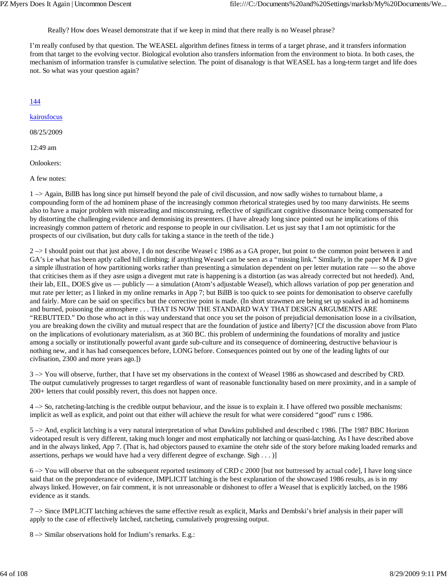Really? How does Weasel demonstrate that if we keep in mind that there really is no Weasel phrase?

I'm really confused by that question. The WEASEL algorithm defines fitness in terms of a target phrase, and it transfers information from that target to the evolving vector. Biological evolution also transfers information from the environment to biota. In both cases, the mechanism of information transfer is cumulative selection. The point of disanalogy is that WEASEL has a long-term target and life does not. So what was your question again?

144

kairosfocus

08/25/2009

12:49 am

Onlookers:

A few notes:

1 –> Again, BillB has long since put himself beyond the pale of civil discussion, and now sadly wishes to turnabout blame, a compounding form of the ad hominem phase of the increasingly common rhetorical strategies used by too many darwinists. He seems also to have a major problem with misreading and misconstruing, reflective of significant cognitive dissonnance being compensated for by distorting the challenging evidence and demonising its presenters. (I have already long since pointed out he implications of this increasingly common pattern of rhetoric and response to people in our civilisation. Let us just say that I am not optimistic for the prospects of our civilisation, but duty calls for taking a stance in the teeth of the tide.)

2 –> I should point out that just above, I do not describe Weasel c 1986 as a GA proper, but point to the common point between it and GA's i.e what has been aptly called hill climbing; if anything Weasel can be seen as a "missing link." Similarly, in the paper M & D give a simple illustration of how partitioning works rather than presenting a simulation dependent on per letter mutation rate — so the above that criticises them as if they asre usign a divegent mut rate is happening is a distortion (as was already corrected but not heeded). And, their lab, EIL, DOES give us — publicly — a simulation (Atom's adjustable Weasel), which allows variation of pop per generation and mut rate per letter; as I linked in my online remarks in App 7; but BillB is too quick to see points for demonisation to observe carefully and fairly. More can be said on specifics but the corrective point is made. (In short strawmen are being set up soaked in ad hominems and burned, poisoning the atmosphere . . . THAT IS NOW THE STANDARD WAY THAT DESIGN ARGUMENTS ARE "REBUTTED." Do those who act in this way understand that once you set the poison of prejudicial demonisation loose in a civilisation, you are breaking down the civility and mutual respect that are the foundation of justice and liberty? [Cf the discussion above from Plato on the implications of evolutionary materialism, as at 360 BC. this problem of undermining the foundations of morality and justice among a socially or institutionally powerful avant garde sub-culture and its consequence of domineering, destructive behaviour is nothing new, and it has had consequences before, LONG before. Consequences pointed out by one of the leading lights of our civlisation, 2300 and more years ago.])

3 –> You will observe, further, that I have set my observations in the context of Weasel 1986 as showcased and described by CRD. The output cumulatively progresses to target regardless of want of reasonable functionality based on mere proximity, and in a sample of 200+ letters that could possibly revert, this does not happen once.

4 –> So, ratcheting-latching is the credible output behaviour, and the issue is to explain it. I have offered two possible mechanisms: implicit as well as explicit, and point out that either will achieve the result for what were considered "good" runs c 1986.

5 –> And, explicit latching is a very natural interpretation of what Dawkins published and described c 1986. [The 1987 BBC Horizon videotaped result is very different, taking much longer and most emphatically not latching or quasi-latching. As I have described above and in the always linked, App 7. (That is, had objectors paused to examine the otehr side of the story before making loaded remarks and assertions, perhaps we would have had a very different degree of exchange. Sigh . . . )]

6 –> You will observe that on the subsequent reported testimony of CRD c 2000 [but not buttressed by actual code], I have long since said that on the preponderance of evidence, IMPLICIT latching is the best explanation of the showcased 1986 results, as is in my always linked. However, on fair comment, it is not unreasonable or dishonest to offer a Weasel that is explicitly latched, on the 1986 evidence as it stands.

7 –> Since IMPLICIT latching achieves the same effective result as explicit, Marks and Dembski's brief analysis in their paper will apply to the case of effectively latched, ratcheting, cumulatively progressing output.

8 –> Similar observations hold for Indium's remarks. E.g.: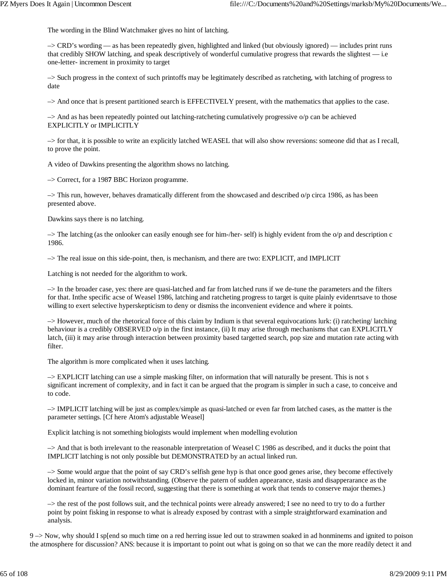The wording in the Blind Watchmaker gives no hint of latching.

–> CRD's wording — as has been repeatedly given, highlighted and linked (but obviously ignored) — includes print runs that credibly SHOW latching, and speak descriptively of wonderful cumulative progress that rewards the slightest — i.e one-letter- increment in proximity to target

–> Such progress in the context of such printoffs may be legitimately described as ratcheting, with latching of progress to date

–> And once that is present partitioned search is EFFECTIVELY present, with the mathematics that applies to the case.

–> And as has been repeatedly pointed out latching-ratcheting cumulatively progressive o/p can be achieved EXPLICITLY or IMPLICITLY

–> for that, it is possible to write an explicitly latched WEASEL that will also show reversions: someone did that as I recall, to prove the point.

A video of Dawkins presenting the algorithm shows no latching.

–> Correct, for a 198**7** BBC Horizon programme.

 $\rightarrow$  This run, however, behaves dramatically different from the showcased and described o/p circa 1986, as has been presented above.

Dawkins says there is no latching.

 $\rightarrow$  The latching (as the onlooker can easily enough see for him-/her-self) is highly evident from the o/p and description c 1986.

–> The real issue on this side-point, then, is mechanism, and there are two: EXPLICIT, and IMPLICIT

Latching is not needed for the algorithm to work.

–> In the broader case, yes: there are quasi-latched and far from latched runs if we de-tune the parameters and the filters for that. Inthe specific acse of Weasel 1986, latching and ratcheting progress to target is quite plainly evidenrtsave to those willing to exert selective hyperskepticism to deny or dismiss the inconvenient evidence and where it points.

–> However, much of the rhetorical force of this claim by Indium is that several equivocations lurk: (i) ratcheting/ latching behaviour is a credibly OBSERVED o/p in the first instance, (ii) It may arise through mechanisms that can EXPLICITLY latch, (iii) it may arise through interaction between proximity based targetted search, pop size and mutation rate acting with filter.

The algorithm is more complicated when it uses latching.

–> EXPLICIT latching can use a simple masking filter, on information that will naturally be present. This is not s significant increment of complexity, and in fact it can be argued that the program is simpler in such a case, to conceive and to code.

–> IMPLICIT latching will be just as complex/simple as quasi-latched or even far from latched cases, as the matter is the parameter settings. [Cf here Atom's adjustable Weasel]

Explicit latching is not something biologists would implement when modelling evolution

–> And that is both irrelevant to the reasonable interpretation of Weasel C 1986 as described, and it ducks the point that IMPLICIT latching is not only possible but DEMONSTRATED by an actual linked run.

–> Some would argue that the point of say CRD's selfish gene hyp is that once good genes arise, they become effectively locked in, minor variation notwithstanding. (Observe the patern of sudden appearance, stasis and disapperarance as the dominant fearture of the fossil record, suggesting that there is something at work that tends to conserve major themes.)

–> the rest of the post follows suit, and the technical points were already answered; I see no need to try to do a further point by point fisking in response to what is already exposed by contrast with a simple straightforward examination and analysis.

9 –> Now, why should I sp[end so much time on a red herring issue led out to strawmen soaked in ad honminems and ignited to poison the atmosphere for discussion? ANS: because it is important to point out what is going on so that we can the more readily detect it and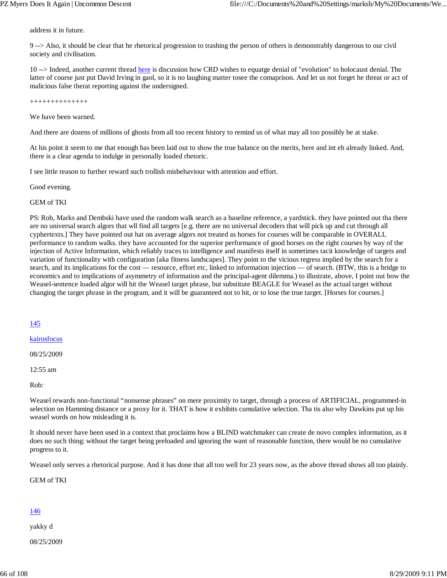address it in future.

9 --> Also, it should be clear that he rhetorical progression to trashing the person of others is demonstrably dangerous to our civil society and civilisation.

10 --> Indeed, another current thread here is discussion how CRD wishes to equatge denial of "evolution" to holocaust denial. The latter of course just put David Irving in gaol, so it is no laughing matter tosee the comaprison. And let us not forget he threat or act of malicious false therat reporting against the undersigned.

++++++++++++++

We have been warned.

And there are dozens of millions of ghosts from all too recent history to remind us of what may all too possibly be at stake.

At his point it seem to me that enough has been laid out to show the true balance on the merits, here and int eh already linked. And, there is a clear agenda to indulge in personally loaded rhetoric.

I see little reason to further reward such trollish misbehaviour with attention and effort.

Good evening.

GEM of TKI

PS: Rob, Marks and Dembski have used the random walk search as a baseline reference, a yardstick. they have pointed out tha there are no universal search algors that wll find all targets [e.g. there are no universal decoders that will pick up and cut through all cyphertexts.] They have pointed out hat on average algors not treated as horses for courses will be comparable in OVERALL performance to random walks. they have accounted for the superior performance of good horses on the right courses by way of the injection of Active Information, which reliably traces to intelligence and manifests itself in sometimes tacit knowledge of targets and variation of functionality with configuration [aka fitness landscapes]. They point to the vicious regress implied by the search for a search, and its implications for the cost — resource, effort etc, linked to information injection — of search. (BTW, this is a bridge to economics and to implications of asymmetry of information and the principal-agent dilemma.) to illustrate, above, I point out how the Weasel-sentence loaded algor will hit the Weasel target phrase, but substitute BEAGLE for Weasel as the actual target without changing the target phrase in the program, and it will be guaranteed not to hit, or to lose the true target. [Horses for courses.]

#### 145

kairosfocus

08/25/2009

12:55 am

Rob:

Weasel rewards non-functional "nonsense phrases" on mere proximity to target, through a process of ARTIFICIAL, programmed-in selection on Hamming distance or a proxy for it. THAT is how it exhibits cumulative selection. Tha tis also why Dawkins put up his weasel words on how misleading it is.

It should never have been used in a context that proclaims how a BLIND watchmaker can create de novo complex information, as it does no such thing: without the target being preloaded and ignoring the want of reasonable function, there would be no cumulative progress to it.

Weasel only serves a rhetorical purpose. And it has done that all too well for 23 years now, as the above thread shows all too plainly.

GEM of TKI

### 146

yakky d

08/25/2009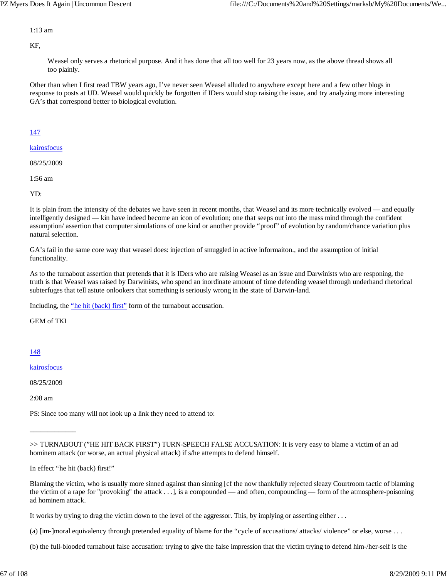### 1:13 am

KF,

Weasel only serves a rhetorical purpose. And it has done that all too well for 23 years now, as the above thread shows all too plainly.

Other than when I first read TBW years ago, I've never seen Weasel alluded to anywhere except here and a few other blogs in response to posts at UD. Weasel would quickly be forgotten if IDers would stop raising the issue, and try analyzing more interesting GA's that correspond better to biological evolution.

## 147

kairosfocus

08/25/2009

1:56 am

YD:

It is plain from the intensity of the debates we have seen in recent months, that Weasel and its more technically evolved — and equally intelligently designed — kin have indeed become an icon of evolution; one that seeps out into the mass mind through the confident assumption/ assertion that computer simulations of one kind or another provide "proof" of evolution by random/chance variation plus natural selection.

GA's fail in the same core way that weasel does: injection of smuggled in active informaiton., and the assumption of initial functionality.

As to the turnabout assertion that pretends that it is IDers who are raising Weasel as an issue and Darwinists who are responing, the truth is that Weasel was raised by Darwinists, who spend an inordinate amount of time defending weasel through underhand rhetorical subterfuges that tell astute onlookers that something is seriously wrong in the state of Darwin-land.

Including, the "he hit (back) first" form of the turnabout accusation.

GEM of TKI

## 148

kairosfocus

08/25/2009

\_\_\_\_\_\_\_\_\_\_\_\_\_

2:08 am

PS: Since too many will not look up a link they need to attend to:

In effect "he hit (back) first!"

Blaming the victim, who is usually more sinned against than sinning [cf the now thankfully rejected sleazy Courtroom tactic of blaming the victim of a rape for "provoking" the attack . . .], is a compounded — and often, compounding — form of the atmosphere-poisoning ad hominem attack.

It works by trying to drag the victim down to the level of the aggressor. This, by implying or asserting either . . .

(a) [im-]moral equivalency through pretended equality of blame for the "cycle of accusations/ attacks/ violence" or else, worse . . .

(b) the full-blooded turnabout false accusation: trying to give the false impression that the victim trying to defend him-/her-self is the

<sup>&</sup>gt;> TURNABOUT ("HE HIT BACK FIRST") TURN-SPEECH FALSE ACCUSATION: It is very easy to blame a victim of an ad hominem attack (or worse, an actual physical attack) if s/he attempts to defend himself.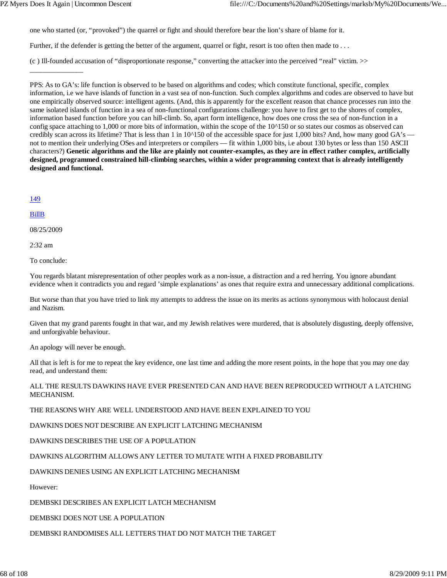one who started (or, "provoked") the quarrel or fight and should therefore bear the lion's share of blame for it.

Further, if the defender is getting the better of the argument, quarrel or fight, resort is too often then made to ...

(c ) Ill-founded accusation of "disproportionate response," converting the attacker into the perceived "real" victim. >>

PPS: As to GA's: life function is observed to be based on algorithms and codes; which constitute functional, specific, complex information, i.e we have islands of function in a vast sea of non-function. Such complex algorithms and codes are observed to have but one empirically observed source: intelligent agents. (And, this is apparently for the excellent reason that chance processes run into the same isolated islands of function in a sea of non-functional configurations challenge: you have to first get to the shores of complex, information based function before you can hill-climb. So, apart form intelligence, how does one cross the sea of non-function in a config space attaching to 1,000 or more bits of information, within the scope of the 10^150 or so states our cosmos as observed can credibly scan across its lifetime? That is less than 1 in 10^150 of the accessible space for just 1,000 bits? And, how many good GA's not to mention their underlying OSes and interpreters or compilers — fit within 1,000 bits, i.e about 130 bytes or less than 150 ASCII characters?) **Genetic algorithms and the like are plainly not counter-examples, as they are in effect rather complex, artificially designed, programmed constrained hill-climbing searches, within a wider programming context that is already intelligently designed and functional.**

149

#### BillB

08/25/2009

\_\_\_\_\_\_\_\_\_\_\_\_\_\_\_

2:32 am

To conclude:

You regards blatant misrepresentation of other peoples work as a non-issue, a distraction and a red herring. You ignore abundant evidence when it contradicts you and regard 'simple explanations' as ones that require extra and unnecessary additional complications.

But worse than that you have tried to link my attempts to address the issue on its merits as actions synonymous with holocaust denial and Nazism.

Given that my grand parents fought in that war, and my Jewish relatives were murdered, that is absolutely disgusting, deeply offensive, and unforgivable behaviour.

An apology will never be enough.

All that is left is for me to repeat the key evidence, one last time and adding the more resent points, in the hope that you may one day read, and understand them:

ALL THE RESULTS DAWKINS HAVE EVER PRESENTED CAN AND HAVE BEEN REPRODUCED WITHOUT A LATCHING MECHANISM.

THE REASONS WHY ARE WELL UNDERSTOOD AND HAVE BEEN EXPLAINED TO YOU

DAWKINS DOES NOT DESCRIBE AN EXPLICIT LATCHING MECHANISM

DAWKINS DESCRIBES THE USE OF A POPULATION

DAWKINS ALGORITHM ALLOWS ANY LETTER TO MUTATE WITH A FIXED PROBABILITY

DAWKINS DENIES USING AN EXPLICIT LATCHING MECHANISM

However:

DEMBSKI DESCRIBES AN EXPLICIT LATCH MECHANISM

DEMBSKI DOES NOT USE A POPULATION

DEMBSKI RANDOMISES ALL LETTERS THAT DO NOT MATCH THE TARGET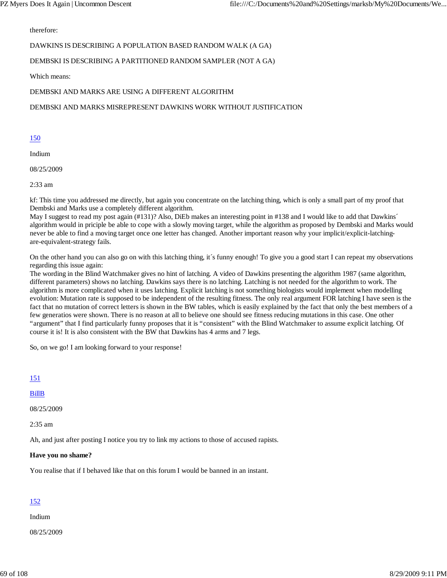therefore:

### DAWKINS IS DESCRIBING A POPULATION BASED RANDOM WALK (A GA)

### DEMBSKI IS DESCRIBING A PARTITIONED RANDOM SAMPLER (NOT A GA)

Which means:

### DEMBSKI AND MARKS ARE USING A DIFFERENT ALGORITHM

### DEMBSKI AND MARKS MISREPRESENT DAWKINS WORK WITHOUT JUSTIFICATION

#### 150

Indium

08/25/2009

2:33 am

kf: This time you addressed me directly, but again you concentrate on the latching thing, which is only a small part of my proof that Dembski and Marks use a completely different algorithm.

May I suggest to read my post again (#131)? Also, DiEb makes an interesting point in #138 and I would like to add that Dawkins´ algorithm would in priciple be able to cope with a slowly moving target, while the algorithm as proposed by Dembski and Marks would never be able to find a moving target once one letter has changed. Another important reason why your implicit/explicit-latchingare-equivalent-strategy fails.

On the other hand you can also go on with this latching thing, it´s funny enough! To give you a good start I can repeat my observations regarding this issue again:

The wording in the Blind Watchmaker gives no hint of latching. A video of Dawkins presenting the algorithm 1987 (same algorithm, different parameters) shows no latching. Dawkins says there is no latching. Latching is not needed for the algorithm to work. The algorithm is more complicated when it uses latching. Explicit latching is not something biologists would implement when modelling evolution: Mutation rate is supposed to be independent of the resulting fitness. The only real argument FOR latching I have seen is the fact that no mutation of correct letters is shown in the BW tables, which is easily explained by the fact that only the best members of a few generatios were shown. There is no reason at all to believe one should see fitness reducing mutations in this case. One other "argument" that I find particularly funny proposes that it is "consistent" with the Blind Watchmaker to assume explicit latching. Of course it is! It is also consistent with the BW that Dawkins has 4 arms and 7 legs.

So, on we go! I am looking forward to your response!

### 151

#### BillB

08/25/2009

2:35 am

Ah, and just after posting I notice you try to link my actions to those of accused rapists.

#### **Have you no shame?**

You realise that if I behaved like that on this forum I would be banned in an instant.

### 152

Indium

08/25/2009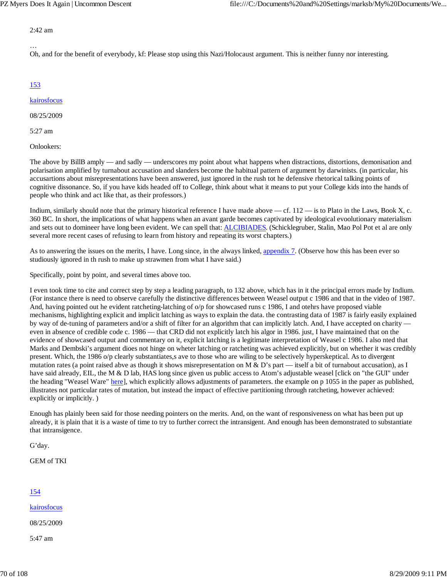#### 2:42 am

Oh, and for the benefit of everybody, kf: Please stop using this Nazi/Holocaust argument. This is neither funny nor interesting.

# 153

…

## kairosfocus

08/25/2009

5:27 am

Onlookers:

The above by BillB amply — and sadly — underscores my point about what happens when distractions, distortions, demonisation and polarisation amplified by turnabout accusation and slanders become the habitual pattern of argument by darwinists. (in particular, his accusartions about misrepresentations have been answered, just ignored in the rush tot he defensive rhetorical talking points of cognitive dissonance. So, if you have kids headed off to College, think about what it means to put your College kids into the hands of people who think and act like that, as their professors.)

Indium, similarly should note that the primary historical reference I have made above — cf.  $112$  — is to Plato in the Laws, Book X, c. 360 BC. In short, the implications of what happens when an avant garde becomes captivated by ideological evoolutionary materialism and sets out to domineer have long been evident. We can spell that: ALCIBIADES. (Schicklegruber, Stalin, Mao Pol Pot et al are only several more recent cases of refusing to learn from history and repeating its worst chapters.)

As to answering the issues on the merits, I have. Long since, in the always linked, appendix 7. (Observe how this has been ever so studiously ignored in th rush to make up strawmen from what I have said.)

Specifically, point by point, and several times above too.

I even took time to cite and correct step by step a leading paragraph, to 132 above, which has in it the principal errors made by Indium. (For instance there is need to observe carefully the distinctive differences between Weasel output c 1986 and that in the video of 1987. And, having pointed out he evident ratcheting-latching of o/p for showcased runs c 1986, I and otehrs have proposed viable mechanisms, highlighting explicit and implicit latching as ways to explain the data. the contrasting data of 1987 is fairly easily explained by way of de-tuning of parameters and/or a shift of filter for an algorithm that can implicitly latch. And, I have accepted on charity – even in absence of credible code c. 1986 — that CRD did not explicitly latch his algor in 1986. just, I have maintained that on the evidence of showcased output and commentary on it, explicit latching is a legitimate interpretation of Weasel c 1986. I also nted that Marks and Dembski's argument dioes not hinge on wheter latching or ratcheting was achieved explicitly, but on whether it was credibly present. Which, the 1986 o/p clearly substantiates,s ave to those who are wiling to be selectively hyperskeptical. As to divergent mutation rates (a point raised abve as though it shows misrepresentation on  $M \& D$ 's part — itself a bit of turnabout accusation), as I have said already, EIL, the M & D lab, HAS long since given us public access to Atom's adjustable weasel [click on "the GUI" under the heading "Weasel Ware" here], which explicitly allows adjustments of parameters. the example on p 1055 in the paper as published, illustrates not particular rates of mutation, but instead the impact of effective partitioning through ratcheting, however achieved: explicitly or implicitly. )

Enough has plainly been said for those needing pointers on the merits. And, on the want of responsiveness on what has been put up already, it is plain that it is a waste of time to try to further correct the intransigent. And enough has been demonstrated to substantiate that intransigence.

G'day.

GEM of TKI

# 154

kairosfocus

08/25/2009

5:47 am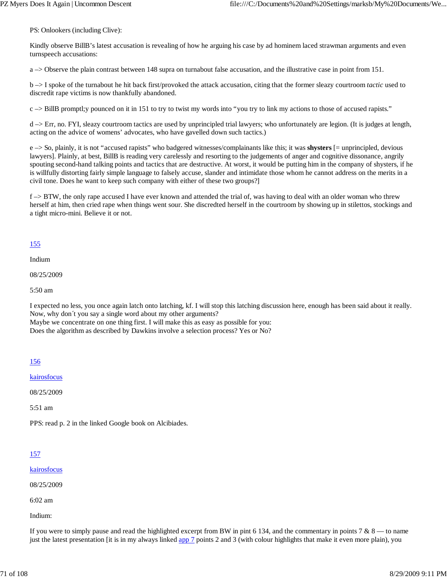PS: Onlookers (including Clive):

Kindly observe BillB's latest accusation is revealing of how he arguing his case by ad hominem laced strawman arguments and even turnspeech accusations:

a –> Observe the plain contrast between 148 supra on turnabout false accusation, and the illustrative case in point from 151.

b –> I spoke of the turnabout he hit back first/provoked the attack accusation, citing that the former sleazy courtroom *tactic* used to discredit rape victims is now thankfully abandoned.

 $c \rightarrow$  BillB promptl; y pounced on it in 151 to try to twist my words into "you try to link my actions to those of accused rapists."

 $d \rightarrow Err$ , no. FYI, sleazy courtroom tactics are used by unprincipled trial lawyers; who unfortunately are legion. (It is judges at length, acting on the advice of womens' advocates, who have gavelled down such tactics.)

e –> So, plainly, it is not "accused rapists" who badgered witnesses/complainants like this; it was **shysters** [= unprincipled, devious lawyers]. Plainly, at best, BillB is reading very carelessly and resorting to the judgements of anger and cognitive dissonance, angrily spouting second-hand talking points and tactics that are destructive. At worst, it would be putting him in the company of shysters, if he is willfully distorting fairly simple language to falsely accuse, slander and intimidate those whom he cannot address on the merits in a civil tone. Does he want to keep such company with either of these two groups?]

 $f \rightarrow$  BTW, the only rape accused I have ever known and attended the trial of, was having to deal with an older woman who threw herself at him, then cried rape when things went sour. She discredted herself in the courtroom by showing up in stilettos, stockings and a tight micro-mini. Believe it or not.

# 155

Indium

08/25/2009

5:50 am

I expected no less, you once again latch onto latching, kf. I will stop this latching discussion here, enough has been said about it really. Now, why don´t you say a single word about my other arguments? Maybe we concentrate on one thing first. I will make this as easy as possible for you: Does the algorithm as described by Dawkins involve a selection process? Yes or No?

## 156

kairosfocus

08/25/2009

5:51 am

PPS: read p. 2 in the linked Google book on Alcibiades.

## 157

### kairosfocus

08/25/2009

6:02 am

Indium:

If you were to simply pause and read the highlighted excerpt from BW in pint 6 134, and the commentary in points  $7 & 8 & -1$  to name just the latest presentation [it is in my always linked app 7 points 2 and 3 (with colour highlights that make it even more plain), you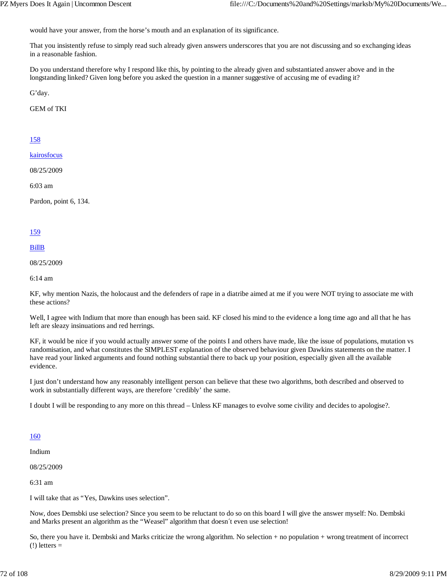would have your answer, from the horse's mouth and an explanation of its significance.

That you insistently refuse to simply read such already given answers underscores that you are not discussing and so exchanging ideas in a reasonable fashion.

Do you understand therefore why I respond like this, by pointing to the already given and substantiated answer above and in the longstanding linked? Given long before you asked the question in a manner suggestive of accusing me of evading it?

G'day.

GEM of TKI

### 158

kairosfocus

08/25/2009

6:03 am

Pardon, point 6, 134.

### 159

#### BillB

08/25/2009

6:14 am

KF, why mention Nazis, the holocaust and the defenders of rape in a diatribe aimed at me if you were NOT trying to associate me with these actions?

Well, I agree with Indium that more than enough has been said. KF closed his mind to the evidence a long time ago and all that he has left are sleazy insinuations and red herrings.

KF, it would be nice if you would actually answer some of the points I and others have made, like the issue of populations, mutation vs randomisation, and what constitutes the SIMPLEST explanation of the observed behaviour given Dawkins statements on the matter. I have read your linked arguments and found nothing substantial there to back up your position, especially given all the available evidence.

I just don't understand how any reasonably intelligent person can believe that these two algorithms, both described and observed to work in substantially different ways, are therefore 'credibly' the same.

I doubt I will be responding to any more on this thread – Unless KF manages to evolve some civility and decides to apologise?.

### 160

Indium

08/25/2009

6:31 am

I will take that as "Yes, Dawkins uses selection".

Now, does Demsbki use selection? Since you seem to be reluctant to do so on this board I will give the answer myself: No. Dembski and Marks present an algorithm as the "Weasel" algorithm that doesn´t even use selection!

So, there you have it. Dembski and Marks criticize the wrong algorithm. No selection + no population + wrong treatment of incorrect  $(!)$  letters  $=$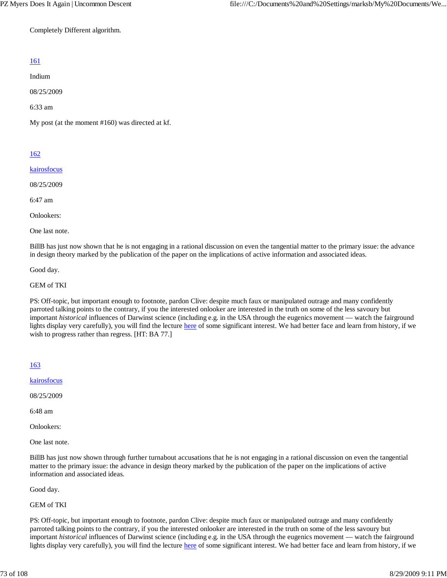Completely Different algorithm.

# 161

Indium

08/25/2009

6:33 am

My post (at the moment #160) was directed at kf.

# 162

kairosfocus

08/25/2009

6:47 am

Onlookers:

One last note.

BillB has just now shown that he is not engaging in a rational discussion on even the tangential matter to the primary issue: the advance in design theory marked by the publication of the paper on the implications of active information and associated ideas.

Good day.

GEM of TKI

PS: Off-topic, but important enough to footnote, pardon Clive: despite much faux or manipulated outrage and many confidently parroted talking points to the contrary, if you the interested onlooker are interested in the truth on some of the less savoury but important *historical* influences of Darwinst science (including e.g. in the USA through the eugenics movement — watch the fairground lights display very carefully), you will find the lecture here of some significant interest. We had better face and learn from history, if we wish to progress rather than regress. [HT: BA 77.]

163

kairosfocus

08/25/2009

6:48 am

Onlookers:

One last note.

BillB has just now shown through further turnabout accusations that he is not engaging in a rational discussion on even the tangential matter to the primary issue: the advance in design theory marked by the publication of the paper on the implications of active information and associated ideas.

Good day.

GEM of TKI

PS: Off-topic, but important enough to footnote, pardon Clive: despite much faux or manipulated outrage and many confidently parroted talking points to the contrary, if you the interested onlooker are interested in the truth on some of the less savoury but important *historical* influences of Darwinst science (including e.g. in the USA through the eugenics movement — watch the fairground lights display very carefully), you will find the lecture here of some significant interest. We had better face and learn from history, if we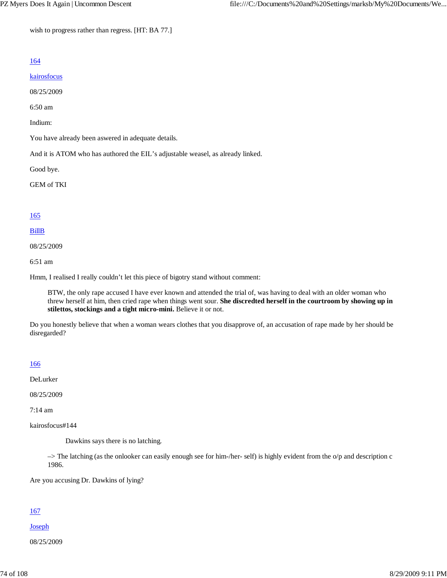wish to progress rather than regress. [HT: BA 77.]

# 164

### kairosfocus

08/25/2009

6:50 am

Indium:

You have already been aswered in adequate details.

And it is ATOM who has authored the EIL's adjustable weasel, as already linked.

Good bye.

GEM of TKI

## 165

## BillB

08/25/2009

6:51 am

Hmm, I realised I really couldn't let this piece of bigotry stand without comment:

BTW, the only rape accused I have ever known and attended the trial of, was having to deal with an older woman who threw herself at him, then cried rape when things went sour. **She discredted herself in the courtroom by showing up in stilettos, stockings and a tight micro-mini.** Believe it or not.

Do you honestly believe that when a woman wears clothes that you disapprove of, an accusation of rape made by her should be disregarded?

## 166

DeLurker

08/25/2009

7:14 am

kairosfocus#144

Dawkins says there is no latching.

–> The latching (as the onlooker can easily enough see for him-/her- self) is highly evident from the o/p and description c 1986.

Are you accusing Dr. Dawkins of lying?

# 167

Joseph

08/25/2009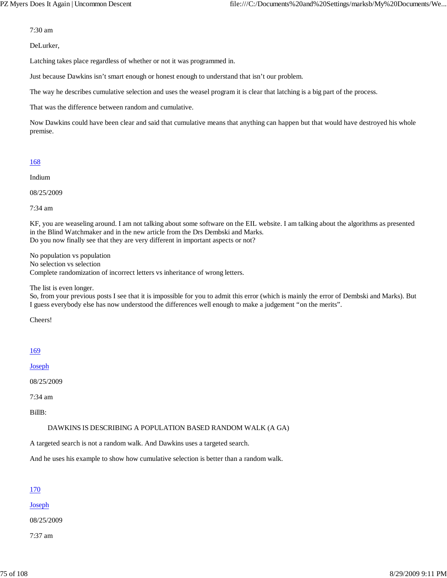7:30 am

DeLurker,

Latching takes place regardless of whether or not it was programmed in.

Just because Dawkins isn't smart enough or honest enough to understand that isn't our problem.

The way he describes cumulative selection and uses the weasel program it is clear that latching is a big part of the process.

That was the difference between random and cumulative.

Now Dawkins could have been clear and said that cumulative means that anything can happen but that would have destroyed his whole premise.

### 168

Indium

08/25/2009

7:34 am

KF, you are weaseling around. I am not talking about some software on the EIL website. I am talking about the algorithms as presented in the Blind Watchmaker and in the new article from the Drs Dembski and Marks. Do you now finally see that they are very different in important aspects or not?

No population vs population No selection vs selection Complete randomization of incorrect letters vs inheritance of wrong letters.

The list is even longer.

So, from your previous posts I see that it is impossible for you to admit this error (which is mainly the error of Dembski and Marks). But I guess everybody else has now understood the differences well enough to make a judgement "on the merits".

Cheers!

## 169

Joseph

08/25/2009

7:34 am

BillB:

DAWKINS IS DESCRIBING A POPULATION BASED RANDOM WALK (A GA)

A targeted search is not a random walk. And Dawkins uses a targeted search.

And he uses his example to show how cumulative selection is better than a random walk.

## 170

Joseph

08/25/2009

7:37 am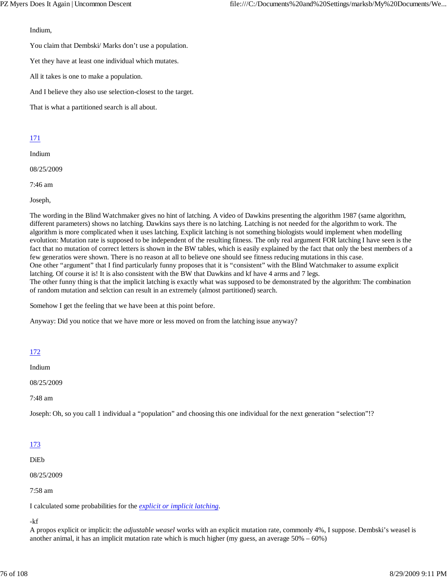Indium,

You claim that Dembski/ Marks don't use a population.

Yet they have at least one individual which mutates.

All it takes is one to make a population.

And I believe they also use selection-closest to the target.

That is what a partitioned search is all about.

# 171

Indium

08/25/2009

7:46 am

Joseph,

The wording in the Blind Watchmaker gives no hint of latching. A video of Dawkins presenting the algorithm 1987 (same algorithm, different parameters) shows no latching. Dawkins says there is no latching. Latching is not needed for the algorithm to work. The algorithm is more complicated when it uses latching. Explicit latching is not something biologists would implement when modelling evolution: Mutation rate is supposed to be independent of the resulting fitness. The only real argument FOR latching I have seen is the fact that no mutation of correct letters is shown in the BW tables, which is easily explained by the fact that only the best members of a few generatios were shown. There is no reason at all to believe one should see fitness reducing mutations in this case. One other "argument" that I find particularly funny proposes that it is "consistent" with the Blind Watchmaker to assume explicit latching. Of course it is! It is also consistent with the BW that Dawkins and kf have 4 arms and 7 legs. The other funny thing is that the implicit latching is exactly what was supposed to be demonstrated by the algorithm: The combination of random mutation and selction can result in an extremely (almost partitioned) search.

Somehow I get the feeling that we have been at this point before.

Anyway: Did you notice that we have more or less moved on from the latching issue anyway?

# 172

Indium

08/25/2009

7:48 am

Joseph: Oh, so you call 1 individual a "population" and choosing this one individual for the next generation "selection"!?

# 173

DiEb

08/25/2009

7:58 am

I calculated some probabilities for the *explicit or implicit latching*.

-kf

A propos explicit or implicit: the *adjustable weasel* works with an explicit mutation rate, commonly 4%, I suppose. Dembski's weasel is another animal, it has an implicit mutation rate which is much higher (my guess, an average  $50\% - 60\%$ )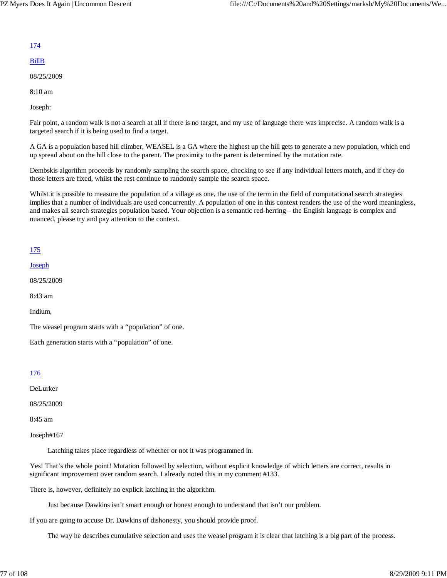## 174

# BillB

08/25/2009

8:10 am

Joseph:

Fair point, a random walk is not a search at all if there is no target, and my use of language there was imprecise. A random walk is a targeted search if it is being used to find a target.

A GA is a population based hill climber, WEASEL is a GA where the highest up the hill gets to generate a new population, which end up spread about on the hill close to the parent. The proximity to the parent is determined by the mutation rate.

Dembskis algorithm proceeds by randomly sampling the search space, checking to see if any individual letters match, and if they do those letters are fixed, whilst the rest continue to randomly sample the search space.

Whilst it is possible to measure the population of a village as one, the use of the term in the field of computational search strategies implies that a number of individuals are used concurrently. A population of one in this context renders the use of the word meaningless, and makes all search strategies population based. Your objection is a semantic red-herring – the English language is complex and nuanced, please try and pay attention to the context.

# 175

Joseph

08/25/2009

8:43 am

Indium,

The weasel program starts with a "population" of one.

Each generation starts with a "population" of one.

# 176

DeLurker

08/25/2009

8:45 am

Joseph#167

Latching takes place regardless of whether or not it was programmed in.

Yes! That's the whole point! Mutation followed by selection, without explicit knowledge of which letters are correct, results in significant improvement over random search. I already noted this in my comment #133.

There is, however, definitely no explicit latching in the algorithm.

Just because Dawkins isn't smart enough or honest enough to understand that isn't our problem.

If you are going to accuse Dr. Dawkins of dishonesty, you should provide proof.

The way he describes cumulative selection and uses the weasel program it is clear that latching is a big part of the process.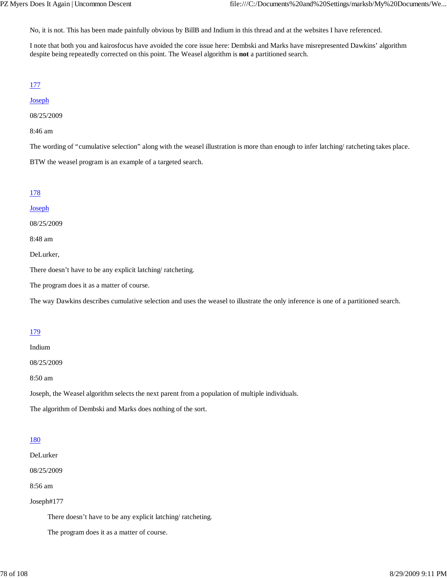No, it is not. This has been made painfully obvious by BillB and Indium in this thread and at the websites I have referenced.

I note that both you and kairosfocus have avoided the core issue here: Dembski and Marks have misrepresented Dawkins' algorithm despite being repeatedly corrected on this point. The Weasel algorithm is **not** a partitioned search.

## 177

### **Joseph**

08/25/2009

8:46 am

The wording of "cumulative selection" along with the weasel illustration is more than enough to infer latching/ ratcheting takes place.

BTW the weasel program is an example of a targeted search.

# 178

### **Joseph**

08/25/2009

8:48 am

DeLurker,

There doesn't have to be any explicit latching/ ratcheting.

The program does it as a matter of course.

The way Dawkins describes cumulative selection and uses the weasel to illustrate the only inference is one of a partitioned search.

# 179

#### Indium

08/25/2009

8:50 am

Joseph, the Weasel algorithm selects the next parent from a population of multiple individuals.

The algorithm of Dembski and Marks does nothing of the sort.

## 180

DeLurker

08/25/2009

8:56 am

## Joseph#177

There doesn't have to be any explicit latching/ ratcheting.

The program does it as a matter of course.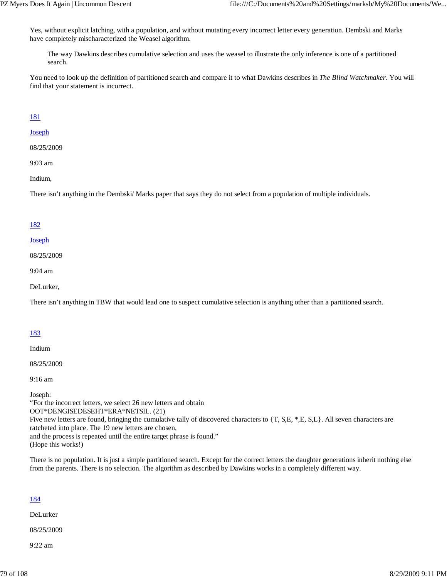Yes, without explicit latching, with a population, and without mutating every incorrect letter every generation. Dembski and Marks have completely mischaracterized the Weasel algorithm.

The way Dawkins describes cumulative selection and uses the weasel to illustrate the only inference is one of a partitioned search.

You need to look up the definition of partitioned search and compare it to what Dawkins describes in *The Blind Watchmaker*. You will find that your statement is incorrect.

## 181

## Joseph

08/25/2009

9:03 am

Indium,

There isn't anything in the Dembski/ Marks paper that says they do not select from a population of multiple individuals.

## 182

### Joseph

08/25/2009

9:04 am

DeLurker,

There isn't anything in TBW that would lead one to suspect cumulative selection is anything other than a partitioned search.

## 183

Indium

08/25/2009

9:16 am

Joseph: "For the incorrect letters, we select 26 new letters and obtain OOT\*DENGISEDESEHT\*ERA\*NETSIL. (21) Five new letters are found, bringing the cumulative tally of discovered characters to {T, S,E, \*,E, S,L}. All seven characters are ratcheted into place. The 19 new letters are chosen, and the process is repeated until the entire target phrase is found." (Hope this works!)

There is no population. It is just a simple partitioned search. Except for the correct letters the daughter generations inherit nothing else from the parents. There is no selection. The algorithm as described by Dawkins works in a completely different way.

## 184

DeLurker

08/25/2009

9:22 am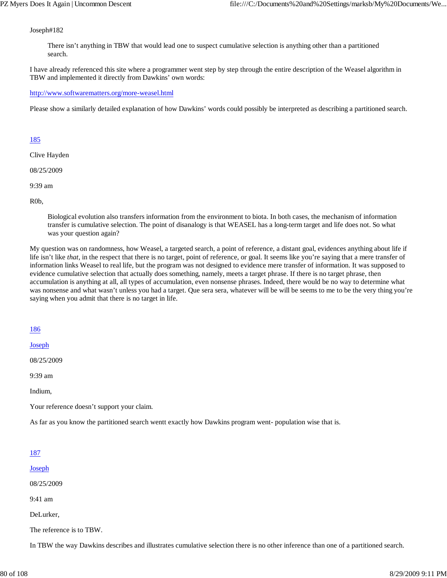### Joseph#182

There isn't anything in TBW that would lead one to suspect cumulative selection is anything other than a partitioned search.

I have already referenced this site where a programmer went step by step through the entire description of the Weasel algorithm in TBW and implemented it directly from Dawkins' own words:

#### http://www.softwarematters.org/more-weasel.html

Please show a similarly detailed explanation of how Dawkins' words could possibly be interpreted as describing a partitioned search.

### 185

Clive Hayden

08/25/2009

9:39 am

R0b,

Biological evolution also transfers information from the environment to biota. In both cases, the mechanism of information transfer is cumulative selection. The point of disanalogy is that WEASEL has a long-term target and life does not. So what was your question again?

My question was on randomness, how Weasel, a targeted search, a point of reference, a distant goal, evidences anything about life if life isn't like *that*, in the respect that there is no target, point of reference, or goal. It seems like you're saying that a mere transfer of information links Weasel to real life, but the program was not designed to evidence mere transfer of information. It was supposed to evidence cumulative selection that actually does something, namely, meets a target phrase. If there is no target phrase, then accumulation is anything at all, all types of accumulation, even nonsense phrases. Indeed, there would be no way to determine what was nonsense and what wasn't unless you had a target. Que sera sera, whatever will be will be seems to me to be the very thing you're saying when you admit that there is no target in life.

## 186

Joseph

08/25/2009

9:39 am

Indium,

Your reference doesn't support your claim.

As far as you know the partitioned search wentt exactly how Dawkins program went- population wise that is.

## 187

#### Joseph

08/25/2009

9:41 am

DeLurker,

The reference is to TBW.

In TBW the way Dawkins describes and illustrates cumulative selection there is no other inference than one of a partitioned search.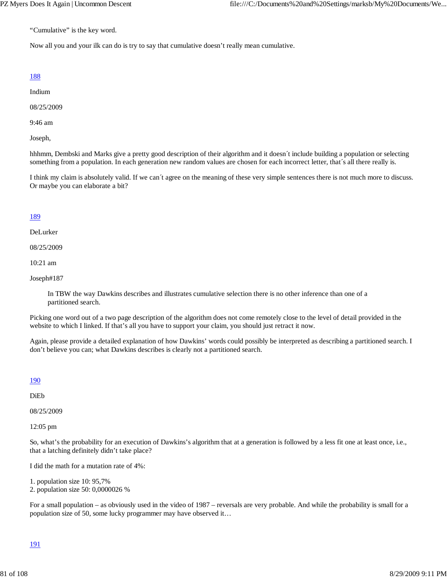"Cumulative" is the key word.

Now all you and your ilk can do is try to say that cumulative doesn't really mean cumulative.

## 188

Indium

08/25/2009

9:46 am

Joseph,

hhhmm, Dembski and Marks give a pretty good description of their algorithm and it doesn´t include building a population or selecting something from a population. In each generation new random values are chosen for each incorrect letter, that's all there really is.

I think my claim is absolutely valid. If we can´t agree on the meaning of these very simple sentences there is not much more to discuss. Or maybe you can elaborate a bit?

## 189

DeLurker

08/25/2009

10:21 am

Joseph#187

In TBW the way Dawkins describes and illustrates cumulative selection there is no other inference than one of a partitioned search.

Picking one word out of a two page description of the algorithm does not come remotely close to the level of detail provided in the website to which I linked. If that's all you have to support your claim, you should just retract it now.

Again, please provide a detailed explanation of how Dawkins' words could possibly be interpreted as describing a partitioned search. I don't believe you can; what Dawkins describes is clearly not a partitioned search.

## 190

DiEb

08/25/2009

12:05 pm

So, what's the probability for an execution of Dawkins's algorithm that at a generation is followed by a less fit one at least once, i.e., that a latching definitely didn't take place?

I did the math for a mutation rate of 4%:

1. population size 10: 95,7%

2. population size 50: 0,0000026 %

For a small population – as obviously used in the video of 1987 – reversals are very probable. And while the probability is small for a population size of 50, some lucky programmer may have observed it…

## 191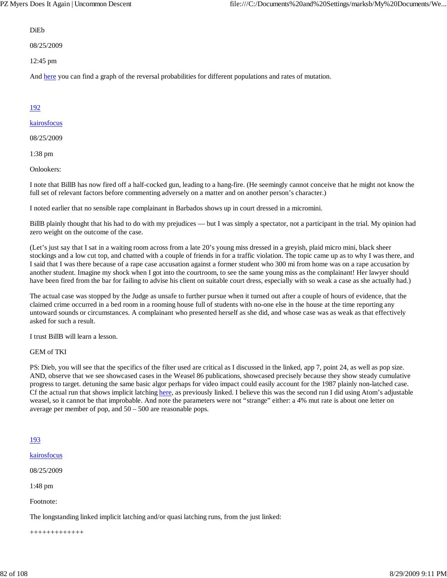### DiEb

08/25/2009

12:45 pm

And here you can find a graph of the reversal probabilities for different populations and rates of mutation.

# 192

## kairosfocus

08/25/2009

1:38 pm

Onlookers:

I note that BillB has now fired off a half-cocked gun, leading to a hang-fire. (He seemingly cannot conceive that he might not know the full set of relevant factors before commenting adversely on a matter and on another person's character.)

I noted earlier that no sensible rape complainant in Barbados shows up in court dressed in a micromini.

BillB plainly thought that his had to do with my prejudices — but I was simply a spectator, not a participant in the trial. My opinion had zero weight on the outcome of the case.

(Let's just say that I sat in a waiting room across from a late 20's young miss dressed in a greyish, plaid micro mini, black sheer stockings and a low cut top, and chatted with a couple of friends in for a traffic violation. The topic came up as to why I was there, and I said that I was there because of a rape case accusation against a former student who 300 mi from home was on a rape accusation by another student. Imagine my shock when I got into the courtroom, to see the same young miss as the complainant! Her lawyer should have been fired from the bar for failing to advise his client on suitable court dress, especially with so weak a case as she actually had.)

The actual case was stopped by the Judge as unsafe to further pursue when it turned out after a couple of hours of evidence, that the claimed crime occurred in a bed room in a rooming house full of students with no-one else in the house at the time reporting any untoward sounds or circumstances. A complainant who presented herself as she did, and whose case was as weak as that effectively asked for such a result.

I trust BillB will learn a lesson.

GEM of TKI

PS: Dieb, you will see that the specifics of the filter used are critical as I discussed in the linked, app 7, point 24, as well as pop size. AND, observe that we see showcased cases in the Weasel 86 publications, showcased precisely because they show steady cumulative progress to target. detuning the same basic algor perhaps for video impact could easily account for the 1987 plainly non-latched case. Cf the actual run that shows implicit latching here, as previously linked. I believe this was the second run I did using Atom's adjustable weasel, so it cannot be that improbable. And note the parameters were not "strange" either: a 4% mut rate is about one letter on average per member of pop, and 50 – 500 are reasonable pops.

## 193

```
kairosfocus
```
08/25/2009

1:48 pm

Footnote:

The longstanding linked implicit latching and/or quasi latching runs, from the just linked:

+++++++++++++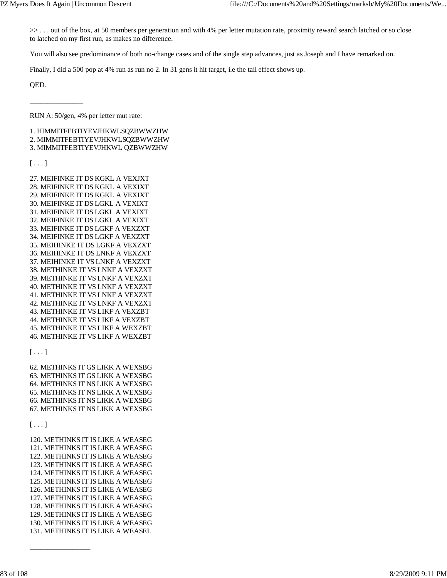>> . . . out of the box, at 50 members per generation and with 4% per letter mutation rate, proximity reward search latched or so close to latched on my first run, as makes no difference.

You will also see predominance of both no-change cases and of the single step advances, just as Joseph and I have remarked on.

Finally, I did a 500 pop at 4% run as run no 2. In 31 gens it hit target, i.e the tail effect shows up.

QED.

\_\_\_\_\_\_\_\_\_\_\_\_\_\_\_

RUN A: 50/gen, 4% per letter mut rate:

1. HIMMITFEBTIYEVJHKWLSQZBWWZHW 2. MIMMITFEBTIYEVJHKWLSQZBWWZHW

3. MIMMITFEBTIYEVJHKWL QZBWWZHW

 $[\ldots]$ 

27. MEIFINKE IT DS KGKL A VEXJXT 28. MEIFINKE IT DS KGKL A VEXIXT 29. MEIFINKE IT DS KGKL A VEXIXT 30. MEIFINKE IT DS LGKL A VEXIXT 31. MEIFINKE IT DS LGKL A VEXIXT 32. MEIFINKE IT DS LGKL A VEXIXT 33. MEIFINKE IT DS LGKF A VEXZXT 34. MEIFINKE IT DS LGKF A VEXZXT 35. MEIHINKE IT DS LGKF A VEXZXT 36. MEIHINKE IT DS LNKF A VEXZXT 37. MEIHINKE IT VS LNKF A VEXZXT 38. METHINKE IT VS LNKF A VEXZXT 39. METHINKE IT VS LNKF A VEXZXT 40. METHINKE IT VS LNKF A VEXZXT 41. METHINKE IT VS LNKF A VEXZXT 42. METHINKE IT VS LNKF A VEXZXT 43. METHINKE IT VS LIKF A VEXZBT 44. METHINKE IT VS LIKF A VEXZBT 45. METHINKE IT VS LIKF A WEXZBT 46. METHINKE IT VS LIKF A WEXZBT

 $[\ldots]$ 

62. METHINKS IT GS LIKK A WEXSBG 63. METHINKS IT GS LIKK A WEXSBG 64. METHINKS IT NS LIKK A WEXSBG 65. METHINKS IT NS LIKK A WEXSBG 66. METHINKS IT NS LIKK A WEXSBG 67. METHINKS IT NS LIKK A WEXSBG

## $[\ldots]$

120. METHINKS IT IS LIKE A WEASEG 121. METHINKS IT IS LIKE A WEASEG 122. METHINKS IT IS LIKE A WEASEG 123. METHINKS IT IS LIKE A WEASEG 124. METHINKS IT IS LIKE A WEASEG 125. METHINKS IT IS LIKE A WEASEG 126. METHINKS IT IS LIKE A WEASEG 127. METHINKS IT IS LIKE A WEASEG 128. METHINKS IT IS LIKE A WEASEG 129. METHINKS IT IS LIKE A WEASEG 130. METHINKS IT IS LIKE A WEASEG 131. METHINKS IT IS LIKE A WEASEL

 $\overline{\phantom{a}}$  ,  $\overline{\phantom{a}}$  ,  $\overline{\phantom{a}}$  ,  $\overline{\phantom{a}}$  ,  $\overline{\phantom{a}}$  ,  $\overline{\phantom{a}}$  ,  $\overline{\phantom{a}}$  ,  $\overline{\phantom{a}}$  ,  $\overline{\phantom{a}}$  ,  $\overline{\phantom{a}}$  ,  $\overline{\phantom{a}}$  ,  $\overline{\phantom{a}}$  ,  $\overline{\phantom{a}}$  ,  $\overline{\phantom{a}}$  ,  $\overline{\phantom{a}}$  ,  $\overline{\phantom{a}}$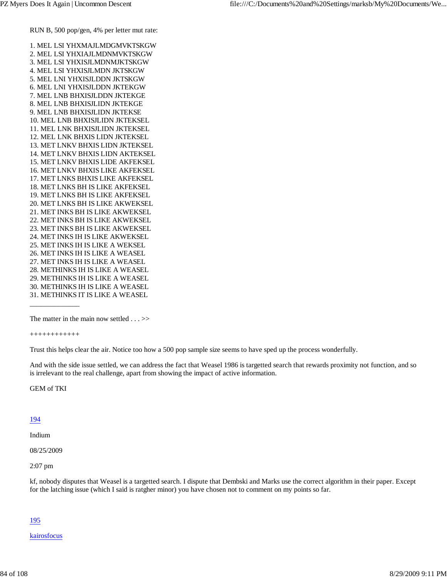1. MEL LSI YHXMAJLMDGMVKTSKGW 2. MEL LSI YHXIAJLMDNMVKTSKGW 3. MEL LSI YHXISJLMDNMJKTSKGW 4. MEL LSI YHXISJLMDN JKTSKGW 5. MEL LNI YHXISJLDDN JKTSKGW 6. MEL LNI YHXISJLDDN JKTEKGW 7. MEL LNB BHXISJLDDN JKTEKGE 8. MEL LNB BHXISJLIDN JKTEKGE 9. MEL LNB BHXISJLIDN JKTEKSE 10. MEL LNB BHXISJLIDN JKTEKSEL 11. MEL LNK BHXISJLIDN JKTEKSEL 12. MEL LNK BHXIS LIDN JKTEKSEL 13. MET LNKV BHXIS LIDN JKTEKSEL 14. MET LNKV BHXIS LIDN AKTEKSEL 15. MET LNKV BHXIS LIDE AKFEKSEL 16. MET LNKV BHXIS LIKE AKFEKSEL 17. MET LNKS BHXIS LIKE AKFEKSEL 18. MET LNKS BH IS LIKE AKFEKSEL 19. MET LNKS BH IS LIKE AKFEKSEL 20. MET LNKS BH IS LIKE AKWEKSEL 21. MET INKS BH IS LIKE AKWEKSEL 22. MET INKS BH IS LIKE AKWEKSEL 23. MET INKS BH IS LIKE AKWEKSEL 24. MET INKS IH IS LIKE AKWEKSEL 25. MET INKS IH IS LIKE A WEKSEL 26. MET INKS IH IS LIKE A WEASEL 27. MET INKS IH IS LIKE A WEASEL 28. METHINKS IH IS LIKE A WEASEL 29. METHINKS IH IS LIKE A WEASEL 30. METHINKS IH IS LIKE A WEASEL 31. METHINKS IT IS LIKE A WEASEL

#### ++++++++++++

\_\_\_\_\_\_\_\_\_\_\_\_\_\_

Trust this helps clear the air. Notice too how a 500 pop sample size seems to have sped up the process wonderfully.

And with the side issue settled, we can address the fact that Weasel 1986 is targetted search that rewards proximity not function, and so is irrelevant to the real challenge, apart from showing the impact of active information.

GEM of TKI

#### 194

Indium

08/25/2009

2:07 pm

kf, nobody disputes that Weasel is a targetted search. I dispute that Dembski and Marks use the correct algorithm in their paper. Except for the latching issue (which I said is ratgher minor) you have chosen not to comment on my points so far.

### 195

#### kairosfocus

The matter in the main now settled . . . >>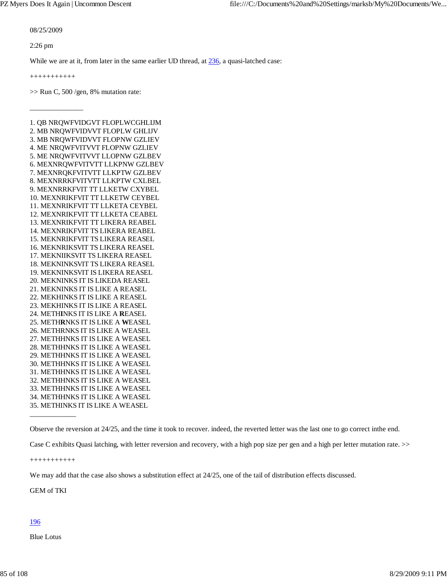08/25/2009

2:26 pm

While we are at it, from later in the same earlier UD thread, at 236, a quasi-latched case:

+++++++++++

\_\_\_\_\_\_\_\_\_\_\_\_\_\_\_

 $>>$  Run C, 500/gen, 8% mutation rate:

1. QB NRQWFVIDGVT FLOPLWCGHLIJM 2. MB NRQWFVIDVVT FLOPLW GHLIJV 3. MB NRQWFVIDVVT FLOPNW GZLIEV 4. ME NRQWFVITVVT FLOPNW GZLIEV 5. ME NRQWFVITVVT LLOPNW GZLBEV 6. MEXNRQWFVITVTT LLKPNW GZLBEV 7. MEXNRQKFVITVTT LLKPTW GZLBEV 8. MEXNRRKFVITVTT LLKPTW CXLBEL 9. MEXNRRKFVIT TT LLKETW CXYBEL 10. MEXNRIKFVIT TT LLKETW CEYBEL 11. MEXNRIKFVIT TT LLKETA CEYBEL 12. MEXNRIKFVIT TT LLKETA CEABEL 13. MEXNRIKFVIT TT LIKERA REABEL 14. MEXNRIKFVIT TS LIKERA REABEL 15. MEKNRIKFVIT TS LIKERA REASEL 16. MEKNRIKSVIT TS LIKERA REASEL 17. MEKNIIKSVIT TS LIKERA REASEL 18. MEKNINKSVIT TS LIKERA REASEL 19. MEKNINKSVIT IS LIKERA REASEL 20. MEKNINKS IT IS LIKEDA REASEL 21. MEKNINKS IT IS LIKE A REASEL 22. MEKHINKS IT IS LIKE A REASEL 23. MEKHINKS IT IS LIKE A REASEL 24. METH**I**NKS IT IS LIKE A **R**EASEL 25. METH**R**NKS IT IS LIKE A **W**EASEL 26. METHRNKS IT IS LIKE A WEASEL 27. METHHNKS IT IS LIKE A WEASEL 28. METHHNKS IT IS LIKE A WEASEL 29. METHHNKS IT IS LIKE A WEASEL 30. METHHNKS IT IS LIKE A WEASEL 31. METHHNKS IT IS LIKE A WEASEL 32. METHHNKS IT IS LIKE A WEASEL 33. METHHNKS IT IS LIKE A WEASEL 34. METHHNKS IT IS LIKE A WEASEL 35. METHINKS IT IS LIKE A WEASEL

Observe the reversion at 24/25, and the time it took to recover. indeed, the reverted letter was the last one to go correct inthe end.

Case C exhibits Quasi latching, with letter reversion and recovery, with a high pop size per gen and a high per letter mutation rate. >>

+++++++++++

\_\_\_\_\_\_\_\_\_\_\_\_\_

We may add that the case also shows a substitution effect at  $24/25$ , one of the tail of distribution effects discussed.

GEM of TKI

### 196

Blue Lotus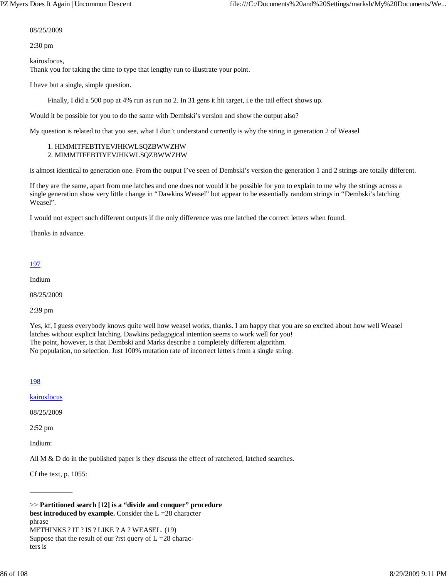#### 08/25/2009

2:30 pm

kairosfocus, Thank you for taking the time to type that lengthy run to illustrate your point.

I have but a single, simple question.

Finally, I did a 500 pop at 4% run as run no 2. In 31 gens it hit target, i.e the tail effect shows up.

Would it be possible for you to do the same with Dembski's version and show the output also?

My question is related to that you see, what I don't understand currently is why the string in generation 2 of Weasel

#### 1. HIMMITFEBTIYEVJHKWLSQZBWWZHW 2. MIMMITFEBTIYEVJHKWLSQZBWWZHW

is almost identical to generation one. From the output I've seen of Dembski's version the generation 1 and 2 strings are totally different.

If they are the same, apart from one latches and one does not would it be possible for you to explain to me why the strings across a single generation show very little change in "Dawkins Weasel" but appear to be essentially random strings in "Dembski's latching Weasel".

I would not expect such different outputs if the only difference was one latched the correct letters when found.

Thanks in advance.

## 197

Indium

08/25/2009

2:39 pm

Yes, kf, I guess everybody knows quite well how weasel works, thanks. I am happy that you are so excited about how well Weasel latches without explicit latching. Dawkins pedagogical intention seems to work well for you! The point, however, is that Dembski and Marks describe a completely different algorithm. No population, no selection. Just 100% mutation rate of incorrect letters from a single string.

## 198

kairosfocus

08/25/2009

2:52 pm

Indium:

All  $M \& D$  do in the published paper is they discuss the effect of ratcheted, latched searches.

Cf the text, p. 1055:

\_\_\_\_\_\_\_\_\_\_\_\_

>> **Partitioned search [12] is a "divide and conquer" procedure best introduced by example.** Consider the  $L = 28$  character phrase METHINKS ? IT ? IS ? LIKE ? A ? WEASEL. (19) Suppose that the result of our ?rst query of  $L = 28$  characters is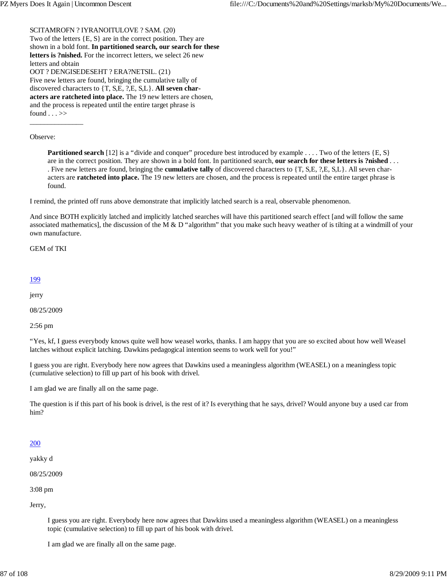SCITAMROFN ? IYRANOITULOVE ? SAM. (20) Two of the letters {E, S} are in the correct position. They are shown in a bold font. **In partitioned search, our search for these letters is ?nished.** For the incorrect letters, we select 26 new letters and obtain OOT ? DENGISEDESEHT ? ERA?NETSIL. (21) Five new letters are found, bringing the cumulative tally of discovered characters to {T, S,E, ?,E, S,L}. **All seven characters are ratcheted into place.** The 19 new letters are chosen, and the process is repeated until the entire target phrase is found  $\ldots$ \_\_\_\_\_\_\_\_\_\_\_\_\_\_\_

Observe:

**Partitioned search** [12] is a "divide and conquer" procedure best introduced by example . . . . Two of the letters {E, S} are in the correct position. They are shown in a bold font. In partitioned search, **our search for these letters is ?nished** . . . . Five new letters are found, bringing the **cumulative tally** of discovered characters to {T, S,E, ?,E, S,L}. All seven characters are **ratcheted into place.** The 19 new letters are chosen, and the process is repeated until the entire target phrase is found.

I remind, the printed off runs above demonstrate that implicitly latched search is a real, observable phenomenon.

And since BOTH explicitly latched and implicitly latched searches will have this partitioned search effect [and will follow the same associated mathematics], the discussion of the M  $\&$  D "algorithm" that you make such heavy weather of is tilting at a windmill of your own manufacture.

GEM of TKI

### 199

jerry

08/25/2009

2:56 pm

"Yes, kf, I guess everybody knows quite well how weasel works, thanks. I am happy that you are so excited about how well Weasel latches without explicit latching. Dawkins pedagogical intention seems to work well for you!"

I guess you are right. Everybody here now agrees that Dawkins used a meaningless algorithm (WEASEL) on a meaningless topic (cumulative selection) to fill up part of his book with drivel.

I am glad we are finally all on the same page.

The question is if this part of his book is drivel, is the rest of it? Is everything that he says, drivel? Would anyone buy a used car from him?

## 200

yakky d

08/25/2009

3:08 pm

Jerry,

I guess you are right. Everybody here now agrees that Dawkins used a meaningless algorithm (WEASEL) on a meaningless topic (cumulative selection) to fill up part of his book with drivel.

I am glad we are finally all on the same page.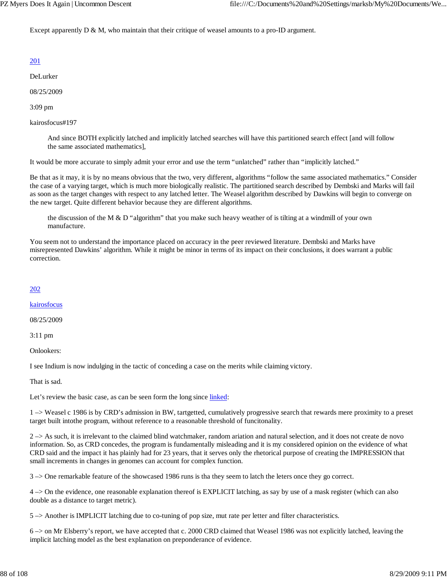Except apparently D & M, who maintain that their critique of weasel amounts to a pro-ID argument.

# 201

DeLurker

08/25/2009

3:09 pm

kairosfocus#197

And since BOTH explicitly latched and implicitly latched searches will have this partitioned search effect [and will follow the same associated mathematics],

It would be more accurate to simply admit your error and use the term "unlatched" rather than "implicitly latched."

Be that as it may, it is by no means obvious that the two, very different, algorithms "follow the same associated mathematics." Consider the case of a varying target, which is much more biologically realistic. The partitioned search described by Dembski and Marks will fail as soon as the target changes with respect to any latched letter. The Weasel algorithm described by Dawkins will begin to converge on the new target. Quite different behavior because they are different algorithms.

the discussion of the M  $\&$  D "algorithm" that you make such heavy weather of is tilting at a windmill of your own manufacture.

You seem not to understand the importance placed on accuracy in the peer reviewed literature. Dembski and Marks have misrepresented Dawkins' algorithm. While it might be minor in terms of its impact on their conclusions, it does warrant a public correction.

## 202

kairosfocus

08/25/2009

3:11 pm

Onlookers:

I see Indium is now indulging in the tactic of conceding a case on the merits while claiming victory.

That is sad.

Let's review the basic case, as can be seen form the long since linked:

1 –> Weasel c 1986 is by CRD's admission in BW, tartgetted, cumulatively progressive search that rewards mere proximity to a preset target built intothe program, without reference to a reasonable threshold of funcitonality.

 $2 \rightarrow$  As such, it is irrelevant to the claimed blind watchmaker, random ariation and natural selection, and it does not create de novo information. So, as CRD concedes, the program is fundamentally misleading and it is my considered opinion on the evidence of what CRD said and the impact it has plainly had for 23 years, that it serves only the rhetorical purpose of creating the IMPRESSION that small increments in changes in genomes can account for complex function.

3 –> One remarkable feature of the showcased 1986 runs is tha they seem to latch the leters once they go correct.

4 –> On the evidence, one reasonable explanation thereof is EXPLICIT latching, as say by use of a mask register (which can also double as a distance to target metric).

5 –> Another is IMPLICIT latching due to co-tuning of pop size, mut rate per letter and filter characteristics.

6 –> on Mr Elsberry's report, we have accepted that c. 2000 CRD claimed that Weasel 1986 was not explicitly latched, leaving the implicit latching model as the best explanation on preponderance of evidence.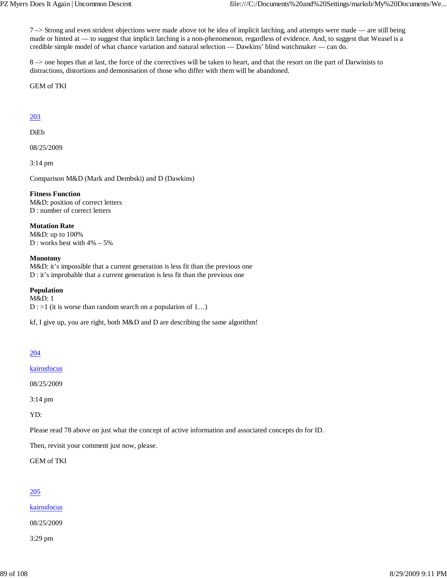7 –> Strong and even strident objections were made above tot he idea of implicit latching, and attempts were made — are still being made or hinted at — to suggest that implicit latching is a non-phenomenon, regardless of evidence. And, to suggest that Weasel is a credible simple model of what chance variation and natural selection — Dawkins' blind watchmaker — can do.

8 –> one hopes that at last, the force of the correctives will be taken to heart, and that the resort on the part of Darwinists to distractions, distortions and demonisation of those who differ with them will be abandoned.

GEM of TKI

## 203

DiEb

08/25/2009

3:14 pm

Comparison M&D (Mark and Dembski) and D (Dawkins)

### **Fitness Function**

M&D: position of correct letters D : number of correct letters

**Mutation Rate** M&D: up to 100% D : works best with 4% – 5%

### **Monotony**

M&D: it's impossible that a current generation is less fit than the previous one D : it's improbable that a current generation is less fit than the previous one

### **Population**

M&D: 1  $D$  : >1 (it is worse than random search on a population of 1...)

kf, I give up, you are right, both M&D and D are describing the same algorithm!

# 204

kairosfocus

08/25/2009

3:14 pm

YD:

Please read 78 above on just what the concept of active information and associated concepts do for ID.

Then, revisit your comment just now, please.

GEM of TKI

# 205

kairosfocus

08/25/2009

3:29 pm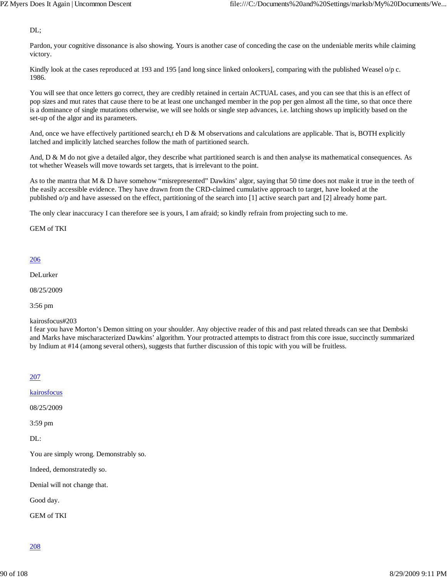DL;

Pardon, your cognitive dissonance is also showing. Yours is another case of conceding the case on the undeniable merits while claiming victory.

Kindly look at the cases reproduced at 193 and 195 [and long since linked onlookers], comparing with the published Weasel o/p c. 1986.

You will see that once letters go correct, they are credibly retained in certain ACTUAL cases, and you can see that this is an effect of pop sizes and mut rates that cause there to be at least one unchanged member in the pop per gen almost all the time, so that once there is a dominance of single mutations otherwise, we will see holds or single step advances, i.e. latching shows up implicitly based on the set-up of the algor and its parameters.

And, once we have effectively partitioned search,t eh D & M observations and calculations are applicable. That is, BOTH explicitly latched and implicitly latched searches follow the math of partitioned search.

And, D & M do not give a detailed algor, they describe what partitioned search is and then analyse its mathematical consequences. As tot whether Weasels will move towards set targets, that is irrelevant to the point.

As to the mantra that M & D have somehow "misrepresented" Dawkins' algor, saying that 50 time does not make it true in the teeth of the easily accessible evidence. They have drawn from the CRD-claimed cumulative approach to target, have looked at the published o/p and have assessed on the effect, partitioning of the search into [1] active search part and [2] already home part.

The only clear inaccuracy I can therefore see is yours, I am afraid; so kindly refrain from projecting such to me.

GEM of TKI

### 206

DeLurker

08/25/2009

3:56 pm

#### kairosfocus#203

I fear you have Morton's Demon sitting on your shoulder. Any objective reader of this and past related threads can see that Dembski and Marks have mischaracterized Dawkins' algorithm. Your protracted attempts to distract from this core issue, succinctly summarized by Indium at #14 (among several others), suggests that further discussion of this topic with you will be fruitless.

## 207

kairosfocus

08/25/2009

3:59 pm

DL:

You are simply wrong. Demonstrably so.

Indeed, demonstratedly so.

Denial will not change that.

Good day.

GEM of TKI

208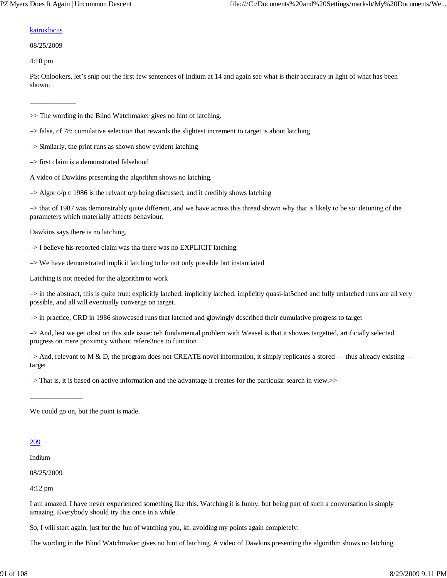### kairosfocus

#### 08/25/2009

\_\_\_\_\_\_\_\_\_\_\_\_\_

4:10 pm

PS: Onlookers, let's snip out the first few sentences of Indium at 14 and again see what is their accuracy in light of what has been shown:

>> The wording in the Blind Watchmaker gives no hint of latching.

- –> false, cf 78: cumulative selection that rewards the slightest increment to target is about latching
- $\rightarrow$  Similarly, the print runs as shown show evident latching
- –> first claim is a demonstrated falsehood
- A video of Dawkins presenting the algorithm shows no latching.
- $\rightarrow$  Algor o/p c 1986 is the relvant o/p being discussed, and it credibly shows latching

–> that of 1987 was demonstrably quite different, and we have across this thread shown why that is likely to be so: detuning of the parameters which materially affects behaviour.

Dawkins says there is no latching.

–> I believe his reported claim was tha there was no EXPLICIT latching.

–> We have demonstrated implicit latching to be not only possible but instantiated

Latching is not needed for the algorithm to work

–> in the abstract, this is quite true: explicitly latched, implicitly latched, implicitly quasi-lat5ched and fully unlatched runs are all very possible, and all will eventually converge on target.

–> in practice, CRD in 1986 showcased runs that latched and glowingly described their cumulative progress to target

–> And, lest we get olost on this side issue: teh fundamental problem with Weasel is that it showes targetted, artificially selected progress on mere proximity without refere3nce to function

 $\rightarrow$  And, relevant to M & D, the program does not CREATE novel information, it simply replicates a stored — thus already existing target.

–> That is, it is based on active information and the advantage it creates for the particular search in view.>>

We could go on, but the point is made.

## 209

Indium

08/25/2009

\_\_\_\_\_\_\_\_\_\_\_\_\_\_\_

4:12 pm

I am amazed. I have never experienced something like this. Watching it is funny, but being part of such a conversation is simply amazing. Everybody should try this once in a while.

So, I will start again, just for the fun of watching you, kf, avoiding my points again completely:

The wording in the Blind Watchmaker gives no hint of latching. A video of Dawkins presenting the algorithm shows no latching.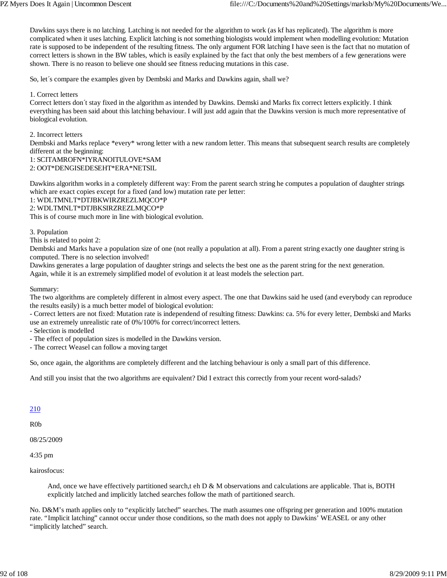Dawkins says there is no latching. Latching is not needed for the algorithm to work (as kf has replicated). The algorithm is more complicated when it uses latching. Explicit latching is not something biologists would implement when modelling evolution: Mutation rate is supposed to be independent of the resulting fitness. The only argument FOR latching I have seen is the fact that no mutation of correct letters is shown in the BW tables, which is easily explained by the fact that only the best members of a few generations were shown. There is no reason to believe one should see fitness reducing mutations in this case.

So, let´s compare the examples given by Dembski and Marks and Dawkins again, shall we?

1. Correct letters

Correct letters don´t stay fixed in the algorithm as intended by Dawkins. Demski and Marks fix correct letters explicitly. I think everything has been said about this latching behaviour. I will just add again that the Dawkins version is much more representative of biological evolution.

2. Incorrect letters

Dembski and Marks replace \*every\* wrong letter with a new random letter. This means that subsequent search results are completely different at the beginning:

1: SCITAMROFN\*IYRANOITULOVE\*SAM

2: OOT\*DENGISEDESEHT\*ERA\*NETSIL

Dawkins algorithm works in a completely different way: From the parent search string he computes a population of daughter strings which are exact copies except for a fixed (and low) mutation rate per letter:

1: WDLTMNLT\*DTJBKWIRZREZLMQCO\*P

2: WDLTMNLT\*DTJBKSIRZREZLMQCO\*P

This is of course much more in line with biological evolution.

3. Population

This is related to point 2:

Dembski and Marks have a population size of one (not really a population at all). From a parent string exactly one daughter string is computed. There is no selection involved!

Dawkins generates a large population of daughter strings and selects the best one as the parent string for the next generation. Again, while it is an extremely simplified model of evolution it at least models the selection part.

Summary:

The two algorithms are completely different in almost every aspect. The one that Dawkins said he used (and everybody can reproduce the results easily) is a much better model of biological evolution:

- Correct letters are not fixed: Mutation rate is independend of resulting fitness: Dawkins: ca. 5% for every letter, Dembski and Marks use an extremely unrealistic rate of 0%/100% for correct/incorrect letters.

- Selection is modelled

- The effect of population sizes is modelled in the Dawkins version.

- The correct Weasel can follow a moving target

So, once again, the algorithms are completely different and the latching behaviour is only a small part of this difference.

And still you insist that the two algorithms are equivalent? Did I extract this correctly from your recent word-salads?

## 210

R0b

08/25/2009

4:35 pm

kairosfocus:

And, once we have effectively partitioned search,t eh  $D \& M$  observations and calculations are applicable. That is, BOTH explicitly latched and implicitly latched searches follow the math of partitioned search.

No. D&M's math applies only to "explicitly latched" searches. The math assumes one offspring per generation and 100% mutation rate. "Implicit latching" cannot occur under those conditions, so the math does not apply to Dawkins' WEASEL or any other "implicitly latched" search.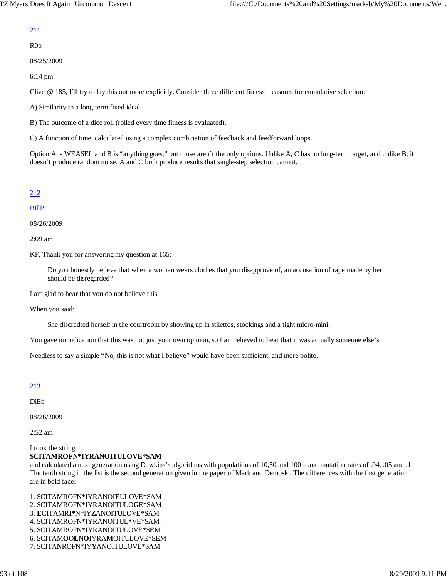# 211

R0b

08/25/2009

6:14 pm

Clive @ 185, I'll try to lay this out more explicitly. Consider three different fitness measures for cumulative selection:

A) Similarity to a long-term fixed ideal.

B) The outcome of a dice roll (rolled every time fitness is evaluated).

C) A function of time, calculated using a complex combination of feedback and feedforward loops.

Option A is WEASEL and B is "anything goes," but those aren't the only options. Unlike A, C has no long-term target, and unlike B, it doesn't produce random noise. A and C both produce results that single-step selection cannot.

## 212

## BillB

08/26/2009

2:09 am

KF, Thank you for answering my question at 165:

Do you honestly believe that when a woman wears clothes that you disapprove of, an accusation of rape made by her should be disregarded?

I am glad to hear that you do not believe this.

When you said:

She discredted herself in the courtroom by showing up in stilettos, stockings and a tight micro-mini.

You gave no indication that this was not just your own opinion, so I am relieved to hear that it was actually someone else's.

Needless to say a simple "No, this is not what I believe" would have been sufficient, and more polite.

213

DiEb

08/26/2009

2:52 am

I took the string

## **SCITAMROFN\*IYRANOITULOVE\*SAM**

and calculated a next generation using Dawkins's algorithms with populations of 10,50 and 100 – and mutation rates of .04, .05 and .1. The tenth string in the list is the second generation given in the paper of Mark and Dembski. The differences with the first generation are in bold face:

1. SCITAMROFN\*IYRANOI**E**ULOVE\*SAM 2. SCITAMROFN\*IYRANOITULO**G**E\*SAM 3. **E**CITAMR**I\***N\*IY**Z**ANOITULOVE\*SAM 4. SCITAMROFN\*IYRANOITUL**\***VE\*SAM 5. SCITAMROFN\*IYRANOITULOVE\*S**E**M 6. SCITAM**O**O**L**N**O**IYRA**M**OITULOVE\*S**E**M 7. SCITA**N**ROFN\*IY**Y**ANOITULOVE\*SAM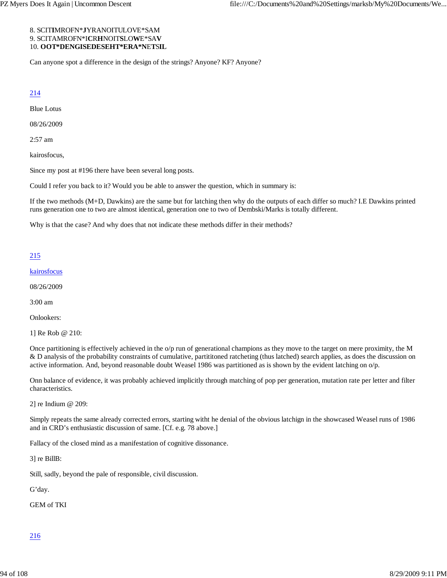### 8. SCIT**I**MROFN\***J**YRANOITULOVE\*SAM 9. SCITAMROFN\*I**C**R**H**NOIT**S**LO**W**E\*SA**V** 10. **OOT\*DENGISEDESEHT\*ERA\*N**E**T**S**IL**

Can anyone spot a difference in the design of the strings? Anyone? KF? Anyone?

## 214

Blue Lotus

08/26/2009

2:57 am

kairosfocus,

Since my post at #196 there have been several long posts.

Could I refer you back to it? Would you be able to answer the question, which in summary is:

If the two methods (M+D, Dawkins) are the same but for latching then why do the outputs of each differ so much? I.E Dawkins printed runs generation one to two are almost identical, generation one to two of Dembski/Marks is totally different.

Why is that the case? And why does that not indicate these methods differ in their methods?

## 215

kairosfocus

08/26/2009

3:00 am

Onlookers:

1] Re Rob @ 210:

Once partitioning is effectively achieved in the o/p run of generational champions as they move to the target on mere proximity, the M & D analysis of the probability constraints of cumulative, partititoned ratcheting (thus latched) search applies, as does the discussion on active information. And, beyond reasonable doubt Weasel 1986 was partitioned as is shown by the evident latching on  $o/p$ .

Onn balance of evidence, it was probably achieved implicitly through matching of pop per generation, mutation rate per letter and filter characteristics.

2] re Indium @ 209:

Simply repeats the same already corrected errors, starting witht he denial of the obvious latchign in the showcased Weasel runs of 1986 and in CRD's enthusiastic discussion of same. [Cf. e.g. 78 above.]

Fallacy of the closed mind as a manifestation of cognitive dissonance.

3] re BillB:

Still, sadly, beyond the pale of responsible, civil discussion.

G'day.

GEM of TKI

# 216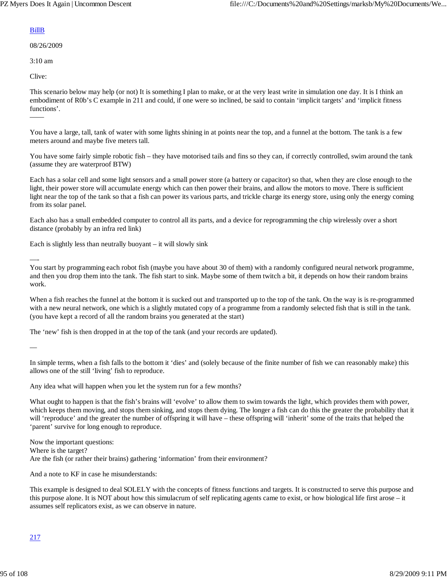## BillB

08/26/2009

3:10 am

Clive:

——

This scenario below may help (or not) It is something I plan to make, or at the very least write in simulation one day. It is I think an embodiment of R0b's C example in 211 and could, if one were so inclined, be said to contain 'implicit targets' and 'implicit fitness functions'.

You have a large, tall, tank of water with some lights shining in at points near the top, and a funnel at the bottom. The tank is a few meters around and maybe five meters tall.

You have some fairly simple robotic fish – they have motorised tails and fins so they can, if correctly controlled, swim around the tank (assume they are waterproof BTW)

Each has a solar cell and some light sensors and a small power store (a battery or capacitor) so that, when they are close enough to the light, their power store will accumulate energy which can then power their brains, and allow the motors to move. There is sufficient light near the top of the tank so that a fish can power its various parts, and trickle charge its energy store, using only the energy coming from its solar panel.

Each also has a small embedded computer to control all its parts, and a device for reprogramming the chip wirelessly over a short distance (probably by an infra red link)

Each is slightly less than neutrally buoyant  $-$  it will slowly sink

—-

You start by programming each robot fish (maybe you have about 30 of them) with a randomly configured neural network programme, and then you drop them into the tank. The fish start to sink. Maybe some of them twitch a bit, it depends on how their random brains work.

When a fish reaches the funnel at the bottom it is sucked out and transported up to the top of the tank. On the way is is re-programmed with a new neural network, one which is a slightly mutated copy of a programme from a randomly selected fish that is still in the tank. (you have kept a record of all the random brains you generated at the start)

The 'new' fish is then dropped in at the top of the tank (and your records are updated).

—

In simple terms, when a fish falls to the bottom it 'dies' and (solely because of the finite number of fish we can reasonably make) this allows one of the still 'living' fish to reproduce.

Any idea what will happen when you let the system run for a few months?

What ought to happen is that the fish's brains will 'evolve' to allow them to swim towards the light, which provides them with power, which keeps them moving, and stops them sinking, and stops them dying. The longer a fish can do this the greater the probability that it will 'reproduce' and the greater the number of offspring it will have – these offspring will 'inherit' some of the traits that helped the 'parent' survive for long enough to reproduce.

Now the important questions: Where is the target? Are the fish (or rather their brains) gathering 'information' from their environment?

And a note to KF in case he misunderstands:

This example is designed to deal SOLELY with the concepts of fitness functions and targets. It is constructed to serve this purpose and this purpose alone. It is NOT about how this simulacrum of self replicating agents came to exist, or how biological life first arose – it assumes self replicators exist, as we can observe in nature.

# 217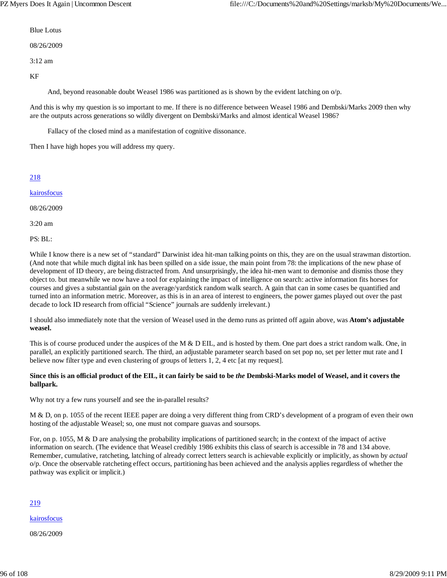Blue Lotus

08/26/2009

3:12 am

KF

And, beyond reasonable doubt Weasel 1986 was partitioned as is shown by the evident latching on  $o/p$ .

And this is why my question is so important to me. If there is no difference between Weasel 1986 and Dembski/Marks 2009 then why are the outputs across generations so wildly divergent on Dembski/Marks and almost identical Weasel 1986?

Fallacy of the closed mind as a manifestation of cognitive dissonance.

Then I have high hopes you will address my query.

## 218

kairosfocus

08/26/2009

3:20 am

PS: BL:

While I know there is a new set of "standard" Darwinist idea hit-man talking points on this, they are on the usual strawman distortion. (And note that while much digital ink has been spilled on a side issue, the main point from 78: the implications of the new phase of development of ID theory, are being distracted from. And unsurprisingly, the idea hit-men want to demonise and dismiss those they object to. but meanwhile we now have a tool for explaining the impact of intelligence on search: active information fits horses for courses and gives a substantial gain on the average/yardstick random walk search. A gain that can in some cases be quantified and turned into an information metric. Moreover, as this is in an area of interest to engineers, the power games played out over the past decade to lock ID research from official "Science" journals are suddenly irrelevant.)

I should also immediately note that the version of Weasel used in the demo runs as printed off again above, was **Atom's adjustable weasel.**

This is of course produced under the auspices of the M & D EIL, and is hosted by them. One part does a strict random walk. One, in parallel, an explicitly partitioned search. The third, an adjustable parameter search based on set pop no, set per letter mut rate and I believe now filter type and even clustering of groups of letters 1, 2, 4 etc [at my request].

### **Since this is an official product of the EIL, it can fairly be said to be** *the* **Dembski-Marks model of Weasel, and it covers the ballpark.**

Why not try a few runs yourself and see the in-parallel results?

M & D, on p. 1055 of the recent IEEE paper are doing a very different thing from CRD's development of a program of even their own hosting of the adjustable Weasel; so, one must not compare guavas and soursops.

For, on p. 1055, M & D are analysing the probability implications of partitioned search; in the context of the impact of active information on search. (The evidence that Weasel credibly 1986 exhibits this class of search is accessible in 78 and 134 above. Remember, cumulative, ratcheting, latching of already correct letters search is achievable explicitly or implicitly, as shown by *actual* o/p. Once the observable ratcheting effect occurs, partitioning has been achieved and the analysis applies regardless of whether the pathway was explicit or implicit.)

## 219

kairosfocus

08/26/2009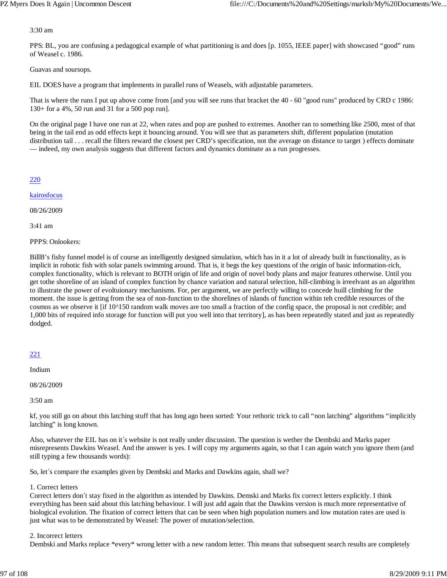### 3:30 am

PPS: BL, you are confusing a pedagogical example of what partitioning is and does [p. 1055, IEEE paper] with showcased "good" runs of Weasel c. 1986.

Guavas and soursops.

EIL DOES have a program that implements in parallel runs of Weasels, with adjustable parameters.

That is where the runs I put up above come from [and you will see runs that bracket the 40 - 60 "good runs" produced by CRD c 1986: 130+ for a 4%, 50 run and 31 for a 500 pop run].

On the original page I have one run at 22, when rates and pop are pushed to extremes. Another ran to something like 2500, most of that being in the tail end as odd effects kept it bouncing around. You will see that as parameters shift, different population (mutation distribution tail . . . recall the filters reward the closest per CRD's specification, not the average on distance to target ) effects dominate — indeed, my own analysis suggests that different factors and dynamics dominate as a run progresses.

## 220

kairosfocus

08/26/2009

3:41 am

PPPS: Onlookers:

BillB's fishy funnel model is of course an intelligently designed simulation, which has in it a lot of already built in functionality, as is implicit in robotic fish with solar panels swimming around. That is, it begs the key questions of the origin of basic information-rich, complex functionality, which is relevant to BOTH origin of life and origin of novel body plans and major features otherwise. Until you get tothe shoreline of an island of complex function by chance variation and natural selection, hill-climbing is irreelvant as an algorithm to illustrate the power of evoltuionary mechanisms. For, per argument, we are perfectly willing to concede huill climbing for the moment. the issue is getting from the sea of non-function to the shorelines of islands of function within teh credible resources of the cosmos as we observe it [if 10^150 random walk moves are too small a fraction of the config space, the proposal is not credible; and 1,000 bits of required info storage for function will put you well into that territory], as has been repeatedly stated and just as repeatedly dodged.

## 221

Indium

08/26/2009

3:50 am

kf, you still go on about this latching stuff that has long ago been sorted: Your rethoric trick to call "non latching" algorithms "implicitly latching" is long known.

Also, whatever the EIL has on it´s website is not really under discussion. The question is wether the Dembski and Marks paper misrepresents Dawkins Weasel. And the answer is yes. I will copy my arguments again, so that I can again watch you ignore them (and still typing a few thousands words):

So, let´s compare the examples given by Dembski and Marks and Dawkins again, shall we?

## 1. Correct letters

Correct letters don´t stay fixed in the algorithm as intended by Dawkins. Demski and Marks fix correct letters explicitly. I think everything has been said about this latching behaviour. I will just add again that the Dawkins version is much more representative of biological evolution. The fixation of correct letters that can be seen when high population numers and low mutation rates are used is just what was to be demonstrated by Weasel: The power of mutation/selection.

## 2. Incorrect letters

Dembski and Marks replace \*every\* wrong letter with a new random letter. This means that subsequent search results are completely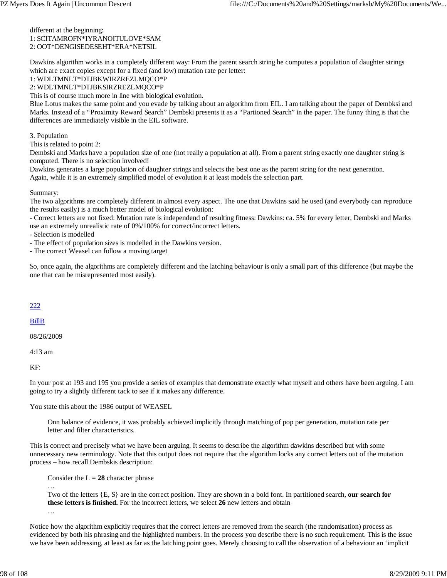### different at the beginning: 1: SCITAMROFN\*IYRANOITULOVE\*SAM 2: OOT\*DENGISEDESEHT\*ERA\*NETSIL

Dawkins algorithm works in a completely different way: From the parent search string he computes a population of daughter strings which are exact copies except for a fixed (and low) mutation rate per letter:

## 1: WDLTMNLT\*DTJBKWIRZREZLMQCO\*P

2: WDLTMNLT\*DTJBKSIRZREZLMQCO\*P

This is of course much more in line with biological evolution.

Blue Lotus makes the same point and you evade by talking about an algorithm from EIL. I am talking about the paper of Dembksi and Marks. Instead of a "Proximity Reward Search" Dembski presents it as a "Partioned Search" in the paper. The funny thing is that the differences are immediately visible in the EIL software.

3. Population

This is related to point 2:

Dembski and Marks have a population size of one (not really a population at all). From a parent string exactly one daughter string is computed. There is no selection involved!

Dawkins generates a large population of daughter strings and selects the best one as the parent string for the next generation. Again, while it is an extremely simplified model of evolution it at least models the selection part.

### Summary:

The two algorithms are completely different in almost every aspect. The one that Dawkins said he used (and everybody can reproduce the results easily) is a much better model of biological evolution:

- Correct letters are not fixed: Mutation rate is independend of resulting fitness: Dawkins: ca. 5% for every letter, Dembski and Marks use an extremely unrealistic rate of 0%/100% for correct/incorrect letters.

- Selection is modelled

- The effect of population sizes is modelled in the Dawkins version.

- The correct Weasel can follow a moving target

So, once again, the algorithms are completely different and the latching behaviour is only a small part of this difference (but maybe the one that can be misrepresented most easily).

## 222

## BillB

08/26/2009

…

4:13 am

KF:

In your post at 193 and 195 you provide a series of examples that demonstrate exactly what myself and others have been arguing. I am going to try a slightly different tack to see if it makes any difference.

You state this about the 1986 output of WEASEL

Onn balance of evidence, it was probably achieved implicitly through matching of pop per generation, mutation rate per letter and filter characteristics.

This is correct and precisely what we have been arguing. It seems to describe the algorithm dawkins described but with some unnecessary new terminology. Note that this output does not require that the algorithm locks any correct letters out of the mutation process – how recall Dembskis description:

Consider the  $L = 28$  character phrase

Two of the letters {E, S} are in the correct position. They are shown in a bold font. In partitioned search, **our search for these letters is finished.** For the incorrect letters, we select **26** new letters and obtain …

Notice how the algorithm explicitly requires that the correct letters are removed from the search (the randomisation) process as evidenced by both his phrasing and the highlighted numbers. In the process you describe there is no such requirement. This is the issue we have been addressing, at least as far as the latching point goes. Merely choosing to call the observation of a behaviour an 'implicit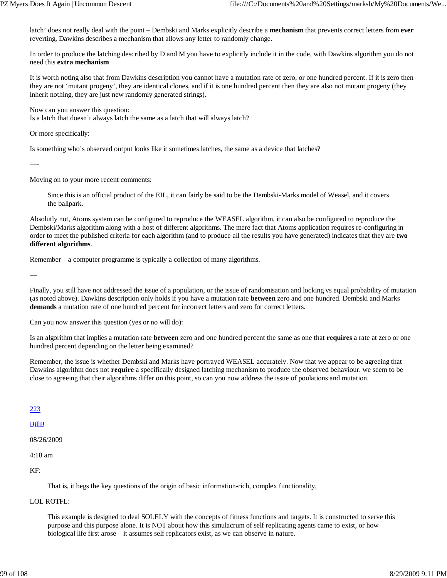latch' does not really deal with the point – Dembski and Marks explicitly describe a **mechanism** that prevents correct letters from **ever** reverting, Dawkins describes a mechanism that allows any letter to randomly change.

In order to produce the latching described by D and M you have to explicitly include it in the code, with Dawkins algorithm you do not need this **extra mechanism**

It is worth noting also that from Dawkins description you cannot have a mutation rate of zero, or one hundred percent. If it is zero then they are not 'mutant progeny', they are identical clones, and if it is one hundred percent then they are also not mutant progeny (they inherit nothing, they are just new randomly generated strings).

Now can you answer this question:

Is a latch that doesn't always latch the same as a latch that will always latch?

Or more specifically:

Is something who's observed output looks like it sometimes latches, the same as a device that latches?

—-

Moving on to your more recent comments:

Since this is an official product of the EIL, it can fairly be said to be the Dembski-Marks model of Weasel, and it covers the ballpark.

Absolutly not, Atoms system can be configured to reproduce the WEASEL algorithm, it can also be configured to reproduce the Dembski/Marks algorithm along with a host of different algorithms. The mere fact that Atoms application requires re-configuring in order to meet the published criteria for each algorithm (and to produce all the results you have generated) indicates that they are **two different algorithms**.

Remember – a computer programme is typically a collection of many algorithms.

—

Finally, you still have not addressed the issue of a population, or the issue of randomisation and locking vs equal probability of mutation (as noted above). Dawkins description only holds if you have a mutation rate **between** zero and one hundred. Dembski and Marks **demands** a mutation rate of one hundred percent for incorrect letters and zero for correct letters.

Can you now answer this question (yes or no will do):

Is an algorithm that implies a mutation rate **between** zero and one hundred percent the same as one that **requires** a rate at zero or one hundred percent depending on the letter being examined?

Remember, the issue is whether Dembski and Marks have portrayed WEASEL accurately. Now that we appear to be agreeing that Dawkins algorithm does not **require** a specifically designed latching mechanism to produce the observed behaviour. we seem to be close to agreeing that their algorithms differ on this point, so can you now address the issue of poulations and mutation.

223

BillB

08/26/2009

4:18 am

KF:

That is, it begs the key questions of the origin of basic information-rich, complex functionality,

LOL ROTFL:

This example is designed to deal SOLELY with the concepts of fitness functions and targets. It is constructed to serve this purpose and this purpose alone. It is NOT about how this simulacrum of self replicating agents came to exist, or how biological life first arose – it assumes self replicators exist, as we can observe in nature.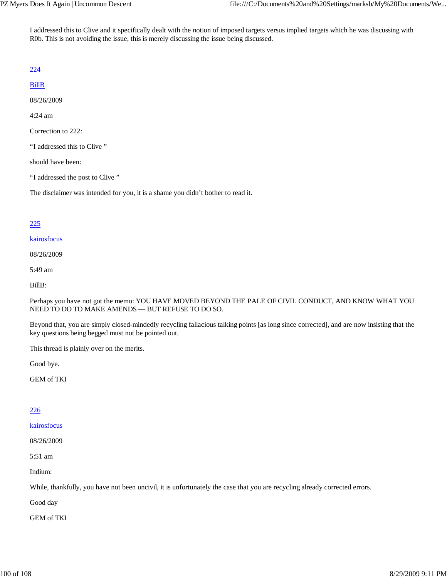I addressed this to Clive and it specifically dealt with the notion of imposed targets versus implied targets which he was discussing with R0b. This is not avoiding the issue, this is merely discussing the issue being discussed.

# 224

# BillB

08/26/2009

4:24 am

Correction to 222:

"I addressed this to Clive "

should have been:

"I addressed the post to Clive "

The disclaimer was intended for you, it is a shame you didn't bother to read it.

# 225

kairosfocus

08/26/2009

5:49 am

BillB:

Perhaps you have not got the memo: YOU HAVE MOVED BEYOND THE PALE OF CIVIL CONDUCT, AND KNOW WHAT YOU NEED TO DO TO MAKE AMENDS — BUT REFUSE TO DO SO.

Beyond that, you are simply closed-mindedly recycling fallacious talking points [as long since corrected], and are now insisting that the key questions being begged must not be pointed out.

This thread is plainly over on the merits.

Good bye.

GEM of TKI

# 226

kairosfocus

08/26/2009

5:51 am

Indium:

While, thankfully, you have not been uncivil, it is unfortunately the case that you are recycling already corrected errors.

Good day

GEM of TKI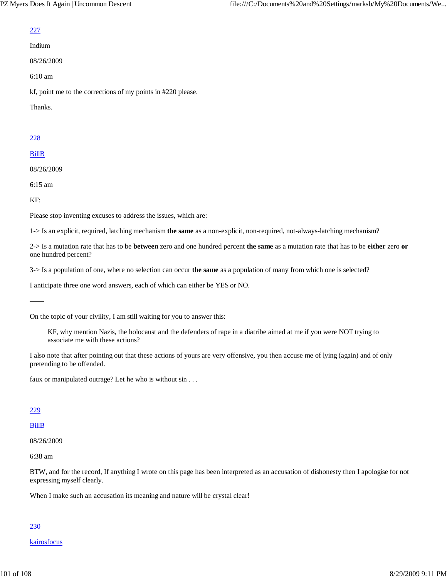## 227

Indium

08/26/2009

6:10 am

kf, point me to the corrections of my points in #220 please.

Thanks.

# 228

# BillB

08/26/2009

6:15 am

KF:

——

Please stop inventing excuses to address the issues, which are:

1-> Is an explicit, required, latching mechanism **the same** as a non-explicit, non-required, not-always-latching mechanism?

2-> Is a mutation rate that has to be **between** zero and one hundred percent **the same** as a mutation rate that has to be **either** zero **or** one hundred percent?

3-> Is a population of one, where no selection can occur **the same** as a population of many from which one is selected?

I anticipate three one word answers, each of which can either be YES or NO.

On the topic of your civility, I am still waiting for you to answer this:

KF, why mention Nazis, the holocaust and the defenders of rape in a diatribe aimed at me if you were NOT trying to associate me with these actions?

I also note that after pointing out that these actions of yours are very offensive, you then accuse me of lying (again) and of only pretending to be offended.

faux or manipulated outrage? Let he who is without sin . . .

## 229

# BillB

08/26/2009

6:38 am

BTW, and for the record, If anything I wrote on this page has been interpreted as an accusation of dishonesty then I apologise for not expressing myself clearly.

When I make such an accusation its meaning and nature will be crystal clear!

# 230

kairosfocus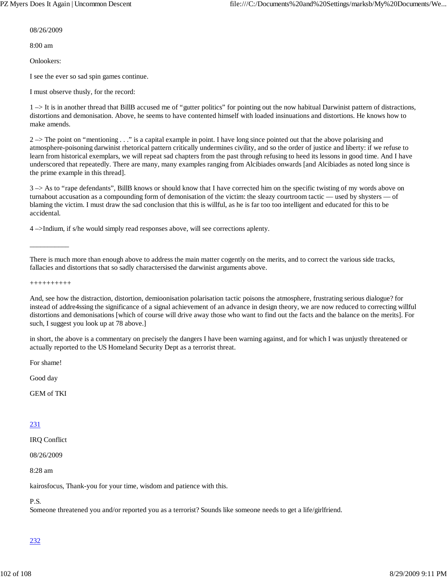08/26/2009

8:00 am

Onlookers:

I see the ever so sad spin games continue.

I must observe thusly, for the record:

1 –> It is in another thread that BillB accused me of "gutter politics" for pointing out the now habitual Darwinist pattern of distractions, distortions and demonisation. Above, he seems to have contented himself with loaded insinuations and distortions. He knows how to make amends.

 $2 \rightarrow$  The point on "mentioning  $\ldots$ " is a capital example in point. I have long since pointed out that the above polarising and atmosphere-poisoning darwinist rhetorical pattern critically undermines civility, and so the order of justice and liberty: if we refuse to learn from historical exemplars, we will repeat sad chapters from the past through refusing to heed its lessons in good time. And I have underscored that repeatedly. There are many, many examples ranging from Alcibiades onwards [and Alcibiades as noted long since is the prime example in this thread].

3 –> As to "rape defendants", BillB knows or should know that I have corrected him on the specific twisting of my words above on turnabout accusation as a compounding form of demonisation of the victim: the sleazy courtroom tactic — used by shysters — of blaming the victim. I must draw the sad conclusion that this is willful, as he is far too too intelligent and educated for this to be accidental.

4 –>Indium, if s/he would simply read responses above, will see corrections aplenty.

There is much more than enough above to address the main matter cogently on the merits, and to correct the various side tracks, fallacies and distortions that so sadly charactersised the darwinist arguments above.

++++++++++

\_\_\_\_\_\_\_\_\_\_\_

And, see how the distraction, distortion, demioonisation polarisation tactic poisons the atmosphere, frustrating serious dialogue? for instead of addre4ssing the significance of a signal achievement of an advance in design theory, we are now reduced to correcting willful distortions and demonisations [which of course will drive away those who want to find out the facts and the balance on the merits]. For such, I suggest you look up at 78 above.]

in short, the above is a commentary on precisely the dangers I have been warning against, and for which I was unjustly threatened or actually reported to the US Homeland Security Dept as a terrorist threat.

For shame!

Good day

GEM of TKI

## 231

IRQ Conflict

08/26/2009

8:28 am

kairosfocus, Thank-you for your time, wisdom and patience with this.

# P.S.

Someone threatened you and/or reported you as a terrorist? Sounds like someone needs to get a life/girlfriend.

# 232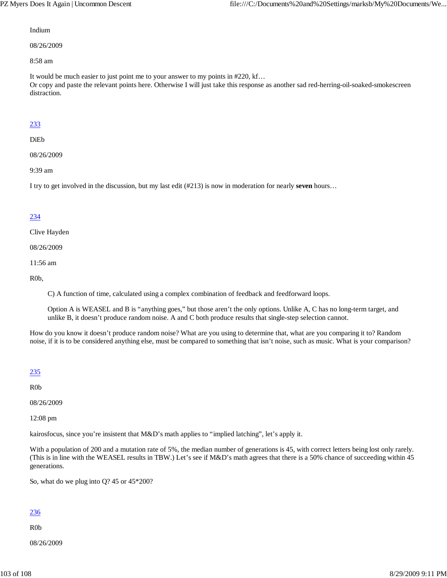### Indium

08/26/2009

8:58 am

It would be much easier to just point me to your answer to my points in #220, kf… Or copy and paste the relevant points here. Otherwise I will just take this response as another sad red-herring-oil-soaked-smokescreen distraction.

## 233

### DiEb

08/26/2009

9:39 am

I try to get involved in the discussion, but my last edit (#213) is now in moderation for nearly **seven** hours…

## 234

Clive Hayden

08/26/2009

11:56 am

R0b,

C) A function of time, calculated using a complex combination of feedback and feedforward loops.

Option A is WEASEL and B is "anything goes," but those aren't the only options. Unlike A, C has no long-term target, and unlike B, it doesn't produce random noise. A and C both produce results that single-step selection cannot.

How do you know it doesn't produce random noise? What are you using to determine that, what are you comparing it to? Random noise, if it is to be considered anything else, must be compared to something that isn't noise, such as music. What is your comparison?

## 235

R0b

08/26/2009

12:08 pm

kairosfocus, since you're insistent that M&D's math applies to "implied latching", let's apply it.

With a population of 200 and a mutation rate of 5%, the median number of generations is 45, with correct letters being lost only rarely. (This is in line with the WEASEL results in TBW.) Let's see if M&D's math agrees that there is a 50% chance of succeeding within 45 generations.

So, what do we plug into Q? 45 or 45\*200?

# 236

R0b

08/26/2009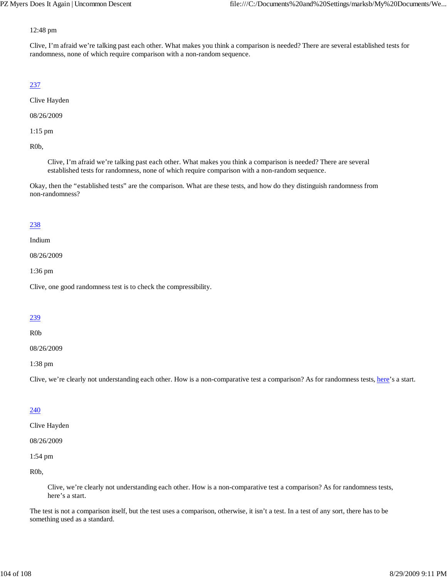### 12:48 pm

Clive, I'm afraid we're talking past each other. What makes you think a comparison is needed? There are several established tests for randomness, none of which require comparison with a non-random sequence.

# 237

Clive Hayden

08/26/2009

1:15 pm

R0b,

Clive, I'm afraid we're talking past each other. What makes you think a comparison is needed? There are several established tests for randomness, none of which require comparison with a non-random sequence.

Okay, then the "established tests" are the comparison. What are these tests, and how do they distinguish randomness from non-randomness?

## 238

Indium

08/26/2009

1:36 pm

Clive, one good randomness test is to check the compressibility.

## 239

R0b

08/26/2009

1:38 pm

Clive, we're clearly not understanding each other. How is a non-comparative test a comparison? As for randomness tests, here's a start.

# 240

Clive Hayden

08/26/2009

1:54 pm

R0b,

Clive, we're clearly not understanding each other. How is a non-comparative test a comparison? As for randomness tests, here's a start.

The test is not a comparison itself, but the test uses a comparison, otherwise, it isn't a test. In a test of any sort, there has to be something used as a standard.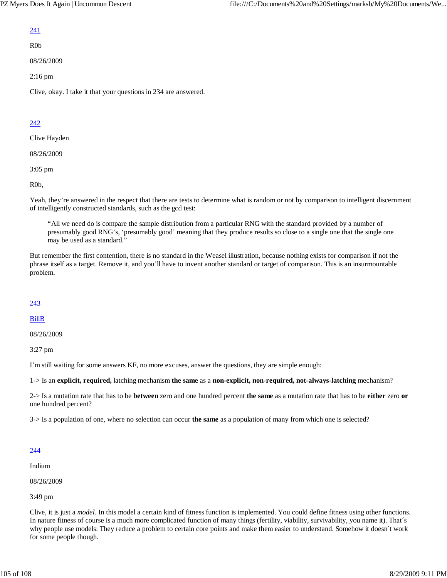# 241

R0b

08/26/2009

2:16 pm

Clive, okay. I take it that your questions in 234 are answered.

# 242

Clive Hayden

08/26/2009

3:05 pm

R0b,

Yeah, they're answered in the respect that there are tests to determine what is random or not by comparison to intelligent discernment of intelligently constructed standards, such as the gcd test:

"All we need do is compare the sample distribution from a particular RNG with the standard provided by a number of presumably good RNG's, 'presumably good' meaning that they produce results so close to a single one that the single one may be used as a standard."

But remember the first contention, there is no standard in the Weasel illustration, because nothing exists for comparison if not the phrase itself as a target. Remove it, and you'll have to invent another standard or target of comparison. This is an insurmountable problem.

# 243

## BillB

08/26/2009

3:27 pm

I'm still waiting for some answers KF, no more excuses, answer the questions, they are simple enough:

1-> Is an **explicit, required,** latching mechanism **the same** as a **non-explicit, non-required, not-always-latching** mechanism?

2-> Is a mutation rate that has to be **between** zero and one hundred percent **the same** as a mutation rate that has to be **either** zero **or** one hundred percent?

3-> Is a population of one, where no selection can occur **the same** as a population of many from which one is selected?

# 244

Indium

08/26/2009

3:49 pm

Clive, it is just a *model*. In this model a certain kind of fitness function is implemented. You could define fitness using other functions. In nature fitness of course is a much more complicated function of many things (fertility, viability, survivability, you name it). That´s why people use models: They reduce a problem to certain core points and make them easier to understand. Somehow it doesn´t work for some people though.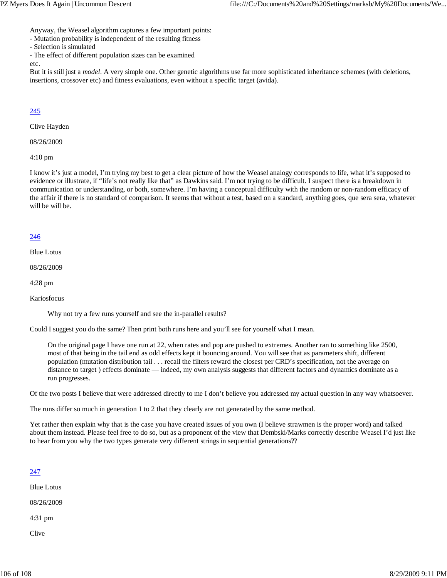Anyway, the Weasel algorithm captures a few important points:

- Mutation probability is independent of the resulting fitness
- Selection is simulated
- The effect of different population sizes can be examined

etc.

But it is still just a *model*. A very simple one. Other genetic algorithms use far more sophisticated inheritance schemes (with deletions, insertions, crossover etc) and fitness evaluations, even without a specific target (avida).

# 245

Clive Hayden

08/26/2009

4:10 pm

I know it's just a model, I'm trying my best to get a clear picture of how the Weasel analogy corresponds to life, what it's supposed to evidence or illustrate, if "life's not really like that" as Dawkins said. I'm not trying to be difficult. I suspect there is a breakdown in communication or understanding, or both, somewhere. I'm having a conceptual difficulty with the random or non-random efficacy of the affair if there is no standard of comparison. It seems that without a test, based on a standard, anything goes, que sera sera, whatever will be will be.

## 246

Blue Lotus

08/26/2009

4:28 pm

Kariosfocus

Why not try a few runs yourself and see the in-parallel results?

Could I suggest you do the same? Then print both runs here and you'll see for yourself what I mean.

On the original page I have one run at 22, when rates and pop are pushed to extremes. Another ran to something like 2500, most of that being in the tail end as odd effects kept it bouncing around. You will see that as parameters shift, different population (mutation distribution tail . . . recall the filters reward the closest per CRD's specification, not the average on distance to target ) effects dominate — indeed, my own analysis suggests that different factors and dynamics dominate as a run progresses.

Of the two posts I believe that were addressed directly to me I don't believe you addressed my actual question in any way whatsoever.

The runs differ so much in generation 1 to 2 that they clearly are not generated by the same method.

Yet rather then explain why that is the case you have created issues of you own (I believe strawmen is the proper word) and talked about them instead. Please feel free to do so, but as a proponent of the view that Dembski/Marks correctly describe Weasel I'd just like to hear from you why the two types generate very different strings in sequential generations??

# 247

Blue Lotus 08/26/2009

4:31 pm

Clive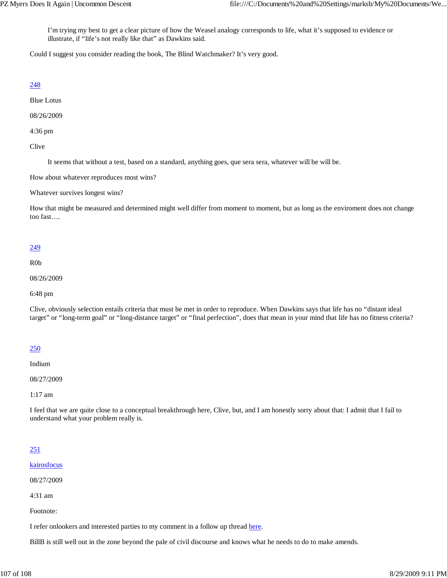I'm trying my best to get a clear picture of how the Weasel analogy corresponds to life, what it's supposed to evidence or illustrate, if "life's not really like that" as Dawkins said.

Could I suggest you consider reading the book, The Blind Watchmaker? It's very good.

## 248

Blue Lotus

08/26/2009

4:36 pm

Clive

It seems that without a test, based on a standard, anything goes, que sera sera, whatever will be will be.

How about whatever reproduces most wins?

Whatever survives longest wins?

How that might be measured and determined might well differ from moment to moment, but as long as the enviroment does not change too fast….

## 249

R0b

08/26/2009

6:48 pm

Clive, obviously selection entails criteria that must be met in order to reproduce. When Dawkins says that life has no "distant ideal target" or "long-term goal" or "long-distance target" or "final perfection", does that mean in your mind that life has no fitness criteria?

## 250

Indium

08/27/2009

1:17 am

I feel that we are quite close to a conceptual breakthrough here, Clive, but, and I am honestly sorry about that: I admit that I fail to understand what your problem really is.

# 251

kairosfocus

08/27/2009

4:31 am

Footnote:

I refer onlookers and interested parties to my comment in a follow up thread here.

BillB is still well out in the zone beyond the pale of civil discourse and knows what he needs to do to make amends.